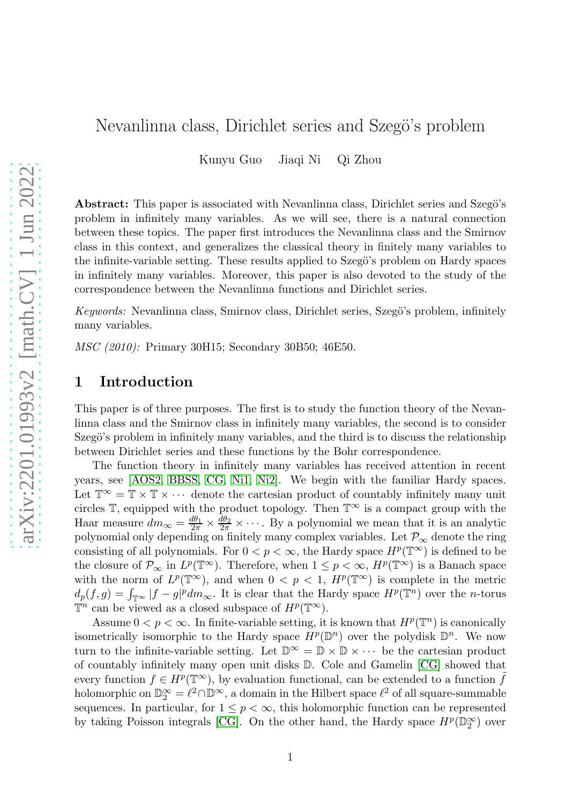## Nevanlinna class, Dirichlet series and Szegö's problem

Kunyu Guo Jiaqi Ni Qi Zhou

Abstract: This paper is associated with Nevanlinna class, Dirichlet series and Szegö's problem in infinitely many variables. As we will see, there is a natural connection between these topics. The paper first introduces the Nevanlinna class and the Smirnov class in this context, and generalizes the classical theory in finitely many variables to the infinite-variable setting. These results applied to Szegö's problem on Hardy spaces in infinitely many variables. Moreover, this paper is also devoted to the study of the correspondence between the Nevanlinna functions and Dirichlet series.

Keywords: Nevanlinna class, Smirnov class, Dirichlet series, Szegö's problem, infinitely many variables.

MSC (2010): Primary 30H15; Secondary 30B50; 46E50.

## 1 Introduction

This paper is of three purposes. The first is to study the function theory of the Nevanlinna class and the Smirnov class in infinitely many variables, the second is to consider Szegö's problem in infinitely many variables, and the third is to discuss the relationship between Dirichlet series and these functions by the Bohr correspondence.

The function theory in infinitely many variables has received attention in recent years, see [\[AOS2,](#page-33-0) [BBSS,](#page-33-1) [CG,](#page-34-0) [Ni1,](#page-35-0) [Ni2\]](#page-35-1). We begin with the familiar Hardy spaces. Let  $\mathbb{T}^{\infty} = \mathbb{T} \times \mathbb{T} \times \cdots$  denote the cartesian product of countably infinitely many unit circles  $\mathbb{T}$ , equipped with the product topology. Then  $\mathbb{T}^{\infty}$  is a compact group with the Haar measure  $dm_{\infty} = \frac{d\theta_1}{2\pi} \times \frac{d\theta_2}{2\pi} \times \cdots$ . By a polynomial we mean that it is an analytic polynomial only depending on finitely many complex variables. Let  $\mathcal{P}_{\infty}$  denote the ring consisting of all polynomials. For  $0 < p < \infty$ , the Hardy space  $H^p(\mathbb{T}^\infty)$  is defined to be the closure of  $\mathcal{P}_{\infty}$  in  $L^p(\mathbb{T}^{\infty})$ . Therefore, when  $1 \leq p < \infty$ ,  $H^p(\mathbb{T}^{\infty})$  is a Banach space with the norm of  $L^p(\mathbb{T}^\infty)$ , and when  $0 < p < 1$ ,  $H^p(\mathbb{T}^\infty)$  is complete in the metric  $d_p(f,g) = \int_{\mathbb{T}^\infty} |f-g|^p dm_\infty$ . It is clear that the Hardy space  $H^p(\mathbb{T}^n)$  over the *n*-torus  $\mathbb{T}^n$  can be viewed as a closed subspace of  $H^p(\mathbb{T}^\infty)$ .

Assume  $0 < p < \infty$ . In finite-variable setting, it is known that  $H^p(\mathbb{T}^n)$  is canonically isometrically isomorphic to the Hardy space  $H^p(\mathbb{D}^n)$  over the polydisk  $\mathbb{D}^n$ . We now turn to the infinite-variable setting. Let  $\mathbb{D}^{\infty} = \mathbb{D} \times \mathbb{D} \times \cdots$  be the cartesian product of countably infinitely many open unit disks D. Cole and Gamelin [\[CG\]](#page-34-0) showed that every function  $f \in H^p(\mathbb{T}^\infty)$ , by evaluation functional, can be extended to a function  $\tilde{f}$ holomorphic on  $\mathbb{D}_2^{\infty} = \ell^2 \cap \mathbb{D}^{\infty}$ , a domain in the Hilbert space  $\ell^2$  of all square-summable sequences. In particular, for  $1 \leq p < \infty$ , this holomorphic function can be represented by taking Poisson integrals [\[CG\]](#page-34-0). On the other hand, the Hardy space  $H^p(\mathbb{D}_2^{\infty})$  over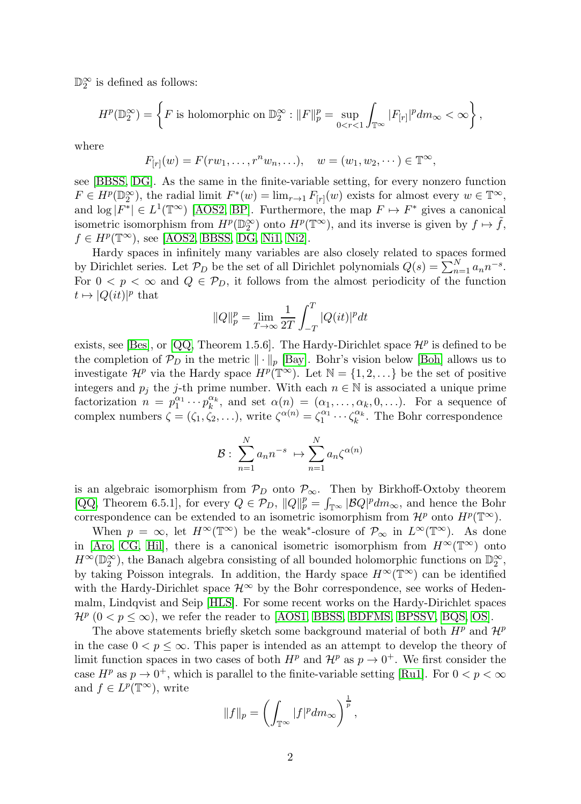$\mathbb{D}_2^{\infty}$  is defined as follows:

$$
H^p(\mathbb{D}_2^{\infty}) = \left\{ F \text{ is holomorphic on } \mathbb{D}_2^{\infty} : ||F||_p^p = \sup_{0 < r < 1} \int_{\mathbb{T}^{\infty}} |F_{[r]}|^p dm_{\infty} < \infty \right\},
$$

where

$$
F_{[r]}(w) = F(rw_1, ..., r^n w_n, ...), \quad w = (w_1, w_2, ... ) \in \mathbb{T}^{\infty},
$$

see [\[BBSS,](#page-33-1) [DG\]](#page-34-1). As the same in the finite-variable setting, for every nonzero function  $F \in H^p(\mathbb{D}_2^{\infty})$ , the radial limit  $F^*(w) = \lim_{r \to 1} F_{[r]}(w)$  exists for almost every  $w \in \mathbb{T}^{\infty}$ , and  $\log |F^*| \in L^1(\mathbb{T}^\infty)$  [\[AOS2,](#page-33-0) [BP\]](#page-34-2). Furthermore, the map  $F \mapsto F^*$  gives a canonical isometric isomorphism from  $H^p(\mathbb{D}_2^{\infty})$  onto  $H^p(\mathbb{T}^{\infty})$ , and its inverse is given by  $f \mapsto \tilde{f}$ ,  $f \in H^p(\mathbb{T}^\infty)$ , see [\[AOS2,](#page-33-0) [BBSS,](#page-33-1) [DG,](#page-34-1) [Ni1,](#page-35-0) [Ni2\]](#page-35-1).

Hardy spaces in infinitely many variables are also closely related to spaces formed by Dirichlet series. Let  $\mathcal{P}_D$  be the set of all Dirichlet polynomials  $Q(s) = \sum_{n=1}^{N} a_n n^{-s}$ . For  $0 < p < \infty$  and  $Q \in \mathcal{P}_D$ , it follows from the almost periodicity of the function  $t \mapsto |Q(it)|^p$  that

$$
||Q||_{p}^{p} = \lim_{T \to \infty} \frac{1}{2T} \int_{-T}^{T} |Q(it)|^{p} dt
$$

exists, see [\[Bes\]](#page-33-2), or [\[QQ,](#page-35-2) Theorem 1.5.6]. The Hardy-Dirichlet space  $\mathcal{H}^p$  is defined to be the completion of  $\mathcal{P}_D$  in the metric  $\|\cdot\|_p$  [\[Bay\]](#page-33-3). Bohr's vision below [\[Boh\]](#page-34-3) allows us to investigate  $\mathcal{H}^p$  via the Hardy space  $H^p(\mathbb{T}^\infty)$ . Let  $\mathbb{N} = \{1, 2, ...\}$  be the set of positive integers and  $p_j$  the j-th prime number. With each  $n \in \mathbb{N}$  is associated a unique prime factorization  $n = p_1^{\alpha_1} \cdots p_k^{\alpha_k}$ , and set  $\alpha(n) = (\alpha_1, \ldots, \alpha_k, 0, \ldots)$ . For a sequence of complex numbers  $\zeta = (\zeta_1, \zeta_2, \ldots)$ , write  $\zeta^{\alpha(n)} = \zeta_1^{\alpha_1} \cdots \zeta_k^{\alpha_k}$ . The Bohr correspondence

$$
\mathcal{B}:\ \sum_{n=1}^N a_n n^{-s}\ \mapsto \sum_{n=1}^N a_n \zeta^{\alpha(n)}
$$

is an algebraic isomorphism from  $P_D$  onto  $P_{\infty}$ . Then by Birkhoff-Oxtoby theorem [\[QQ,](#page-35-2) Theorem 6.5.1], for every  $Q \in \mathcal{P}_D$ ,  $||Q||_p^p = \int_{\mathbb{T}^\infty} |\mathcal{B}Q|^p dm_\infty$ , and hence the Bohr correspondence can be extended to an isometric isomorphism from  $\mathcal{H}^p$  onto  $H^p(\mathbb{T}^\infty)$ .

When  $p = \infty$ , let  $H^{\infty}(\mathbb{T}^{\infty})$  be the weak<sup>\*</sup>-closure of  $\mathcal{P}_{\infty}$  in  $L^{\infty}(\mathbb{T}^{\infty})$ . As done in [\[Aro,](#page-33-4) [CG,](#page-34-0) [Hil\]](#page-34-4), there is a canonical isometric isomorphism from  $H^{\infty}(\mathbb{T}^{\infty})$  onto  $H^{\infty}(\mathbb{D}_2^{\infty})$ , the Banach algebra consisting of all bounded holomorphic functions on  $\mathbb{D}_2^{\infty}$ , by taking Poisson integrals. In addition, the Hardy space  $H^{\infty}(\mathbb{T}^{\infty})$  can be identified with the Hardy-Dirichlet space  $\mathcal{H}^{\infty}$  by the Bohr correspondence, see works of Hedenmalm, Lindqvist and Seip [\[HLS\]](#page-34-5). For some recent works on the Hardy-Dirichlet spaces  $\mathcal{H}^p$  (0 <  $p \leq \infty$ ), we refer the reader to [\[AOS1,](#page-33-5) [BBSS,](#page-33-1) [BDFMS,](#page-33-6) [BPSSV,](#page-34-6) [BQS,](#page-34-7) [OS\]](#page-35-3).

The above statements briefly sketch some background material of both  $H^p$  and  $\mathcal{H}^p$ in the case  $0 < p \leq \infty$ . This paper is intended as an attempt to develop the theory of limit function spaces in two cases of both  $H^p$  and  $\mathcal{H}^p$  as  $p \to 0^+$ . We first consider the case  $H^p$  as  $p \to 0^+$ , which is parallel to the finite-variable setting [\[Ru1\]](#page-35-4). For  $0 < p < \infty$ and  $f \in L^p(\mathbb{T}^\infty)$ , write

$$
||f||_p = \left(\int_{\mathbb{T}^{\infty}} |f|^p dm_{\infty}\right)^{\frac{1}{p}},
$$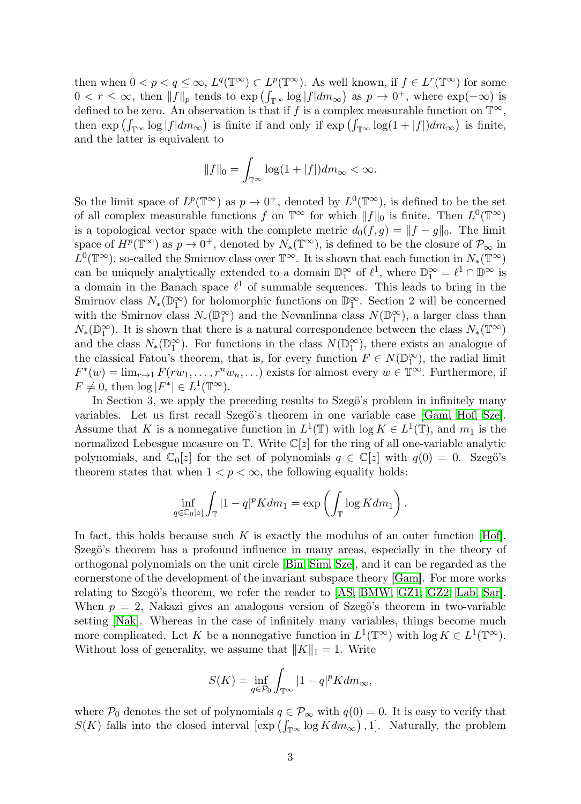then when  $0 < p < q \le \infty$ ,  $L^q(\mathbb{T}^\infty) \subset L^p(\mathbb{T}^\infty)$ . As well known, if  $f \in L^r(\mathbb{T}^\infty)$  for some  $0 < r \leq \infty$ , then  $||f||_p$  tends to  $\exp\left(\int_{\mathbb{T}^{\infty}} \log |f| dm_{\infty}\right)$  as  $p \to 0^+$ , where  $\exp(-\infty)$  is defined to be zero. An observation is that if f is a complex measurable function on  $\mathbb{T}^{\infty}$ , then  $\exp\left(\int_{\mathbb{T}^{\infty}} \log |f| dm_{\infty}\right)$  is finite if and only if  $\exp\left(\int_{\mathbb{T}^{\infty}} \log(1 + |f|) dm_{\infty}\right)$  is finite, and the latter is equivalent to

$$
||f||_0 = \int_{\mathbb{T}^{\infty}} \log(1 + |f|) dm_{\infty} < \infty.
$$

So the limit space of  $L^p(\mathbb{T}^\infty)$  as  $p \to 0^+$ , denoted by  $L^0(\mathbb{T}^\infty)$ , is defined to be the set of all complex measurable functions f on  $\mathbb{T}^\infty$  for which  $||f||_0$  is finite. Then  $L^0(\mathbb{T}^\infty)$ is a topological vector space with the complete metric  $d_0(f, g) = ||f - g||_0$ . The limit space of  $H^p(\mathbb{T}^\infty)$  as  $p \to 0^+$ , denoted by  $N_*(\mathbb{T}^\infty)$ , is defined to be the closure of  $\mathcal{P}_\infty$  in  $L^0(\mathbb{T}^\infty)$ , so-called the Smirnov class over  $\mathbb{T}^\infty$ . It is shown that each function in  $N_*(\mathbb{T}^\infty)$ can be uniquely analytically extended to a domain  $\mathbb{D}_1^{\infty}$  of  $\ell^1$ , where  $\mathbb{D}_1^{\infty} = \ell^1 \cap \mathbb{D}^{\infty}$  is a domain in the Banach space  $\ell^1$  of summable sequences. This leads to bring in the Smirnov class  $N_*(\mathbb{D}_1^{\infty})$  for holomorphic functions on  $\mathbb{D}_1^{\infty}$ . Section 2 will be concerned with the Smirnov class  $N_*(\mathbb{D}_1^{\infty})$  and the Nevanlinna class  $N(\mathbb{D}_1^{\infty})$ , a larger class than  $N_*(\mathbb{D}_1^{\infty})$ . It is shown that there is a natural correspondence between the class  $N_*(\mathbb{T}^{\infty})$ and the class  $N_*(\mathbb{D}_1^{\infty})$ . For functions in the class  $N(\mathbb{D}_1^{\infty})$ , there exists an analogue of the classical Fatou's theorem, that is, for every function  $F \in N(\mathbb{D}_1^{\infty})$ , the radial limit  $F^*(w) = \lim_{r \to 1} F(rw_1, \dots, r^n w_n, \dots)$  exists for almost every  $w \in \mathbb{T}^{\infty}$ . Furthermore, if  $F \neq 0$ , then  $\log |F^*| \in L^1(\mathbb{T}^\infty)$ .

In Section 3, we apply the preceding results to Szegö's problem in infinitely many variables. Let us first recall Szegö's theorem in one variable case [\[Gam,](#page-34-8) [Hof,](#page-34-9) [Sze\]](#page-35-5). Assume that K is a nonnegative function in  $L^1(\mathbb{T})$  with  $\log K \in L^1(\mathbb{T})$ , and  $m_1$  is the normalized Lebesgue measure on  $\mathbb{T}$ . Write  $\mathbb{C}[z]$  for the ring of all one-variable analytic polynomials, and  $\mathbb{C}_0[z]$  for the set of polynomials  $q \in \mathbb{C}[z]$  with  $q(0) = 0$ . Szegö's theorem states that when  $1 < p < \infty$ , the following equality holds:

$$
\inf_{q \in \mathbb{C}_0[z]} \int_{\mathbb{T}} |1 - q|^p K dm_1 = \exp \left( \int_{\mathbb{T}} \log K dm_1 \right).
$$

In fact, this holds because such K is exactly the modulus of an outer function [\[Hof\]](#page-34-9). Szegö's theorem has a profound influence in many areas, especially in the theory of orthogonal polynomials on the unit circle [\[Bin,](#page-33-7) [Sim,](#page-35-6) [Sze\]](#page-35-5), and it can be regarded as the cornerstone of the development of the invariant subspace theory [\[Gam\]](#page-34-8). For more works relating to Szegö's theorem, we refer the reader to [\[AS,](#page-33-8) [BMW,](#page-33-9) [GZ1,](#page-34-10) [GZ2,](#page-34-11) [Lab,](#page-34-12) [Sar\]](#page-35-7). When  $p = 2$ , Nakazi gives an analogous version of Szegö's theorem in two-variable setting [\[Nak\]](#page-34-13). Whereas in the case of infinitely many variables, things become much more complicated. Let K be a nonnegative function in  $L^1(\mathbb{T}^\infty)$  with  $\log K \in L^1(\mathbb{T}^\infty)$ . Without loss of generality, we assume that  $||K||_1 = 1$ . Write

$$
S(K) = \inf_{q \in \mathcal{P}_0} \int_{\mathbb{T}^{\infty}} |1 - q|^p K dm_{\infty},
$$

where  $P_0$  denotes the set of polynomials  $q \in P_\infty$  with  $q(0) = 0$ . It is easy to verify that  $S(K)$  falls into the closed interval  $[\exp(\int_{\mathbb{T}^{\infty}} \log K dm_{\infty}), 1]$ . Naturally, the problem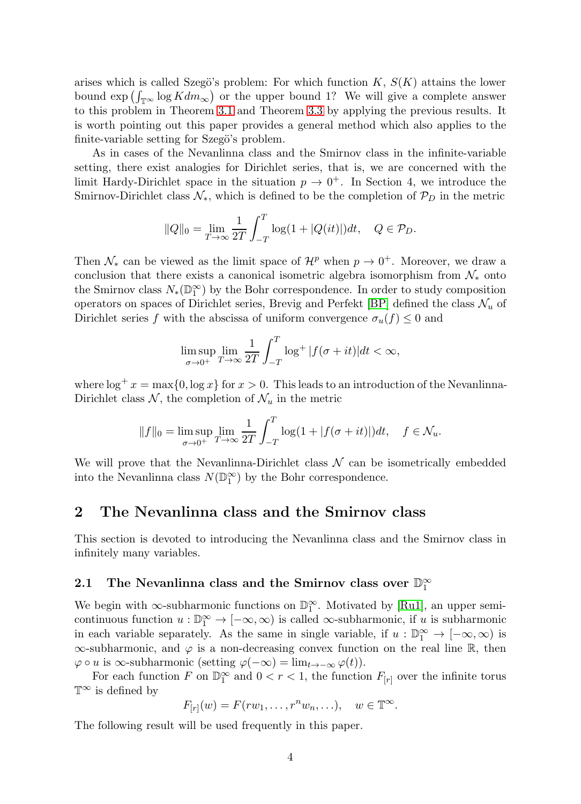arises which is called Szegö's problem: For which function  $K, S(K)$  attains the lower bound  $\exp\left(\int_{\mathbb{T}^{\infty}} \log K dm_{\infty}\right)$  or the upper bound 1? We will give a complete answer to this problem in Theorem [3.1](#page-21-0) and Theorem [3.3](#page-23-0) by applying the previous results. It is worth pointing out this paper provides a general method which also applies to the finite-variable setting for Szegö's problem.

As in cases of the Nevanlinna class and the Smirnov class in the infinite-variable setting, there exist analogies for Dirichlet series, that is, we are concerned with the limit Hardy-Dirichlet space in the situation  $p \to 0^+$ . In Section 4, we introduce the Smirnov-Dirichlet class  $\mathcal{N}_*$ , which is defined to be the completion of  $\mathcal{P}_D$  in the metric

$$
||Q||_0 = \lim_{T \to \infty} \frac{1}{2T} \int_{-T}^T \log(1 + |Q(it)|) dt, \quad Q \in \mathcal{P}_D.
$$

Then  $\mathcal{N}_*$  can be viewed as the limit space of  $\mathcal{H}^p$  when  $p \to 0^+$ . Moreover, we draw a conclusion that there exists a canonical isometric algebra isomorphism from  $\mathcal{N}_*$  onto the Smirnov class  $N_*(\mathbb{D}_1^{\infty})$  by the Bohr correspondence. In order to study composition operators on spaces of Dirichlet series, Brevig and Perfekt [\[BP\]](#page-34-2) defined the class  $\mathcal{N}_u$  of Dirichlet series f with the abscissa of uniform convergence  $\sigma_u(f) \leq 0$  and

$$
\limsup_{\sigma \to 0^+} \lim_{T \to \infty} \frac{1}{2T} \int_{-T}^{T} \log^+ |f(\sigma + it)| dt < \infty,
$$

where  $\log^+ x = \max\{0, \log x\}$  for  $x > 0$ . This leads to an introduction of the Nevanlinna-Dirichlet class  $\mathcal{N}$ , the completion of  $\mathcal{N}_u$  in the metric

$$
||f||_0 = \limsup_{\sigma \to 0^+} \lim_{T \to \infty} \frac{1}{2T} \int_{-T}^T \log(1 + |f(\sigma + it)|) dt, \quad f \in \mathcal{N}_u.
$$

We will prove that the Nevanlinna-Dirichlet class  $\mathcal N$  can be isometrically embedded into the Nevanlinna class  $N(\mathbb{D}_1^{\infty})$  by the Bohr correspondence.

## 2 The Nevanlinna class and the Smirnov class

This section is devoted to introducing the Nevanlinna class and the Smirnov class in infinitely many variables.

# 2.1 The Nevanlinna class and the Smirnov class over  $\mathbb{D}_1^{\infty}$

We begin with  $\infty$ -subharmonic functions on  $\mathbb{D}_1^{\infty}$ . Motivated by [\[Ru1\]](#page-35-4), an upper semicontinuous function  $u : \mathbb{D}_1^{\infty} \to [-\infty, \infty)$  is called  $\infty$ -subharmonic, if u is subharmonic in each variable separately. As the same in single variable, if  $u : \mathbb{D}_1^{\infty} \to [-\infty, \infty)$  is  $\infty$ -subharmonic, and  $\varphi$  is a non-decreasing convex function on the real line R, then  $\varphi \circ u$  is  $\infty$ -subharmonic (setting  $\varphi(-\infty) = \lim_{t \to -\infty} \varphi(t)$ ).

For each function F on  $\mathbb{D}_1^{\infty}$  and  $0 < r < 1$ , the function  $F_{[r]}$  over the infinite torus  $T^{\infty}$  is defined by

$$
F_{[r]}(w) = F(rw_1, \ldots, r^n w_n, \ldots), \quad w \in \mathbb{T}^{\infty}.
$$

The following result will be used frequently in this paper.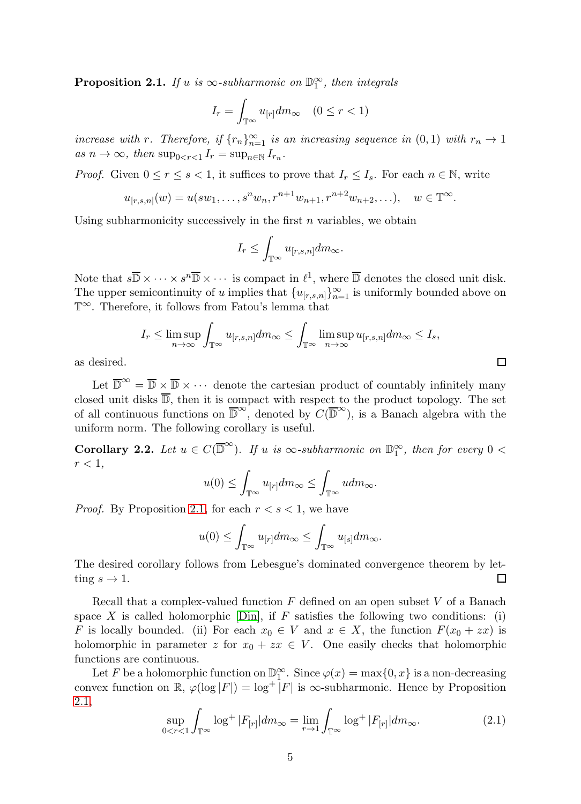<span id="page-4-0"></span>**Proposition 2.1.** If u is  $\infty$ -subharmonic on  $\mathbb{D}_1^{\infty}$ , then integrals

$$
I_r = \int_{\mathbb{T}^\infty} u_{[r]} dm_\infty \quad (0 \le r < 1)
$$

increase with r. Therefore, if  ${r_n}_{n=1}^{\infty}$  is an increasing sequence in  $(0,1)$  with  $r_n \to 1$ as  $n \to \infty$ , then  $\sup_{0 \le r \le 1} I_r = \sup_{n \in \mathbb{N}} I_{r_n}$ .

*Proof.* Given  $0 \le r \le s < 1$ , it suffices to prove that  $I_r \le I_s$ . For each  $n \in \mathbb{N}$ , write

$$
u_{[r,s,n]}(w) = u(sw_1, \ldots, s^n w_n, r^{n+1} w_{n+1}, r^{n+2} w_{n+2}, \ldots), \quad w \in \mathbb{T}^{\infty}.
$$

Using subharmonicity successively in the first  $n$  variables, we obtain

$$
I_r \leq \int_{\mathbb{T}^\infty} u_{[r,s,n]} dm_\infty.
$$

Note that  $s\overline{\mathbb{D}} \times \cdots \times s^n\overline{\mathbb{D}} \times \cdots$  is compact in  $\ell^1$ , where  $\overline{\mathbb{D}}$  denotes the closed unit disk. The upper semicontinuity of u implies that  ${u_{[r,s,n]}}_{n=1}^{\infty}$  is uniformly bounded above on T∞. Therefore, it follows from Fatou's lemma that

$$
I_r \le \limsup_{n \to \infty} \int_{\mathbb{T}^{\infty}} u_{[r,s,n]} dm_{\infty} \le \int_{\mathbb{T}^{\infty}} \limsup_{n \to \infty} u_{[r,s,n]} dm_{\infty} \le I_s,
$$

as desired.

Let  $\overline{\mathbb{D}}^{\infty} = \overline{\mathbb{D}} \times \overline{\mathbb{D}} \times \cdots$  denote the cartesian product of countably infinitely many closed unit disks  $\overline{\mathbb{D}}$ , then it is compact with respect to the product topology. The set of all continuous functions on  $\overline{\mathbb{D}}^{\infty}$ , denoted by  $C(\overline{\mathbb{D}}^{\infty})$ , is a Banach algebra with the uniform norm. The following corollary is useful.

<span id="page-4-2"></span>**Corollary 2.2.** Let  $u \in C(\overline{D}^{\infty})$ . If u is  $\infty$ -subharmonic on  $\mathbb{D}_1^{\infty}$ , then for every  $0 <$  $r < 1$ .

$$
u(0) \le \int_{\mathbb{T}^{\infty}} u_{[r]} dm_{\infty} \le \int_{\mathbb{T}^{\infty}} u dm_{\infty}.
$$

*Proof.* By Proposition [2.1,](#page-4-0) for each  $r < s < 1$ , we have

$$
u(0) \leq \int_{\mathbb{T}^{\infty}} u_{[r]} dm_{\infty} \leq \int_{\mathbb{T}^{\infty}} u_{[s]} dm_{\infty}.
$$

The desired corollary follows from Lebesgue's dominated convergence theorem by letting  $s \to 1$ .  $\Box$ 

Recall that a complex-valued function  $F$  defined on an open subset  $V$  of a Banach space X is called holomorphic  $\lceil \text{Din} \rceil$ , if F satisfies the following two conditions: (i) F is locally bounded. (ii) For each  $x_0 \in V$  and  $x \in X$ , the function  $F(x_0 + zx)$  is holomorphic in parameter z for  $x_0 + zx \in V$ . One easily checks that holomorphic functions are continuous.

Let F be a holomorphic function on  $\mathbb{D}_1^{\infty}$ . Since  $\varphi(x) = \max\{0, x\}$  is a non-decreasing convex function on  $\mathbb{R}, \varphi(\log |F|) = \log^+ |F|$  is  $\infty$ -subharmonic. Hence by Proposition [2.1,](#page-4-0)

<span id="page-4-1"></span>
$$
\sup_{0 < r < 1} \int_{\mathbb{T}^{\infty}} \log^{+} |F_{[r]}| dm_{\infty} = \lim_{r \to 1} \int_{\mathbb{T}^{\infty}} \log^{+} |F_{[r]}| dm_{\infty}.
$$
\n(2.1)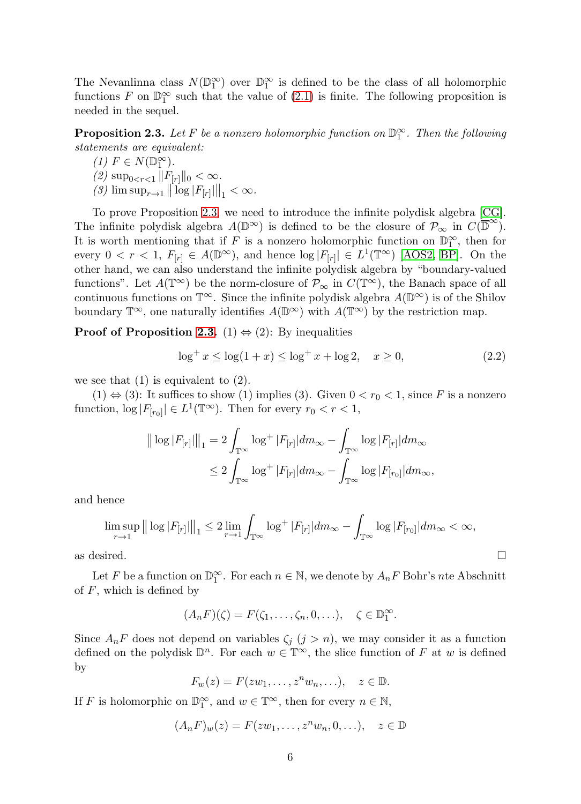The Nevanlinna class  $N(\mathbb{D}_1^{\infty})$  over  $\mathbb{D}_1^{\infty}$  is defined to be the class of all holomorphic functions F on  $\mathbb{D}_1^{\infty}$  such that the value of [\(2.1\)](#page-4-1) is finite. The following proposition is needed in the sequel.

<span id="page-5-0"></span>**Proposition 2.3.** Let F be a nonzero holomorphic function on  $\mathbb{D}_1^{\infty}$ . Then the following statements are equivalent:

(1)  $F \in N(\mathbb{D}_1^{\infty})$ . (2)  $\sup_{0 < r < 1} ||F_{[r]}||_0 < \infty.$ (3)  $\limsup_{r\to 1} ||\log |F_{[r]}||_1 < \infty.$ 

To prove Proposition [2.3,](#page-5-0) we need to introduce the infinite polydisk algebra [\[CG\]](#page-34-0). The infinite polydisk algebra  $A(\mathbb{D}^{\infty})$  is defined to be the closure of  $\mathcal{P}_{\infty}$  in  $C(\overline{\mathbb{D}}^{\infty})$ . It is worth mentioning that if F is a nonzero holomorphic function on  $\mathbb{D}_1^{\infty}$ , then for every  $0 < r < 1$ ,  $F_{[r]} \in A(\mathbb{D}^{\infty})$ , and hence  $\log |F_{[r]}| \in L^1(\mathbb{T}^{\infty})$  [\[AOS2,](#page-33-0) [BP\]](#page-34-2). On the other hand, we can also understand the infinite polydisk algebra by "boundary-valued functions". Let  $A(\mathbb{T}^\infty)$  be the norm-closure of  $\mathcal{P}_\infty$  in  $C(\mathbb{T}^\infty)$ , the Banach space of all continuous functions on  $\mathbb{T}^{\infty}$ . Since the infinite polydisk algebra  $A(\mathbb{D}^{\infty})$  is of the Shilov boundary  $\mathbb{T}^{\infty}$ , one naturally identifies  $A(\mathbb{D}^{\infty})$  with  $A(\mathbb{T}^{\infty})$  by the restriction map.

**Proof of Proposition [2.3.](#page-5-0)** (1)  $\Leftrightarrow$  (2): By inequalities

<span id="page-5-1"></span>
$$
\log^+ x \le \log(1+x) \le \log^+ x + \log 2, \quad x \ge 0,\tag{2.2}
$$

we see that  $(1)$  is equivalent to  $(2)$ .

 $(1) \Leftrightarrow (3)$ : It suffices to show  $(1)$  implies  $(3)$ . Given  $0 < r_0 < 1$ , since F is a nonzero function,  $\log |F_{[r_0]}| \in L^1(\mathbb{T}^\infty)$ . Then for every  $r_0 < r < 1$ ,

$$
\begin{aligned} \left\| \log |F_{[r]}| \right\|_1 &= 2 \int_{\mathbb{T}^\infty} \log^+ |F_{[r]}| dm_\infty - \int_{\mathbb{T}^\infty} \log |F_{[r]}| dm_\infty \\ &\le 2 \int_{\mathbb{T}^\infty} \log^+ |F_{[r]}| dm_\infty - \int_{\mathbb{T}^\infty} \log |F_{[r_0]}| dm_\infty, \end{aligned}
$$

and hence

$$
\limsup_{r \to 1} ||\log |F_{[r]}||_{1} \leq 2 \lim_{r \to 1} \int_{\mathbb{T}^{\infty}} \log^{+} |F_{[r]}| dm_{\infty} - \int_{\mathbb{T}^{\infty}} \log |F_{[r_{0}]}| dm_{\infty} < \infty,
$$

as desired.  $\Box$ 

Let F be a function on  $\mathbb{D}_1^{\infty}$ . For each  $n \in \mathbb{N}$ , we denote by  $A_nF$  Bohr's nte Abschnitt of  $F$ , which is defined by

$$
(A_n F)(\zeta) = F(\zeta_1, \dots, \zeta_n, 0, \dots), \quad \zeta \in \mathbb{D}_1^{\infty}.
$$

Since  $A_nF$  does not depend on variables  $\zeta_i$   $(j > n)$ , we may consider it as a function defined on the polydisk  $\mathbb{D}^n$ . For each  $w \in \mathbb{T}^{\infty}$ , the slice function of F at w is defined by

$$
F_w(z) = F(zw_1, \dots, z^n w_n, \dots), \quad z \in \mathbb{D}.
$$

If F is holomorphic on  $\mathbb{D}_1^{\infty}$ , and  $w \in \mathbb{T}^{\infty}$ , then for every  $n \in \mathbb{N}$ ,

$$
(A_nF)_w(z) = F(zw_1, \dots, z^n w_n, 0, \dots), \quad z \in \mathbb{D}
$$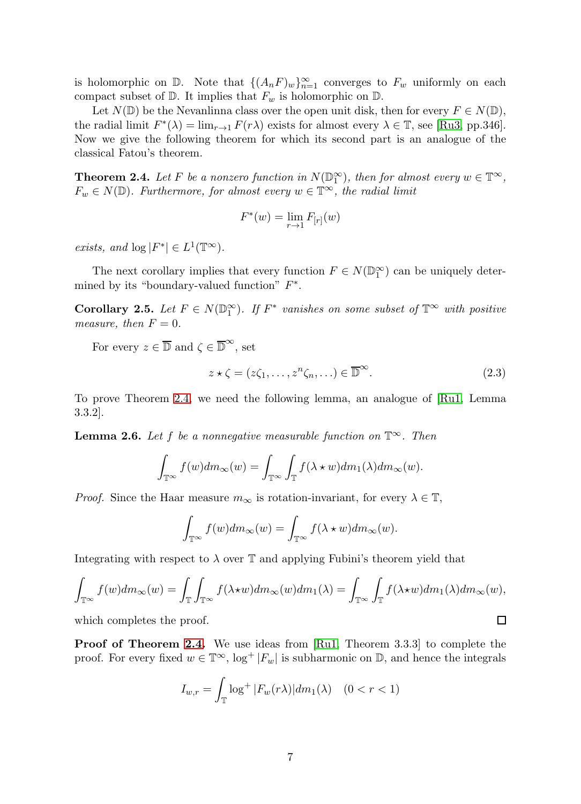is holomorphic on D. Note that  $\{(A_nF)_w\}_{n=1}^{\infty}$  converges to  $F_w$  uniformly on each compact subset of  $\mathbb D$ . It implies that  $F_w$  is holomorphic on  $\mathbb D$ .

Let  $N(\mathbb{D})$  be the Nevanlinna class over the open unit disk, then for every  $F \in N(\mathbb{D})$ , the radial limit  $F^*(\lambda) = \lim_{r \to 1} F(r\lambda)$  exists for almost every  $\lambda \in \mathbb{T}$ , see [\[Ru3,](#page-35-8) pp.346]. Now we give the following theorem for which its second part is an analogue of the classical Fatou's theorem.

<span id="page-6-0"></span>**Theorem 2.4.** Let F be a nonzero function in  $N(\mathbb{D}_1^{\infty})$ , then for almost every  $w \in \mathbb{T}^{\infty}$ ,  $F_w \in N(\mathbb{D})$ . Furthermore, for almost every  $w \in \mathbb{T}^\infty$ , the radial limit

$$
F^*(w) = \lim_{r \to 1} F_{[r]}(w)
$$

exists, and  $\log |F^*| \in L^1(\mathbb{T}^\infty)$ .

The next corollary implies that every function  $F \in N(\mathbb{D}_1^{\infty})$  can be uniquely determined by its "boundary-valued function"  $F^*$ .

Corollary 2.5. Let  $F \in N(\mathbb{D}_1^{\infty})$ . If  $F^*$  vanishes on some subset of  $\mathbb{T}^{\infty}$  with positive measure, then  $F = 0$ .

For every  $z \in \overline{\mathbb{D}}$  and  $\zeta \in \overline{\mathbb{D}}^{\infty}$ , set

<span id="page-6-2"></span>
$$
z \star \zeta = (z\zeta_1, \dots, z^n\zeta_n, \dots) \in \overline{\mathbb{D}}^{\infty}.
$$
\n(2.3)

 $\Box$ 

To prove Theorem [2.4,](#page-6-0) we need the following lemma, an analogue of [\[Ru1,](#page-35-4) Lemma 3.3.2].

<span id="page-6-1"></span>**Lemma 2.6.** Let f be a nonnegative measurable function on  $\mathbb{T}^{\infty}$ . Then

$$
\int_{\mathbb{T}^{\infty}} f(w) dm_{\infty}(w) = \int_{\mathbb{T}^{\infty}} \int_{\mathbb{T}} f(\lambda \star w) dm_1(\lambda) dm_{\infty}(w).
$$

*Proof.* Since the Haar measure  $m_{\infty}$  is rotation-invariant, for every  $\lambda \in \mathbb{T}$ ,

$$
\int_{\mathbb{T}^{\infty}} f(w) dm_{\infty}(w) = \int_{\mathbb{T}^{\infty}} f(\lambda \star w) dm_{\infty}(w).
$$

Integrating with respect to  $\lambda$  over  $\mathbb T$  and applying Fubini's theorem yield that

$$
\int_{\mathbb{T}^{\infty}} f(w) dm_{\infty}(w) = \int_{\mathbb{T}} \int_{\mathbb{T}^{\infty}} f(\lambda \star w) dm_{\infty}(w) dm_1(\lambda) = \int_{\mathbb{T}^{\infty}} \int_{\mathbb{T}} f(\lambda \star w) dm_1(\lambda) dm_{\infty}(w),
$$

which completes the proof.

Proof of Theorem [2.4.](#page-6-0) We use ideas from [\[Ru1,](#page-35-4) Theorem 3.3.3] to complete the proof. For every fixed  $w \in \mathbb{T}^{\infty}$ ,  $\log^+ |F_w|$  is subharmonic on  $\mathbb{D}$ , and hence the integrals

$$
I_{w,r} = \int_{\mathbb{T}} \log^+ |F_w(r\lambda)| dm_1(\lambda) \quad (0 < r < 1)
$$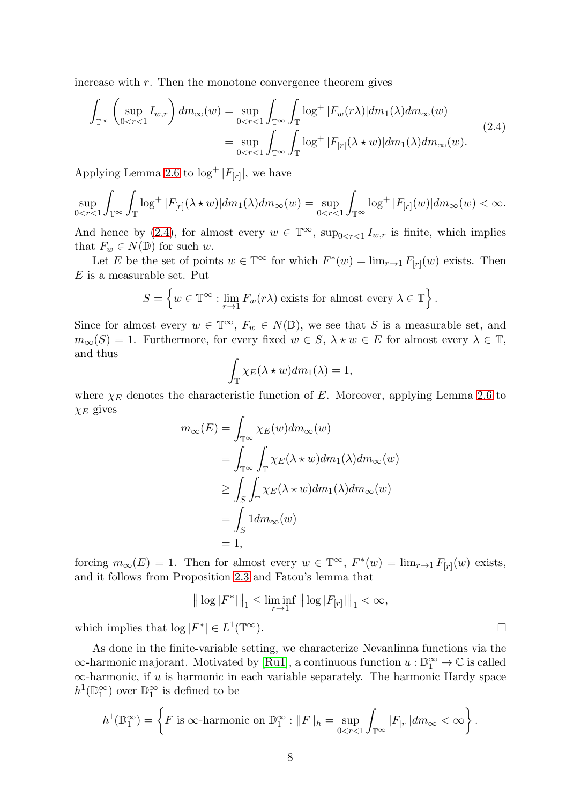increase with  $r$ . Then the monotone convergence theorem gives

<span id="page-7-0"></span>
$$
\int_{\mathbb{T}^{\infty}} \left( \sup_{0 < r < 1} I_{w,r} \right) dm_{\infty}(w) = \sup_{0 < r < 1} \int_{\mathbb{T}^{\infty}} \int_{\mathbb{T}} \log^{+} |F_w(r\lambda)| dm_1(\lambda) dm_{\infty}(w) \n= \sup_{0 < r < 1} \int_{\mathbb{T}^{\infty}} \int_{\mathbb{T}} \log^{+} |F_{[r]}(\lambda \star w)| dm_1(\lambda) dm_{\infty}(w).
$$
\n(2.4)

Applying Lemma [2.6](#page-6-1) to  $\log^+ |F_{[r]}|$ , we have

$$
\sup_{0
$$

And hence by [\(2.4\)](#page-7-0), for almost every  $w \in \mathbb{T}^{\infty}$ ,  $\sup_{0 \le r \le 1} I_{w,r}$  is finite, which implies that  $F_w \in N(\mathbb{D})$  for such w.

Let E be the set of points  $w \in \mathbb{T}^{\infty}$  for which  $F^*(w) = \lim_{r \to 1} F_{[r]}(w)$  exists. Then  $E$  is a measurable set. Put

$$
S = \left\{ w \in \mathbb{T}^{\infty} : \lim_{r \to 1} F_w(r\lambda) \text{ exists for almost every } \lambda \in \mathbb{T} \right\}
$$

.

Since for almost every  $w \in \mathbb{T}^{\infty}$ ,  $F_w \in N(\mathbb{D})$ , we see that S is a measurable set, and  $m_{\infty}(S) = 1$ . Furthermore, for every fixed  $w \in S$ ,  $\lambda \star w \in E$  for almost every  $\lambda \in \mathbb{T}$ , and thus

$$
\int_{\mathbb{T}} \chi_E(\lambda \star w) dm_1(\lambda) = 1,
$$

where  $\chi_E$  denotes the characteristic function of E. Moreover, applying Lemma [2.6](#page-6-1) to  $\chi_E$  gives

$$
m_{\infty}(E) = \int_{\mathbb{T}^{\infty}} \chi_E(w) dm_{\infty}(w)
$$
  
= 
$$
\int_{\mathbb{T}^{\infty}} \int_{\mathbb{T}} \chi_E(\lambda \star w) dm_1(\lambda) dm_{\infty}(w)
$$
  

$$
\geq \int_S \int_{\mathbb{T}} \chi_E(\lambda \star w) dm_1(\lambda) dm_{\infty}(w)
$$
  
= 
$$
\int_S 1 dm_{\infty}(w)
$$
  
= 1,

forcing  $m_{\infty}(E) = 1$ . Then for almost every  $w \in \mathbb{T}^{\infty}$ ,  $F^*(w) = \lim_{r \to 1} F_{[r]}(w)$  exists, and it follows from Proposition [2.3](#page-5-0) and Fatou's lemma that

$$
\big\|\log|F^*|\big\|_1\leq \liminf_{r\to 1}\big\|\log|F_{[r]}|\big\|_1<\infty,
$$

which implies that  $\log |F^*| \in L^1(\mathbb{T}^\infty)$ .

As done in the finite-variable setting, we characterize Nevanlinna functions via the  $\infty$ -harmonic majorant. Motivated by [\[Ru1\]](#page-35-4), a continuous function  $u : \mathbb{D}_1^{\infty} \to \mathbb{C}$  is called  $\infty$ -harmonic, if u is harmonic in each variable separately. The harmonic Hardy space  $h^1(\mathbb{D}_1^{\infty})$  over  $\mathbb{D}_1^{\infty}$  is defined to be

$$
h^{1}(\mathbb{D}_{1}^{\infty}) = \left\{ F \text{ is } \infty\text{-harmonic on } \mathbb{D}_{1}^{\infty}: ||F||_{h} = \sup_{0 < r < 1} \int_{\mathbb{T}^{\infty}} |F_{[r]}| dm_{\infty} < \infty \right\}.
$$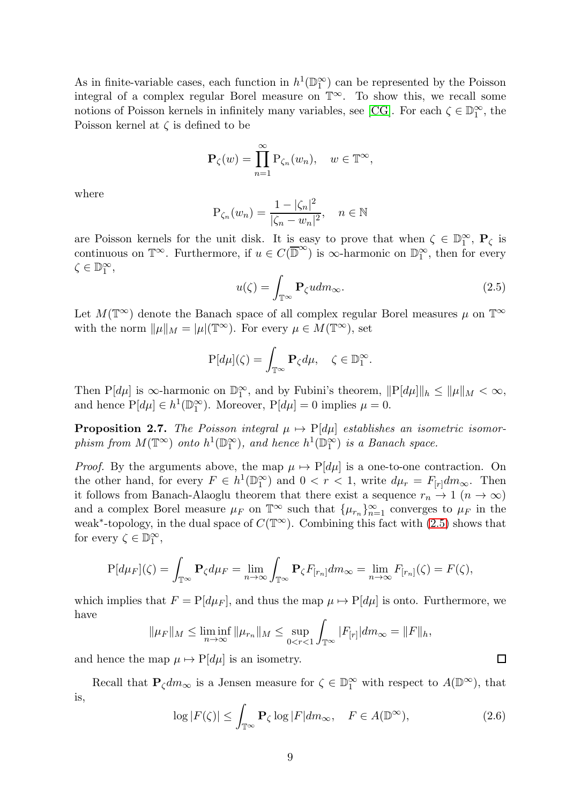As in finite-variable cases, each function in  $h^1(\mathbb{D}_1^{\infty})$  can be represented by the Poisson integral of a complex regular Borel measure on T∞. To show this, we recall some notions of Poisson kernels in infinitely many variables, see [\[CG\]](#page-34-0). For each  $\zeta \in \mathbb{D}_1^{\infty}$ , the Poisson kernel at  $\zeta$  is defined to be

$$
\mathbf{P}_{\zeta}(w) = \prod_{n=1}^{\infty} \mathbf{P}_{\zeta_n}(w_n), \quad w \in \mathbb{T}^{\infty},
$$

where

$$
P_{\zeta_n}(w_n) = \frac{1 - |\zeta_n|^2}{|\zeta_n - w_n|^2}, \quad n \in \mathbb{N}
$$

are Poisson kernels for the unit disk. It is easy to prove that when  $\zeta \in \mathbb{D}_1^{\infty}$ ,  $P_{\zeta}$  is continuous on  $\mathbb{T}^{\infty}$ . Furthermore, if  $u \in C(\overline{\mathbb{D}}^{\infty})$  is  $\infty$ -harmonic on  $\mathbb{D}^{\infty}$ , then for every  $\zeta \in \mathbb{D}_1^{\infty}$ ,

<span id="page-8-0"></span>
$$
u(\zeta) = \int_{\mathbb{T}^{\infty}} \mathbf{P}_{\zeta} u dm_{\infty}.
$$
 (2.5)

Let  $M(\mathbb{T}^{\infty})$  denote the Banach space of all complex regular Borel measures  $\mu$  on  $\mathbb{T}^{\infty}$ with the norm  $\|\mu\|_M = |\mu|(\mathbb{T}^\infty)$ . For every  $\mu \in M(\mathbb{T}^\infty)$ , set

$$
\mathbf{P}[d\mu](\zeta) = \int_{\mathbb{T}^{\infty}} \mathbf{P}_{\zeta} d\mu, \quad \zeta \in \mathbb{D}_{1}^{\infty}.
$$

Then  $P[d\mu]$  is  $\infty$ -harmonic on  $\mathbb{D}_1^{\infty}$ , and by Fubini's theorem,  $||P[d\mu]||_h \le ||\mu||_M < \infty$ , and hence  $P[d\mu] \in h^1(\mathbb{D}_1^{\infty})$ . Moreover,  $P[d\mu] = 0$  implies  $\mu = 0$ .

**Proposition 2.7.** The Poisson integral  $\mu \mapsto P[d\mu]$  establishes an isometric isomorphism from  $M(\mathbb{T}^{\infty})$  onto  $h^1(\mathbb{D}_1^{\infty})$ , and hence  $h^1(\mathbb{D}_1^{\infty})$  is a Banach space.

*Proof.* By the arguments above, the map  $\mu \mapsto P[d\mu]$  is a one-to-one contraction. On the other hand, for every  $F \in h^1(\mathbb{D}_1^{\infty})$  and  $0 < r < 1$ , write  $d\mu_r = F_{[r]}dm_{\infty}$ . Then it follows from Banach-Alaoglu theorem that there exist a sequence  $r_n \to 1$   $(n \to \infty)$ and a complex Borel measure  $\mu_F$  on  $\mathbb{T}^{\infty}$  such that  $\{\mu_{r_n}\}_{n=1}^{\infty}$  converges to  $\mu_F$  in the weak<sup>\*</sup>-topology, in the dual space of  $C(\mathbb{T}^{\infty})$ . Combining this fact with [\(2.5\)](#page-8-0) shows that for every  $\zeta \in \mathbb{D}_1^{\infty}$ ,

$$
P[d\mu_F](\zeta) = \int_{\mathbb{T}^{\infty}} \mathbf{P}_{\zeta} d\mu_F = \lim_{n \to \infty} \int_{\mathbb{T}^{\infty}} \mathbf{P}_{\zeta} F_{[r_n]} dm_{\infty} = \lim_{n \to \infty} F_{[r_n]}(\zeta) = F(\zeta),
$$

which implies that  $F = P[d\mu_F]$ , and thus the map  $\mu \mapsto P[d\mu]$  is onto. Furthermore, we have

$$
\|\mu_F\|_M \le \liminf_{n \to \infty} \|\mu_{r_n}\|_M \le \sup_{0 < r < 1} \int_{\mathbb{T}^\infty} |F_{[r]}| dm_\infty = \|F\|_h,
$$

and hence the map  $\mu \mapsto P[d\mu]$  is an isometry.

Recall that  $\mathbf{P}_{\zeta}dm_{\infty}$  is a Jensen measure for  $\zeta \in \mathbb{D}_1^{\infty}$  with respect to  $A(\mathbb{D}^{\infty})$ , that is,

<span id="page-8-1"></span>
$$
\log|F(\zeta)| \le \int_{\mathbb{T}^{\infty}} \mathbf{P}_{\zeta} \log|F| dm_{\infty}, \quad F \in A(\mathbb{D}^{\infty}), \tag{2.6}
$$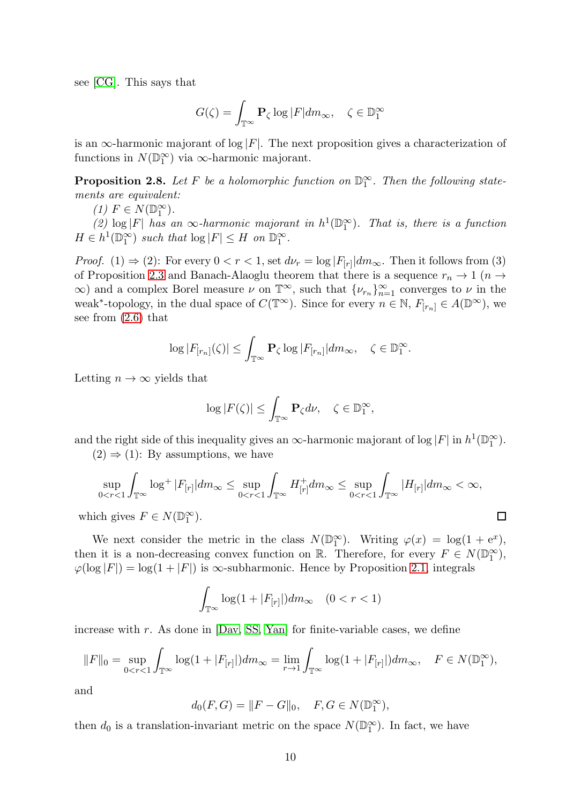see [\[CG\]](#page-34-0). This says that

$$
G(\zeta) = \int_{\mathbb{T}^{\infty}} \mathbf{P}_{\zeta} \log |F| dm_{\infty}, \quad \zeta \in \mathbb{D}_{1}^{\infty}
$$

is an  $\infty$ -harmonic majorant of  $\log |F|$ . The next proposition gives a characterization of functions in  $N(\mathbb{D}_1^{\infty})$  via  $\infty$ -harmonic majorant.

<span id="page-9-0"></span>**Proposition 2.8.** Let F be a holomorphic function on  $\mathbb{D}_1^{\infty}$ . Then the following statements are equivalent:

(1)  $F \in N(\mathbb{D}_1^{\infty})$ .

(2)  $\log |F|$  has an  $\infty$ -harmonic majorant in  $h^1(\mathbb{D}_1^{\infty})$ . That is, there is a function  $H \in h^1(\mathbb{D}_1^{\infty})$  such that  $\log |F| \leq H$  on  $\mathbb{D}_1^{\infty}$ .

*Proof.* (1)  $\Rightarrow$  (2): For every  $0 < r < 1$ , set  $d\nu_r = \log |F_{[r]}| dm_\infty$ . Then it follows from (3) of Proposition [2.3](#page-5-0) and Banach-Alaoglu theorem that there is a sequence  $r_n \to 1$  ( $n \to$  $\infty$ ) and a complex Borel measure  $\nu$  on  $\mathbb{T}^{\infty}$ , such that  $\{\nu_{r_n}\}_{n=1}^{\infty}$  converges to  $\nu$  in the weak<sup>\*</sup>-topology, in the dual space of  $C(\mathbb{T}^{\infty})$ . Since for every  $n \in \mathbb{N}$ ,  $F_{[r_n]} \in A(\mathbb{D}^{\infty})$ , we see from [\(2.6\)](#page-8-1) that

$$
\log |F_{[r_n]}(\zeta)| \le \int_{\mathbb{T}^\infty} \mathbf{P}_{\zeta} \log |F_{[r_n]}| dm_\infty, \quad \zeta \in \mathbb{D}_1^\infty.
$$

Letting  $n \to \infty$  yields that

$$
\log |F(\zeta)| \leq \int_{\mathbb{T}^{\infty}} \mathbf{P}_{\zeta} d\nu, \quad \zeta \in \mathbb{D}^{\infty}_{1},
$$

and the right side of this inequality gives an  $\infty$ -harmonic majorant of log  $|F|$  in  $h^1(\mathbb{D}_1^{\infty})$ .

 $(2) \Rightarrow (1)$ : By assumptions, we have

$$
\sup_{0
$$

 $\Box$ 

which gives  $F \in N(\mathbb{D}_1^{\infty})$ .

We next consider the metric in the class  $N(\mathbb{D}_1^{\infty})$ . Writing  $\varphi(x) = \log(1 + e^x)$ , then it is a non-decreasing convex function on  $\mathbb{R}$ . Therefore, for every  $F \in N(\mathbb{D}_1^{\infty})$ ,  $\varphi(\log|F|) = \log(1+|F|)$  is  $\infty$ -subharmonic. Hence by Proposition [2.1,](#page-4-0) integrals

$$
\int_{\mathbb{T}^{\infty}} \log(1 + |F_{[r]}|) dm_{\infty} \quad (0 < r < 1)
$$

increase with  $r$ . As done in  $[Day, SS, Yan]$  $[Day, SS, Yan]$  $[Day, SS, Yan]$  for finite-variable cases, we define

$$
||F||_0 = \sup_{0 < r < 1} \int_{\mathbb{T}^\infty} \log(1 + |F_{[r]}|) dm_\infty = \lim_{r \to 1} \int_{\mathbb{T}^\infty} \log(1 + |F_{[r]}|) dm_\infty, \quad F \in N(\mathbb{D}_1^\infty),
$$

and

$$
d_0(F, G) = ||F - G||_0, \quad F, G \in N(\mathbb{D}_1^{\infty}),
$$

then  $d_0$  is a translation-invariant metric on the space  $N(\mathbb{D}_1^{\infty})$ . In fact, we have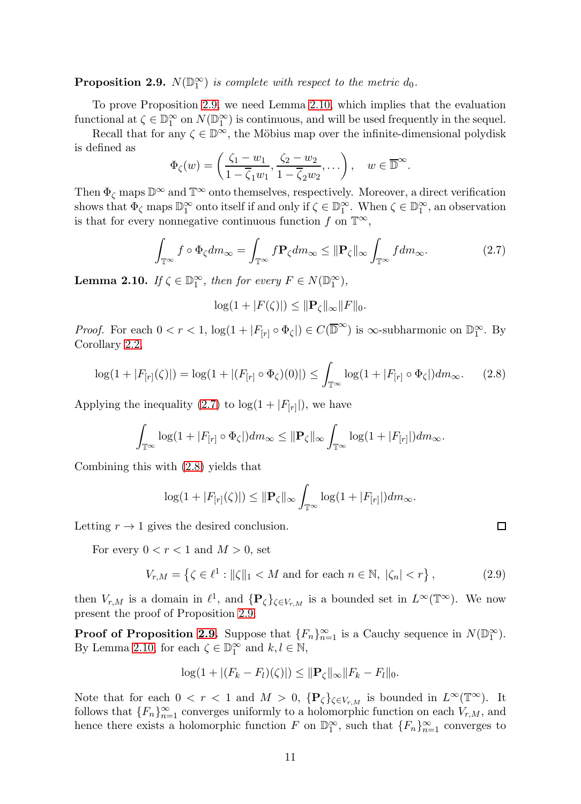<span id="page-10-0"></span>**Proposition 2.9.**  $N(\mathbb{D}_1^{\infty})$  is complete with respect to the metric  $d_0$ .

To prove Proposition [2.9,](#page-10-0) we need Lemma [2.10,](#page-10-1) which implies that the evaluation functional at  $\zeta \in \mathbb{D}_1^{\infty}$  on  $N(\mathbb{D}_1^{\infty})$  is continuous, and will be used frequently in the sequel.

Recall that for any  $\zeta \in \mathbb{D}^{\infty}$ , the Möbius map over the infinite-dimensional polydisk is defined as

$$
\Phi_{\zeta}(w) = \left(\frac{\zeta_1 - w_1}{1 - \overline{\zeta}_1 w_1}, \frac{\zeta_2 - w_2}{1 - \overline{\zeta}_2 w_2}, \dots\right), \quad w \in \overline{\mathbb{D}}^{\infty}.
$$

Then  $\Phi_{\zeta}$  maps  $\mathbb{D}^{\infty}$  and  $\mathbb{T}^{\infty}$  onto themselves, respectively. Moreover, a direct verification shows that  $\Phi_{\zeta}$  maps  $\mathbb{D}_1^{\infty}$  onto itself if and only if  $\zeta \in \mathbb{D}_1^{\infty}$ . When  $\zeta \in \mathbb{D}_1^{\infty}$ , an observation is that for every nonnegative continuous function f on  $\mathbb{T}^{\infty}$ ,

<span id="page-10-2"></span>
$$
\int_{\mathbb{T}^{\infty}} f \circ \Phi_{\zeta} dm_{\infty} = \int_{\mathbb{T}^{\infty}} f \mathbf{P}_{\zeta} dm_{\infty} \leq \|\mathbf{P}_{\zeta}\|_{\infty} \int_{\mathbb{T}^{\infty}} f dm_{\infty}.
$$
\n(2.7)

<span id="page-10-1"></span>**Lemma 2.10.** If  $\zeta \in \mathbb{D}_1^{\infty}$ , then for every  $F \in N(\mathbb{D}_1^{\infty})$ ,

$$
\log(1+|F(\zeta)|) \leq \|\mathbf{P}_{\zeta}\|_{\infty} \|F\|_{0}.
$$

*Proof.* For each  $0 < r < 1$ ,  $\log(1 + |F_{[r]} \circ \Phi_{\zeta}|) \in C(\overline{\mathbb{D}}^{\infty})$  is  $\infty$ -subharmonic on  $\mathbb{D}_{1}^{\infty}$ . By Corollary [2.2,](#page-4-2)

<span id="page-10-3"></span>
$$
\log(1+|F_{[r]}(\zeta)|) = \log(1+|(F_{[r]}\circ\Phi_{\zeta})(0)|) \le \int_{\mathbb{T}^{\infty}} \log(1+|F_{[r]}\circ\Phi_{\zeta}|) dm_{\infty}.
$$
 (2.8)

Applying the inequality  $(2.7)$  to  $\log(1+|F_{[r]}|)$ , we have

$$
\int_{\mathbb{T}^{\infty}} \log(1+|F_{[r]} \circ \Phi_{\zeta}|) dm_{\infty} \leq \|\mathbf{P}_{\zeta}\|_{\infty} \int_{\mathbb{T}^{\infty}} \log(1+|F_{[r]}|) dm_{\infty}.
$$

Combining this with [\(2.8\)](#page-10-3) yields that

$$
\log(1+|F_{[r]}(\zeta)|) \leq \|\mathbf{P}_{\zeta}\|_{\infty} \int_{\mathbb{T}^{\infty}} \log(1+|F_{[r]}|) dm_{\infty}.
$$

Letting  $r \to 1$  gives the desired conclusion.

For every  $0 < r < 1$  and  $M > 0$ , set

<span id="page-10-4"></span>
$$
V_{r,M} = \left\{ \zeta \in \ell^1 : ||\zeta||_1 < M \text{ and for each } n \in \mathbb{N}, \ |\zeta_n| < r \right\},\tag{2.9}
$$

then  $V_{r,M}$  is a domain in  $\ell^1$ , and  $\{P_{\zeta}\}_{\zeta \in V_{r,M}}$  is a bounded set in  $L^{\infty}(\mathbb{T}^{\infty})$ . We now present the proof of Proposition [2.9.](#page-10-0)

**Proof of Proposition [2.9.](#page-10-0)** Suppose that  ${F_n}_{n=1}^{\infty}$  is a Cauchy sequence in  $N(\mathbb{D}_1^{\infty})$ . By Lemma [2.10,](#page-10-1) for each  $\zeta \in \mathbb{D}_1^{\infty}$  and  $k, l \in \mathbb{N}$ ,

$$
\log(1+|(F_k-F_l)(\zeta)|) \leq \|\mathbf{P}_{\zeta}\|_{\infty} \|F_k-F_l\|_0.
$$

Note that for each  $0 < r < 1$  and  $M > 0$ ,  $\{P_{\zeta}\}_{{\zeta} \in V_{r,M}}$  is bounded in  $L^{\infty}(\mathbb{T}^{\infty})$ . It follows that  ${F_n}_{n=1}^{\infty}$  converges uniformly to a holomorphic function on each  $V_{r,M}$ , and hence there exists a holomorphic function F on  $\mathbb{D}_1^{\infty}$ , such that  $\{F_n\}_{n=1}^{\infty}$  converges to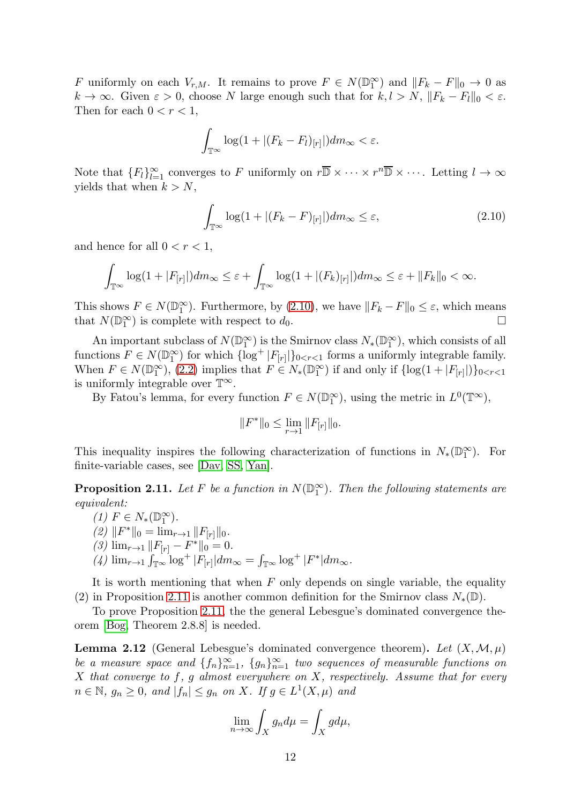F uniformly on each  $V_{r,M}$ . It remains to prove  $F \in N(\mathbb{D}_1^{\infty})$  and  $||F_k - F||_0 \to 0$  as  $k \to \infty$ . Given  $\varepsilon > 0$ , choose N large enough such that for  $k, l > N$ ,  $||F_k - F_l||_0 < \varepsilon$ . Then for each  $0 < r < 1$ ,

$$
\int_{\mathbb{T}^{\infty}} \log(1 + |(F_k - F_l)_{[r]}|) dm_{\infty} < \varepsilon.
$$

Note that  ${F_l}_{l=1}^{\infty}$  converges to F uniformly on  $r\overline{\mathbb{D}} \times \cdots \times r^n\overline{\mathbb{D}} \times \cdots$ . Letting  $l \to \infty$ yields that when  $k > N$ ,

<span id="page-11-0"></span>
$$
\int_{\mathbb{T}^{\infty}} \log(1 + |(F_k - F)_{[r]}|) dm_{\infty} \le \varepsilon,
$$
\n(2.10)

and hence for all  $0 < r < 1$ ,

$$
\int_{\mathbb{T}^{\infty}} \log(1+|F_{[r]}|) dm_{\infty} \leq \varepsilon + \int_{\mathbb{T}^{\infty}} \log(1+|(F_k)_{[r]}|) dm_{\infty} \leq \varepsilon + ||F_k||_0 < \infty.
$$

This shows  $F \in N(\mathbb{D}_1^{\infty})$ . Furthermore, by [\(2.10\)](#page-11-0), we have  $||F_k - F||_0 \leq \varepsilon$ , which means that  $N(\mathbb{D}_1^{\infty})$  is complete with respect to  $d_0$ .

An important subclass of  $N(\mathbb{D}_1^{\infty})$  is the Smirnov class  $N_*(\mathbb{D}_1^{\infty})$ , which consists of all functions  $F \in N(\mathbb{D}_1^{\infty})$  for which  $\{\log^+ |F_{[r]}|\}_{0 \leq r \leq 1}$  forms a uniformly integrable family. When  $F \in N(\mathbb{D}_1^{\infty})$ , [\(2.2\)](#page-5-1) implies that  $F \in N_*(\mathbb{D}_1^{\infty})$  if and only if  $\{\log(1+|F_{[r]}|)\}_{0 < r < 1}$ is uniformly integrable over  $\mathbb{T}^{\infty}$ .

By Fatou's lemma, for every function  $F \in N(\mathbb{D}_1^{\infty})$ , using the metric in  $L^0(\mathbb{T}^{\infty})$ ,

$$
||F^*||_0 \le \lim_{r \to 1} ||F_{[r]}||_0.
$$

This inequality inspires the following characterization of functions in  $N_*(\mathbb{D}_1^{\infty})$ . For finite-variable cases, see [\[Dav,](#page-34-15) [SS,](#page-35-9) [Yan\]](#page-35-10).

<span id="page-11-1"></span>**Proposition 2.11.** Let F be a function in  $N(\mathbb{D}_1^{\infty})$ . Then the following statements are equivalent:

(1)  $F \in N_*(\mathbb{D}_1^{\infty})$ . (2)  $||F^*||_0 = \lim_{r \to 1} ||F_{[r]}||_0.$ (3)  $\lim_{r\to 1} ||F_{[r]} - F^*||_0 = 0.$ (4)  $\lim_{r\to 1} \int_{\mathbb{T}^{\infty}} \log^+ |F_{[r]}| dm_{\infty} = \int_{\mathbb{T}^{\infty}} \log^+ |F^*| dm_{\infty}$ .

It is worth mentioning that when  $F$  only depends on single variable, the equality (2) in Proposition [2.11](#page-11-1) is another common definition for the Smirnov class  $N_*(\mathbb{D})$ .

To prove Proposition [2.11,](#page-11-1) the the general Lebesgue's dominated convergence theorem [\[Bog,](#page-34-16) Theorem 2.8.8] is needed.

<span id="page-11-2"></span>**Lemma 2.12** (General Lebesgue's dominated convergence theorem). Let  $(X, \mathcal{M}, \mu)$ be a measure space and  $\{f_n\}_{n=1}^{\infty}$ ,  $\{g_n\}_{n=1}^{\infty}$  two sequences of measurable functions on X that converge to  $f, g$  almost everywhere on  $X$ , respectively. Assume that for every  $n \in \mathbb{N}, g_n \ge 0, \text{ and } |f_n| \le g_n \text{ on } X.$  If  $g \in L^1(X, \mu)$  and

$$
\lim_{n \to \infty} \int_X g_n d\mu = \int_X g d\mu,
$$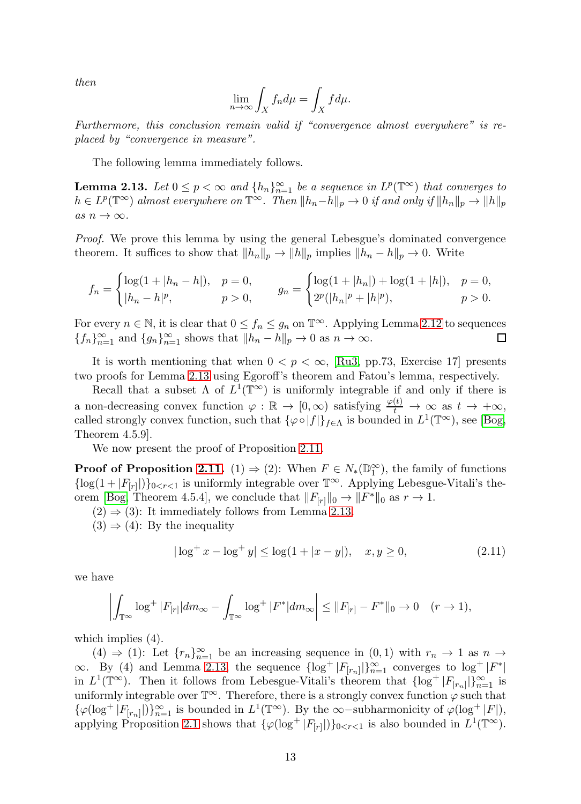then

$$
\lim_{n \to \infty} \int_X f_n d\mu = \int_X f d\mu.
$$

Furthermore, this conclusion remain valid if "convergence almost everywhere" is replaced by "convergence in measure".

The following lemma immediately follows.

<span id="page-12-0"></span>**Lemma 2.13.** Let  $0 \le p < \infty$  and  $\{h_n\}_{n=1}^{\infty}$  be a sequence in  $L^p(\mathbb{T}^{\infty})$  that converges to  $h \in L^p(\mathbb{T}^\infty)$  almost everywhere on  $\mathbb{T}^\infty$ . Then  $||h_n-h||_p \to 0$  if and only if  $||h_n||_p \to ||h||_p$ as  $n \to \infty$ .

Proof. We prove this lemma by using the general Lebesgue's dominated convergence theorem. It suffices to show that  $||h_n||_p \to ||h||_p$  implies  $||h_n - h||_p \to 0$ . Write

$$
f_n = \begin{cases} \log(1+|h_n - h|), & p = 0, \\ |h_n - h|^p, & p > 0, \end{cases} \qquad g_n = \begin{cases} \log(1+|h_n|) + \log(1+|h|), & p = 0, \\ 2^p(|h_n|^p + |h|^p), & p > 0. \end{cases}
$$

For every  $n \in \mathbb{N}$ , it is clear that  $0 \le f_n \le g_n$  on  $\mathbb{T}^{\infty}$ . Applying Lemma [2.12](#page-11-2) to sequences  $\{f_n\}_{n=1}^{\infty}$  and  $\{g_n\}_{n=1}^{\infty}$  shows that  $||h_n - h||_n \to 0$  as  $n \to \infty$ .  ${f_n}_{n=1}^{\infty}$  and  ${g_n}_{n=1}^{\infty}$  shows that  $||h_n - h||_p \to 0$  as  $n \to \infty$ .

It is worth mentioning that when  $0 < p < \infty$ , [\[Ru3,](#page-35-8) pp.73, Exercise 17] presents two proofs for Lemma [2.13](#page-12-0) using Egoroff's theorem and Fatou's lemma, respectively.

Recall that a subset  $\Lambda$  of  $L^1(\mathbb{T}^\infty)$  is uniformly integrable if and only if there is a non-decreasing convex function  $\varphi : \mathbb{R} \to [0, \infty)$  satisfying  $\frac{\varphi(t)}{t} \to \infty$  as  $t \to +\infty$ , called strongly convex function, such that  $\{\varphi \circ |f|\}_{f \in \Lambda}$  is bounded in  $L^1(\mathbb{T}^\infty)$ , see [\[Bog,](#page-34-16) Theorem 4.5.9].

We now present the proof of Proposition [2.11.](#page-11-1)

**Proof of Proposition [2.11.](#page-11-1)** (1)  $\Rightarrow$  (2): When  $F \in N_*(\mathbb{D}_1^{\infty})$ , the family of functions { $log(1 + |F_{[r]}|)$ }<sub>0<r<1</sub> is uniformly integrable over  $\mathbb{T}^{\infty}$ . Applying Lebesgue-Vitali's the-orem [\[Bog,](#page-34-16) Theorem 4.5.4], we conclude that  $||F_{[r]}||_0 \to ||F^*||_0$  as  $r \to 1$ .

 $(2) \Rightarrow (3)$ : It immediately follows from Lemma [2.13.](#page-12-0)

 $(3) \Rightarrow (4)$ : By the inequality

<span id="page-12-1"></span>
$$
|\log^+ x - \log^+ y| \le \log(1 + |x - y|), \quad x, y \ge 0,
$$
\n(2.11)

we have

$$
\left| \int_{\mathbb{T}^{\infty}} \log^{+} |F_{[r]}| dm_{\infty} - \int_{\mathbb{T}^{\infty}} \log^{+} |F^*| dm_{\infty} \right| \leq ||F_{[r]} - F^*||_0 \to 0 \quad (r \to 1),
$$

which implies  $(4)$ .

(4)  $\Rightarrow$  (1): Let  $\{r_n\}_{n=1}^{\infty}$  be an increasing sequence in  $(0,1)$  with  $r_n \to 1$  as  $n \to \infty$  $\infty$ . By (4) and Lemma [2.13,](#page-12-0) the sequence  $\{\log^+ |F_{[r_n]}|\}_{n=1}^{\infty}$  converges to  $\log^+ |F^*|$ in  $L^1(\mathbb{T}^\infty)$ . Then it follows from Lebesgue-Vitali's theorem that  $\{\log^+ |F_{[r_n]}|\}_{n=1}^\infty$  is uniformly integrable over  $\mathbb{T}^{\infty}$ . Therefore, there is a strongly convex function  $\varphi$  such that  $\{\varphi(\log^+|F_{[r_n]}|)\}_{n=1}^{\infty}$  is bounded in  $L^1(\mathbb{T}^{\infty})$ . By the  $\infty$ -subharmonicity of  $\varphi(\log^+|F|)$ , applying Proposition [2.1](#page-4-0) shows that  $\{\varphi(\log^+ |F_{[r]}|)\}_{0 \lt r \lt 1}$  is also bounded in  $L^1(\mathbb{T}^\infty)$ .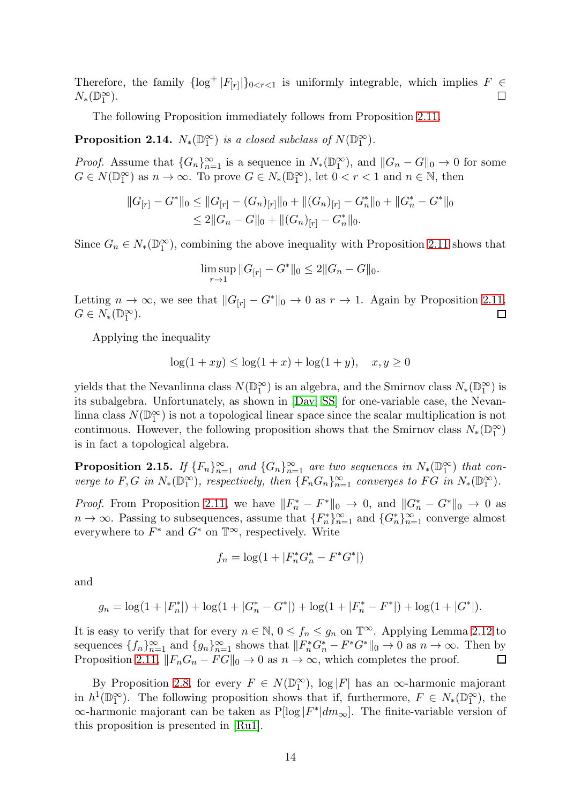Therefore, the family  $\{\log^+ |F_{[r]}|\}_{0 \le r \le 1}$  is uniformly integrable, which implies  $F \in$  $N_*(\mathbb{D}_1^\infty)$ ).  $\Box$ 

The following Proposition immediately follows from Proposition [2.11.](#page-11-1)

**Proposition 2.14.**  $N_*(\mathbb{D}_1^{\infty})$  is a closed subclass of  $N(\mathbb{D}_1^{\infty})$ .

*Proof.* Assume that  ${G_n}_{n=1}^{\infty}$  is a sequence in  $N_*(\mathbb{D}_1^{\infty})$ , and  $||G_n - G||_0 \to 0$  for some  $G \in N(\mathbb{D}_1^{\infty})$  as  $n \to \infty$ . To prove  $G \in N_*(\mathbb{D}_1^{\infty})$ , let  $0 < r < 1$  and  $n \in \mathbb{N}$ , then

$$
||G_{[r]} - G^*||_0 \le ||G_{[r]} - (G_n)_{[r]}||_0 + ||(G_n)_{[r]} - G^*_{n}||_0 + ||G^*_{n} - G^*||_0
$$
  

$$
\le 2||G_n - G||_0 + ||(G_n)_{[r]} - G^*_{n}||_0.
$$

Since  $G_n \in N_*(\mathbb{D}_1^{\infty})$ , combining the above inequality with Proposition [2.11](#page-11-1) shows that

$$
\limsup_{r\to 1}||G_{[r]}-G^*||_0\leq 2||G_n-G||_0.
$$

Letting  $n \to \infty$ , we see that  $||G_{[r]} - G^*||_0 \to 0$  as  $r \to 1$ . Again by Proposition [2.11,](#page-11-1)  $G \in N_*(\mathbb{D}_1^{\infty})$ . □  $G \in N_*(\mathbb{D}_1^{\infty}).$ 

Applying the inequality

$$
\log(1+xy) \le \log(1+x) + \log(1+y), \quad x, y \ge 0
$$

yields that the Nevanlinna class  $N(\mathbb{D}_1^{\infty})$  is an algebra, and the Smirnov class  $N_*(\mathbb{D}_1^{\infty})$  is its subalgebra. Unfortunately, as shown in [\[Dav,](#page-34-15) [SS\]](#page-35-9) for one-variable case, the Nevanlinna class  $N(\mathbb{D}_1^{\infty})$  is not a topological linear space since the scalar multiplication is not continuous. However, the following proposition shows that the Smirnov class  $N_*(\mathbb{D}_1^{\infty})$ is in fact a topological algebra.

<span id="page-13-0"></span>**Proposition 2.15.** If  ${F_n}_{n=1}^{\infty}$  and  ${G_n}_{n=1}^{\infty}$  are two sequences in  $N_*(D_1^{\infty})$  that converge to F, G in  $N_*(\mathbb{D}_1^{\infty})$ , respectively, then  $\{F_n G_n\}_{n=1}^{\infty}$  converges to FG in  $N_*(\mathbb{D}_1^{\infty})$ .

*Proof.* From Proposition [2.11,](#page-11-1) we have  $||F_n^* - F^*||_0 \to 0$ , and  $||G_n^* - G^*||_0 \to 0$  as  $n \to \infty$ . Passing to subsequences, assume that  ${F_n^*}_{n=1}^{\infty}$  and  ${G_n^*}_{n=1}^{\infty}$  converge almost everywhere to  $F^*$  and  $G^*$  on  $\mathbb{T}^\infty$ , respectively. Write

$$
f_n = \log(1 + |F_n^* G_n^* - F^* G^*|)
$$

and

$$
g_n = \log(1+|F_n^*|) + \log(1+|G_n^*-G^*|) + \log(1+|F_n^*-F^*|) + \log(1+|G^*|).
$$

It is easy to verify that for every  $n \in \mathbb{N}$ ,  $0 \le f_n \le g_n$  on  $\mathbb{T}^{\infty}$ . Applying Lemma [2.12](#page-11-2) to sequences  $\{f_n\}_{n=1}^{\infty}$  and  $\{g_n\}_{n=1}^{\infty}$  shows that  $||F_n^*G_n^* - F^*G^*||_0 \to 0$  as  $n \to \infty$ . Then by Proposition [2.11,](#page-11-1)  $||F_nG_n - FG||_0 \to 0$  as  $n \to \infty$ , which completes the proof.

By Proposition [2.8,](#page-9-0) for every  $F \in N(\mathbb{D}_1^{\infty})$ ,  $\log |F|$  has an  $\infty$ -harmonic majorant in  $h^1(\mathbb{D}_1^{\infty})$ . The following proposition shows that if, furthermore,  $F \in N_*(\mathbb{D}_1^{\infty})$ , the  $\infty$ -harmonic majorant can be taken as P[log | $F^*$ | $dm_{\infty}$ ]. The finite-variable version of this proposition is presented in [\[Ru1\]](#page-35-4).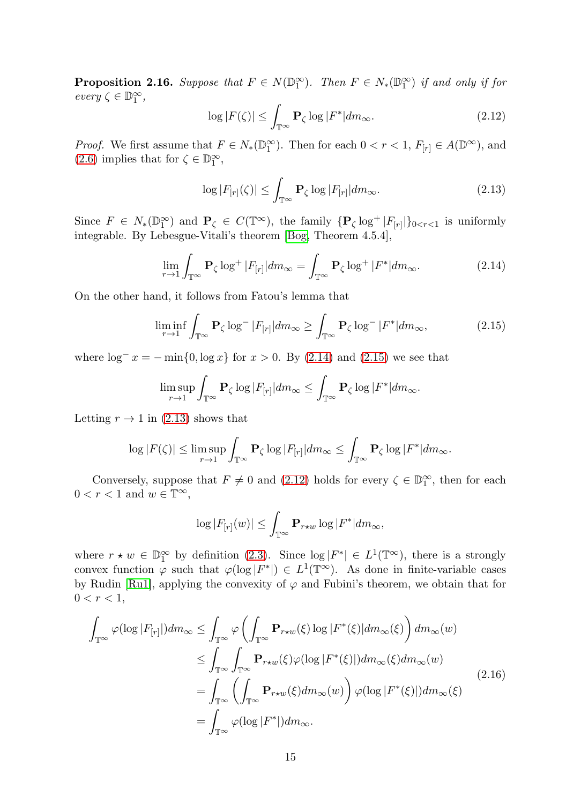<span id="page-14-5"></span>**Proposition 2.16.** Suppose that  $F \in N(\mathbb{D}_1^{\infty})$ . Then  $F \in N_*(\mathbb{D}_1^{\infty})$  if and only if for  $every \zeta \in \mathbb{D}_1^{\infty},$ 

<span id="page-14-3"></span>
$$
\log|F(\zeta)| \le \int_{\mathbb{T}^{\infty}} \mathbf{P}_{\zeta} \log|F^*| dm_{\infty}.
$$
 (2.12)

*Proof.* We first assume that  $F \in N_*(\mathbb{D}_1^{\infty})$ . Then for each  $0 < r < 1$ ,  $F_{[r]} \in A(\mathbb{D}^{\infty})$ , and [\(2.6\)](#page-8-1) implies that for  $\zeta \in \mathbb{D}_1^{\infty}$ ,

<span id="page-14-2"></span>
$$
\log|F_{[r]}(\zeta)| \le \int_{\mathbb{T}^{\infty}} \mathbf{P}_{\zeta} \log|F_{[r]}| dm_{\infty}.
$$
 (2.13)

Since  $F \in N_*(\mathbb{D}_1^{\infty})$  and  $\mathbf{P}_{\zeta} \in C(\mathbb{T}^{\infty})$ , the family  $\{\mathbf{P}_{\zeta} \log^+ |F_{[r]}|\}_{0 \le r \le 1}$  is uniformly integrable. By Lebesgue-Vitali's theorem [\[Bog,](#page-34-16) Theorem 4.5.4],

<span id="page-14-0"></span>
$$
\lim_{r \to 1} \int_{\mathbb{T}^{\infty}} \mathbf{P}_{\zeta} \log^{+} |F_{[r]}| dm_{\infty} = \int_{\mathbb{T}^{\infty}} \mathbf{P}_{\zeta} \log^{+} |F^*| dm_{\infty}.
$$
 (2.14)

On the other hand, it follows from Fatou's lemma that

<span id="page-14-1"></span>
$$
\liminf_{r \to 1} \int_{\mathbb{T}^{\infty}} \mathbf{P}_{\zeta} \log^{-} |F_{[r]}| dm_{\infty} \ge \int_{\mathbb{T}^{\infty}} \mathbf{P}_{\zeta} \log^{-} |F^*| dm_{\infty}, \tag{2.15}
$$

where  $\log^{-} x = -\min\{0, \log x\}$  for  $x > 0$ . By [\(2.14\)](#page-14-0) and [\(2.15\)](#page-14-1) we see that

$$
\limsup_{r\to 1}\int_{\mathbb{T}^{\infty}}\mathbf{P}_{\zeta}\log|F_{[r]}|dm_{\infty}\leq \int_{\mathbb{T}^{\infty}}\mathbf{P}_{\zeta}\log|F^*|dm_{\infty}.
$$

Letting  $r \to 1$  in [\(2.13\)](#page-14-2) shows that

$$
\log|F(\zeta)| \leq \limsup_{r \to 1} \int_{\mathbb{T}^{\infty}} \mathbf{P}_{\zeta} \log |F_{[r]}| dm_{\infty} \leq \int_{\mathbb{T}^{\infty}} \mathbf{P}_{\zeta} \log |F^*| dm_{\infty}.
$$

Conversely, suppose that  $F \neq 0$  and [\(2.12\)](#page-14-3) holds for every  $\zeta \in \mathbb{D}_1^{\infty}$ , then for each  $0 < r < 1$  and  $w \in \mathbb{T}^{\infty}$ ,

$$
\log |F_{[r]}(w)| \le \int_{\mathbb{T}^{\infty}} \mathbf{P}_{r \star w} \log |F^*| dm_{\infty},
$$

where  $r \star w \in \mathbb{D}_1^{\infty}$  by definition [\(2.3\)](#page-6-2). Since  $\log |F^*| \in L^1(\mathbb{T}^{\infty})$ , there is a strongly convex function  $\varphi$  such that  $\varphi(\log|F^*|) \in L^1(\mathbb{T}^\infty)$ . As done in finite-variable cases by Rudin [\[Ru1\]](#page-35-4), applying the convexity of  $\varphi$  and Fubini's theorem, we obtain that for  $0 < r < 1$ ,

<span id="page-14-4"></span>
$$
\int_{\mathbb{T}^{\infty}} \varphi(\log |F_{[r]}|) dm_{\infty} \leq \int_{\mathbb{T}^{\infty}} \varphi \left( \int_{\mathbb{T}^{\infty}} \mathbf{P}_{r \star w}(\xi) \log |F^*(\xi)| dm_{\infty}(\xi) \right) dm_{\infty}(w)
$$
\n
$$
\leq \int_{\mathbb{T}^{\infty}} \int_{\mathbb{T}^{\infty}} \mathbf{P}_{r \star w}(\xi) \varphi(\log |F^*(\xi)|) dm_{\infty}(\xi) dm_{\infty}(w)
$$
\n
$$
= \int_{\mathbb{T}^{\infty}} \left( \int_{\mathbb{T}^{\infty}} \mathbf{P}_{r \star w}(\xi) dm_{\infty}(w) \right) \varphi(\log |F^*(\xi)|) dm_{\infty}(\xi)
$$
\n
$$
= \int_{\mathbb{T}^{\infty}} \varphi(\log |F^*|) dm_{\infty}.
$$
\n(2.16)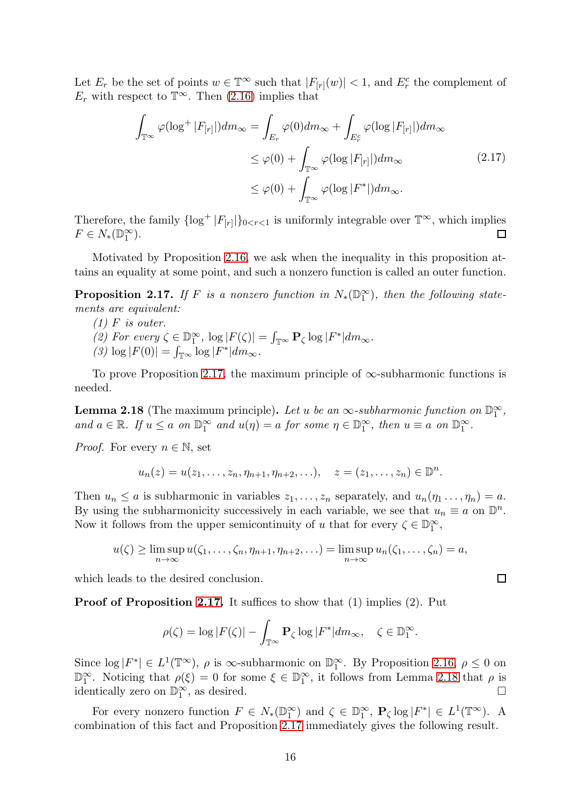Let  $E_r$  be the set of points  $w \in \mathbb{T}^\infty$  such that  $|F_{[r]}(w)| < 1$ , and  $E_r^c$  the complement of  $E_r$  with respect to  $\mathbb{T}^{\infty}$ . Then [\(2.16\)](#page-14-4) implies that

$$
\int_{\mathbb{T}^{\infty}} \varphi(\log^{+}|F_{[r]}|) dm_{\infty} = \int_{E_r} \varphi(0) dm_{\infty} + \int_{E_r^c} \varphi(\log|F_{[r]}|) dm_{\infty}
$$
\n
$$
\leq \varphi(0) + \int_{\mathbb{T}^{\infty}} \varphi(\log|F_{[r]}|) dm_{\infty} \tag{2.17}
$$
\n
$$
\leq \varphi(0) + \int_{\mathbb{T}^{\infty}} \varphi(\log|F^*|) dm_{\infty}.
$$

Therefore, the family  $\{\log^+ |F_{[r]}|\}_{0 \le r \le 1}$  is uniformly integrable over  $\mathbb{T}^{\infty}$ , which implies  $F \in N_*(\mathbb{D}_1^{\infty}).$ 

Motivated by Proposition [2.16,](#page-14-5) we ask when the inequality in this proposition attains an equality at some point, and such a nonzero function is called an outer function.

<span id="page-15-0"></span>**Proposition 2.17.** If F is a nonzero function in  $N_*(\mathbb{D}_1^{\infty})$ , then the following statements are equivalent:

- $(1)$  F is outer.
- (2) For every  $\zeta \in \mathbb{D}_1^{\infty}$ ,  $\log |F(\zeta)| = \int_{\mathbb{T}^{\infty}} \mathbf{P}_{\zeta} \log |F^*| dm_{\infty}$ .
- (3)  $\log |F(0)| = \int_{\mathbb{T}^{\infty}} \log |F^*| dm_{\infty}.$

To prove Proposition [2.17,](#page-15-0) the maximum principle of  $\infty$ -subharmonic functions is needed.

<span id="page-15-1"></span>**Lemma 2.18** (The maximum principle). Let u be an  $\infty$ -subharmonic function on  $\mathbb{D}_1^{\infty}$ , and  $a \in \mathbb{R}$ . If  $u \le a$  on  $\mathbb{D}_1^{\infty}$  and  $u(\eta) = a$  for some  $\eta \in \mathbb{D}_1^{\infty}$ , then  $u \equiv a$  on  $\mathbb{D}_1^{\infty}$ .

*Proof.* For every  $n \in \mathbb{N}$ , set

$$
u_n(z) = u(z_1, ..., z_n, \eta_{n+1}, \eta_{n+2}, ...), \quad z = (z_1, ..., z_n) \in \mathbb{D}^n.
$$

Then  $u_n \leq a$  is subharmonic in variables  $z_1, \ldots, z_n$  separately, and  $u_n(\eta_1 \ldots, \eta_n) = a$ . By using the subharmonicity successively in each variable, we see that  $u_n \equiv a$  on  $\mathbb{D}^n$ . Now it follows from the upper semicontinuity of u that for every  $\zeta \in \mathbb{D}_1^{\infty}$ ,

$$
u(\zeta) \geq \limsup_{n \to \infty} u(\zeta_1, \dots, \zeta_n, \eta_{n+1}, \eta_{n+2}, \dots) = \limsup_{n \to \infty} u_n(\zeta_1, \dots, \zeta_n) = a,
$$

 $\Box$ 

which leads to the desired conclusion.

Proof of Proposition [2.17.](#page-15-0) It suffices to show that (1) implies (2). Put

$$
\rho(\zeta) = \log |F(\zeta)| - \int_{\mathbb{T}^{\infty}} \mathbf{P}_{\zeta} \log |F^*| dm_{\infty}, \quad \zeta \in \mathbb{D}_1^{\infty}.
$$

Since  $\log |F^*| \in L^1(\mathbb{T}^\infty)$ ,  $\rho$  is  $\infty$ -subharmonic on  $\mathbb{D}_1^\infty$ . By Proposition [2.16,](#page-14-5)  $\rho \leq 0$  on  $\mathbb{D}_1^{\infty}$ . Noticing that  $\rho(\xi) = 0$  for some  $\xi \in \mathbb{D}_1^{\infty}$ , it follows from Lemma [2.18](#page-15-1) that  $\rho$  is identically zero on  $\mathbb{D}_1^{\infty}$ , as desired.

For every nonzero function  $F \in N_*(\mathbb{D}_1^{\infty})$  and  $\zeta \in \mathbb{D}_1^{\infty}$ ,  $\mathbf{P}_{\zeta} \log |F^*| \in L^1(\mathbb{T}^{\infty})$ . A combination of this fact and Proposition [2.17](#page-15-0) immediately gives the following result.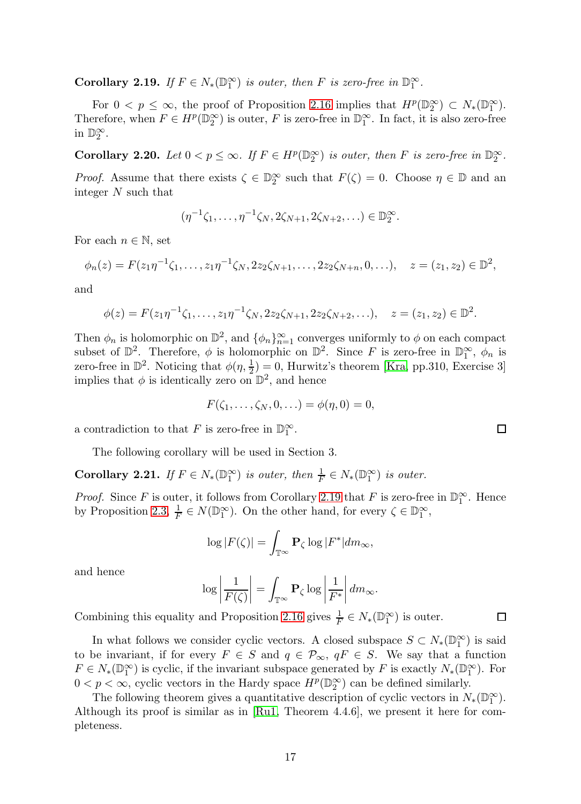<span id="page-16-0"></span>**Corollary 2.19.** If  $F \in N_*(\mathbb{D}_1^{\infty})$  is outer, then F is zero-free in  $\mathbb{D}_1^{\infty}$ .

For  $0 < p \leq \infty$ , the proof of Proposition [2.16](#page-14-5) implies that  $H^p(\mathbb{D}_2^{\infty}) \subset N_*(\mathbb{D}_1^{\infty})$ . Therefore, when  $F \in H^p(\mathbb{D}_2^{\infty})$  is outer, F is zero-free in  $\mathbb{D}_1^{\infty}$ . In fact, it is also zero-free in  $\mathbb{D}_2^{\infty}$ .

Corollary 2.20. Let  $0 < p \le \infty$ . If  $F \in H^p(\mathbb{D}_2^{\infty})$  is outer, then F is zero-free in  $\mathbb{D}_2^{\infty}$ .

*Proof.* Assume that there exists  $\zeta \in \mathbb{D}_2^{\infty}$  such that  $F(\zeta) = 0$ . Choose  $\eta \in \mathbb{D}$  and an integer N such that

$$
(\eta^{-1}\zeta_1,\ldots,\eta^{-1}\zeta_N,2\zeta_{N+1},2\zeta_{N+2},\ldots)\in\mathbb{D}_2^{\infty}.
$$

For each  $n \in \mathbb{N}$ , set

$$
\phi_n(z) = F(z_1 \eta^{-1} \zeta_1, \dots, z_1 \eta^{-1} \zeta_N, 2z_2 \zeta_{N+1}, \dots, 2z_2 \zeta_{N+n}, 0, \dots), \quad z = (z_1, z_2) \in \mathbb{D}^2,
$$

and

$$
\phi(z) = F(z_1 \eta^{-1} \zeta_1, \dots, z_1 \eta^{-1} \zeta_N, 2z_2 \zeta_{N+1}, 2z_2 \zeta_{N+2}, \dots), \quad z = (z_1, z_2) \in \mathbb{D}^2.
$$

Then  $\phi_n$  is holomorphic on  $\mathbb{D}^2$ , and  $\{\phi_n\}_{n=1}^{\infty}$  converges uniformly to  $\phi$  on each compact subset of  $\mathbb{D}^2$ . Therefore,  $\phi$  is holomorphic on  $\mathbb{D}^2$ . Since F is zero-free in  $\mathbb{D}_1^{\infty}$ ,  $\phi_n$  is zero-free in  $\mathbb{D}^2$ . Noticing that  $\phi(\eta, \frac{1}{2}) = 0$ , Hurwitz's theorem [\[Kra,](#page-34-17) pp.310, Exercise 3] implies that  $\phi$  is identically zero on  $\mathbb{D}^2$ , and hence

$$
F(\zeta_1, ..., \zeta_N, 0, ...) = \phi(\eta, 0) = 0,
$$

a contradiction to that F is zero-free in  $\mathbb{D}_1^{\infty}$ .

The following corollary will be used in Section 3.

<span id="page-16-1"></span>**Corollary 2.21.** If  $F \in N_*(\mathbb{D}_1^{\infty})$  is outer, then  $\frac{1}{F} \in N_*(\mathbb{D}_1^{\infty})$  is outer.

*Proof.* Since F is outer, it follows from Corollary [2.19](#page-16-0) that F is zero-free in  $\mathbb{D}_1^{\infty}$ . Hence by Proposition [2.3,](#page-5-0)  $\frac{1}{F} \in N(\mathbb{D}_1^{\infty})$ . On the other hand, for every  $\zeta \in \mathbb{D}_1^{\infty}$ ,

$$
\log|F(\zeta)| = \int_{\mathbb{T}^{\infty}} \mathbf{P}_{\zeta} \log |F^*| dm_{\infty},
$$

and hence

$$
\log \left| \frac{1}{F(\zeta)} \right| = \int_{\mathbb{T}^{\infty}} \mathbf{P}_{\zeta} \log \left| \frac{1}{F^*} \right| dm_{\infty}.
$$

Combining this equality and Proposition [2.16](#page-14-5) gives  $\frac{1}{F} \in N_*(\mathbb{D}_1^{\infty})$  is outer.

In what follows we consider cyclic vectors. A closed subspace  $S \subset N_*(\mathbb{D}_1^{\infty})$  is said to be invariant, if for every  $F \in S$  and  $q \in \mathcal{P}_{\infty}$ ,  $qF \in S$ . We say that a function  $F \in N_*(\mathbb{D}_1^{\infty})$  is cyclic, if the invariant subspace generated by F is exactly  $N_*(\mathbb{D}_1^{\infty})$ . For  $0 < p < \infty$ , cyclic vectors in the Hardy space  $H^p(\mathbb{D}_2^{\infty})$  can be defined similarly.

The following theorem gives a quantitative description of cyclic vectors in  $N_*(\mathbb{D}_1^{\infty})$ . Although its proof is similar as in [\[Ru1,](#page-35-4) Theorem 4.4.6], we present it here for completeness.

 $\Box$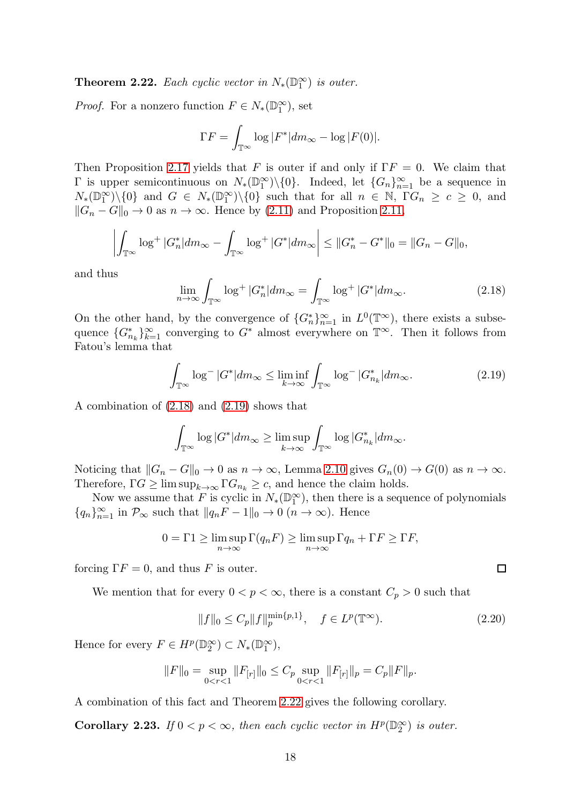<span id="page-17-2"></span>**Theorem 2.22.** Each cyclic vector in  $N_*(\mathbb{D}_1^{\infty})$  is outer.

*Proof.* For a nonzero function  $F \in N_*(\mathbb{D}_1^{\infty})$ , set

$$
\Gamma F = \int_{\mathbb{T}^{\infty}} \log |F^*| dm_{\infty} - \log |F(0)|.
$$

Then Proposition [2.17](#page-15-0) yields that F is outer if and only if  $\Gamma F = 0$ . We claim that  $\Gamma$  is upper semicontinuous on  $N_*(\mathbb{D}_1^{\infty})\setminus\{0\}$ . Indeed, let  $\{G_n\}_{n=1}^{\infty}$  be a sequence in  $N_*(\mathbb{D}_1^{\infty})\setminus\{0\}$  and  $G \in N_*(\mathbb{D}_1^{\infty})\setminus\{0\}$  such that for all  $n \in \mathbb{N}$ ,  $\Gamma G_n \geq c \geq 0$ , and  $||G_n - G||_0 \to 0$  as  $n \to \infty$ . Hence by [\(2.11\)](#page-12-1) and Proposition [2.11,](#page-11-1)

$$
\left| \int_{\mathbb{T}^{\infty}} \log^{+} |G_n^*| dm_{\infty} - \int_{\mathbb{T}^{\infty}} \log^{+} |G^*| dm_{\infty} \right| \leq ||G_n^* - G^*||_0 = ||G_n - G||_0,
$$

and thus

<span id="page-17-0"></span>
$$
\lim_{n \to \infty} \int_{\mathbb{T}^{\infty}} \log^{+} |G_n^*| dm_{\infty} = \int_{\mathbb{T}^{\infty}} \log^{+} |G^*| dm_{\infty}.
$$
 (2.18)

On the other hand, by the convergence of  $\{G_n^*\}_{n=1}^\infty$  in  $L^0(\mathbb{T}^\infty)$ , there exists a subsequence  ${G_{n_k}^*}_{k=1}^{\infty}$  converging to  $G^*$  almost everywhere on  $\mathbb{T}^\infty$ . Then it follows from Fatou's lemma that

<span id="page-17-1"></span>
$$
\int_{\mathbb{T}^{\infty}} \log^{-} |G^*| dm_{\infty} \leq \liminf_{k \to \infty} \int_{\mathbb{T}^{\infty}} \log^{-} |G_{n_k}^*| dm_{\infty}.
$$
 (2.19)

A combination of [\(2.18\)](#page-17-0) and [\(2.19\)](#page-17-1) shows that

$$
\int_{\mathbb{T}^{\infty}} \log |G^*| dm_{\infty} \ge \limsup_{k \to \infty} \int_{\mathbb{T}^{\infty}} \log |G_{n_k}^*| dm_{\infty}.
$$

Noticing that  $||G_n - G||_0 \to 0$  as  $n \to \infty$ , Lemma [2.10](#page-10-1) gives  $G_n(0) \to G(0)$  as  $n \to \infty$ . Therefore,  $\Gamma G \geq \limsup_{k \to \infty} \Gamma G_{n_k} \geq c$ , and hence the claim holds.

Now we assume that F is cyclic in  $N_*(\mathbb{D}_1^{\infty})$ , then there is a sequence of polynomials  ${q_n}_{n=1}^{\infty}$  in  $\mathcal{P}_{\infty}$  such that  $||q_nF - 1||_0 \to 0$   $(n \to \infty)$ . Hence

$$
0 = \Gamma 1 \ge \limsup_{n \to \infty} \Gamma(q_n F) \ge \limsup_{n \to \infty} \Gamma q_n + \Gamma F \ge \Gamma F,
$$

forcing  $\Gamma F = 0$ , and thus F is outer.

We mention that for every  $0 < p < \infty$ , there is a constant  $C_p > 0$  such that

<span id="page-17-3"></span>
$$
||f||_0 \le C_p ||f||_p^{\min\{p,1\}}, \quad f \in L^p(\mathbb{T}^\infty). \tag{2.20}
$$

Hence for every  $F \in H^p(\mathbb{D}_2^{\infty}) \subset N_*(\mathbb{D}_1^{\infty}),$ 

$$
||F||_0 = \sup_{0 < r < 1} ||F_{[r]}||_0 \le C_p \sup_{0 < r < 1} ||F_{[r]}||_p = C_p ||F||_p.
$$

A combination of this fact and Theorem [2.22](#page-17-2) gives the following corollary.

**Corollary 2.23.** If  $0 < p < \infty$ , then each cyclic vector in  $H^p(\mathbb{D}_2^{\infty})$  is outer.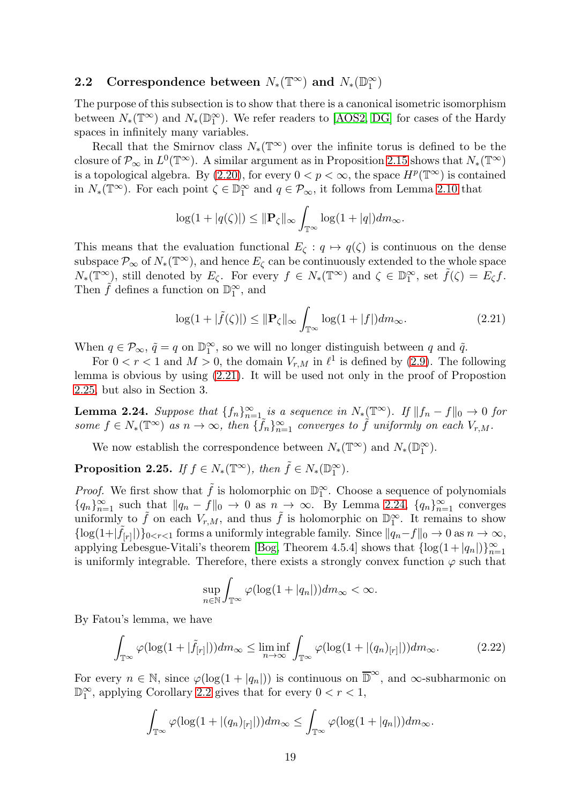# 2.2 Correspondence between  $N_*(\mathbb{T}^\infty)$  and  $N_*(\mathbb{D}_1^\infty)$

The purpose of this subsection is to show that there is a canonical isometric isomorphism between  $N_*(\mathbb{T}^\infty)$  and  $N_*(\mathbb{D}_1^\infty)$ . We refer readers to [\[AOS2,](#page-33-0) [DG\]](#page-34-1) for cases of the Hardy spaces in infinitely many variables.

Recall that the Smirnov class  $N_*(\mathbb{T}^\infty)$  over the infinite torus is defined to be the closure of  $\mathcal{P}_{\infty}$  in  $L^0(\mathbb{T}^{\infty})$ . A similar argument as in Proposition [2.15](#page-13-0) shows that  $N_*(\mathbb{T}^{\infty})$ is a topological algebra. By  $(2.20)$ , for every  $0 < p < \infty$ , the space  $H^p(\mathbb{T}^\infty)$  is contained in  $N_*(\mathbb{T}^\infty)$ . For each point  $\zeta \in \mathbb{D}_1^\infty$  and  $q \in \mathcal{P}_\infty$ , it follows from Lemma [2.10](#page-10-1) that

$$
\log(1+|q(\zeta)|) \leq \|\mathbf{P}_{\zeta}\|_{\infty} \int_{\mathbb{T}^{\infty}} \log(1+|q|) dm_{\infty}.
$$

This means that the evaluation functional  $E_{\zeta}: q \mapsto q(\zeta)$  is continuous on the dense subspace  $\mathcal{P}_{\infty}$  of  $N_*(\mathbb{T}^{\infty})$ , and hence  $E_{\zeta}$  can be continuously extended to the whole space  $N_*(\mathbb{T}^\infty)$ , still denoted by  $E_\zeta$ . For every  $f \in N_*(\mathbb{T}^\infty)$  and  $\zeta \in \mathbb{D}_1^\infty$ , set  $\tilde{f}(\zeta) = E_\zeta f$ . Then  $\tilde{f}$  defines a function on  $\mathbb{D}_1^{\infty}$ , and

<span id="page-18-0"></span>
$$
\log(1+|\tilde{f}(\zeta)|) \le \|\mathbf{P}_{\zeta}\|_{\infty} \int_{\mathbb{T}^{\infty}} \log(1+|f|) dm_{\infty}.
$$
 (2.21)

When  $q \in \mathcal{P}_{\infty}$ ,  $\tilde{q} = q$  on  $\mathbb{D}_1^{\infty}$ , so we will no longer distinguish between q and  $\tilde{q}$ .

For  $0 < r < 1$  and  $M > 0$ , the domain  $V_{r,M}$  in  $\ell^1$  is defined by [\(2.9\)](#page-10-4). The following lemma is obvious by using [\(2.21\)](#page-18-0). It will be used not only in the proof of Propostion [2.25,](#page-18-1) but also in Section 3.

<span id="page-18-2"></span>**Lemma 2.24.** Suppose that  $\{f_n\}_{n=1}^{\infty}$  is a sequence in  $N_*(\mathbb{T}^{\infty})$ . If  $||f_n - f||_0 \to 0$  for some  $f \in N_*(\mathbb{T}^\infty)$  as  $n \to \infty$ , then  $\{\tilde{f}_n\}_{n=1}^\infty$  converges to  $\tilde{f}$  uniformly on each  $V_{r,M}$ .

We now establish the correspondence between  $N_*(\mathbb{T}^\infty)$  and  $N_*(\mathbb{D}_1^\infty)$ .

<span id="page-18-1"></span>**Proposition 2.25.** If  $f \in N_*(\mathbb{T}^\infty)$ , then  $\tilde{f} \in N_*(\mathbb{D}_1^\infty)$ .

*Proof.* We first show that  $\tilde{f}$  is holomorphic on  $\mathbb{D}_1^{\infty}$ . Choose a sequence of polynomials  ${q_n}_{n=1}^{\infty}$  such that  $||q_n - f||_0 \to 0$  as  $n \to \infty$ . By Lemma [2.24,](#page-18-2)  ${q_n}_{n=1}^{\infty}$  converges uniformly to  $\tilde{f}$  on each  $V_{r,M}$ , and thus  $\tilde{f}$  is holomorphic on  $\mathbb{D}_1^{\infty}$ . It remains to show  $\{\log(1+|\tilde{f}_{[r]}|)\}_{0\leq r\leq 1}$  forms a uniformly integrable family. Since  $\|q_n-f\|_0 \to 0$  as  $n\to\infty$ , applying Lebesgue-Vitali's theorem [\[Bog,](#page-34-16) Theorem 4.5.4] shows that  $\{\log(1+|q_n|)\}_{n=1}^{\infty}$ is uniformly integrable. Therefore, there exists a strongly convex function  $\varphi$  such that

$$
\sup_{n\in\mathbb{N}}\int_{\mathbb{T}^{\infty}}\varphi(\log(1+|q_n|))dm_{\infty}<\infty.
$$

By Fatou's lemma, we have

<span id="page-18-3"></span>
$$
\int_{\mathbb{T}^{\infty}} \varphi(\log(1+|\tilde{f}_{[r]}|)) dm_{\infty} \le \liminf_{n \to \infty} \int_{\mathbb{T}^{\infty}} \varphi(\log(1+|(q_n)_{[r]}|)) dm_{\infty}.
$$
 (2.22)

For every  $n \in \mathbb{N}$ , since  $\varphi(\log(1+|q_n|))$  is continuous on  $\overline{\mathbb{D}}^{\infty}$ , and  $\infty$ -subharmonic on  $\mathbb{D}_1^{\infty}$ , applying Corollary [2.2](#page-4-2) gives that for every  $0 < r < 1$ ,

$$
\int_{\mathbb{T}^{\infty}} \varphi(\log(1+|(q_n)_{[r]}|)) dm_{\infty} \leq \int_{\mathbb{T}^{\infty}} \varphi(\log(1+|q_n|)) dm_{\infty}.
$$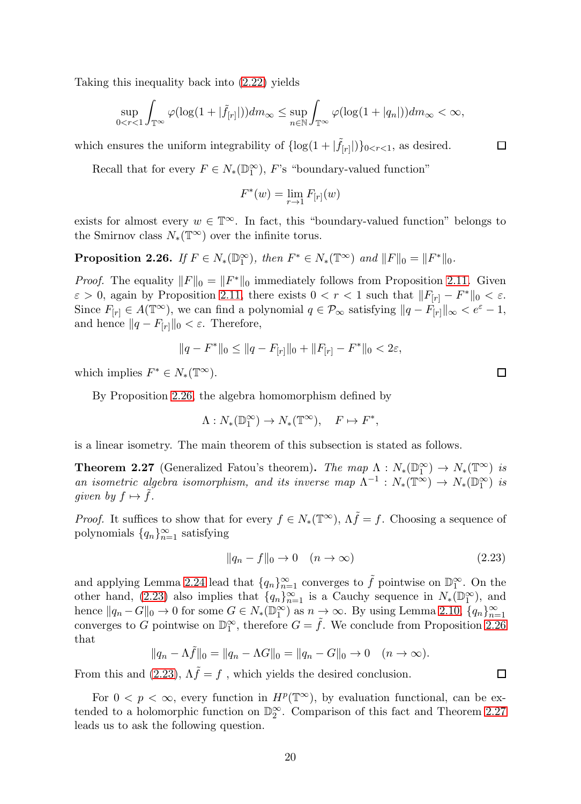Taking this inequality back into [\(2.22\)](#page-18-3) yields

$$
\sup_{0 < r < 1} \int_{\mathbb{T}^{\infty}} \varphi(\log(1 + |\tilde{f}_{[r]}|)) dm_{\infty} \le \sup_{n \in \mathbb{N}} \int_{\mathbb{T}^{\infty}} \varphi(\log(1 + |q_n|)) dm_{\infty} < \infty,
$$

which ensures the uniform integrability of  $\{\log(1+|\tilde{f}_{[r]}|)\}_{0 \le r \le 1}$ , as desired.

Recall that for every  $F \in N_*(\mathbb{D}_1^{\infty})$ , F's "boundary-valued function"

$$
F^*(w) = \lim_{r \to 1} F_{[r]}(w)
$$

exists for almost every  $w \in \mathbb{T}^{\infty}$ . In fact, this "boundary-valued function" belongs to the Smirnov class  $N_*(\mathbb{T}^\infty)$  over the infinite torus.

<span id="page-19-0"></span>**Proposition 2.26.** If  $F \in N_*(\mathbb{D}_1^{\infty})$ , then  $F^* \in N_*(\mathbb{T}^{\infty})$  and  $||F||_0 = ||F^*||_0$ .

*Proof.* The equality  $||F||_0 = ||F^*||_0$  immediately follows from Proposition [2.11.](#page-11-1) Given  $\varepsilon > 0$ , again by Proposition [2.11,](#page-11-1) there exists  $0 < r < 1$  such that  $||F_{[r]} - F^*||_0 < \varepsilon$ . Since  $F_{[r]} \in A(\mathbb{T}^{\infty})$ , we can find a polynomial  $q \in \mathcal{P}_{\infty}$  satisfying  $||q - F_{[r]}||_{\infty} < e^{\varepsilon} - 1$ , and hence  $||q - F_{[r]}||_0 < \varepsilon$ . Therefore,

$$
||q - F^*||_0 \le ||q - F_{[r]}||_0 + ||F_{[r]} - F^*||_0 < 2\varepsilon,
$$

which implies  $F^* \in N_*(\mathbb{T}^\infty)$ .

By Proposition [2.26,](#page-19-0) the algebra homomorphism defined by

$$
\Lambda: N_*(\mathbb{D}_1^{\infty}) \to N_*(\mathbb{T}^{\infty}), \quad F \mapsto F^*,
$$

is a linear isometry. The main theorem of this subsection is stated as follows.

<span id="page-19-2"></span>**Theorem 2.27** (Generalized Fatou's theorem). The map  $\Lambda : N_*(\mathbb{D}_1^{\infty}) \to N_*(\mathbb{D}_2^{\infty})$  is an isometric algebra isomorphism, and its inverse map  $\Lambda^{-1}: N_*(\mathbb{T}^\infty) \to N_*(\mathbb{D}_1^\infty)$  is given by  $f \mapsto \tilde{f}$ .

*Proof.* It suffices to show that for every  $f \in N_*(\mathbb{T}^\infty)$ ,  $\Lambda \tilde{f} = f$ . Choosing a sequence of polynomials  ${q_n}_{n=1}^{\infty}$  satisfying

<span id="page-19-1"></span>
$$
||q_n - f||_0 \to 0 \quad (n \to \infty)
$$
\n(2.23)

and applying Lemma [2.24](#page-18-2) lead that  $\{q_n\}_{n=1}^{\infty}$  converges to  $\tilde{f}$  pointwise on  $\mathbb{D}_1^{\infty}$ . On the other hand, [\(2.23\)](#page-19-1) also implies that  $\{q_n\}_{n=1}^{\infty}$  is a Cauchy sequence in  $N_*(\mathbb{D}_1^{\infty})$ , and hence  $||q_n - G||_0 \to 0$  for some  $G \in N_*(\mathbb{D}_1^{\infty})$  as  $n \to \infty$ . By using Lemma [2.10,](#page-10-1)  $\{q_n\}_{n=1}^{\infty}$ converges to G pointwise on  $\mathbb{D}_1^{\infty}$ , therefore  $G = \tilde{f}$ . We conclude from Proposition [2.26](#page-19-0) that

$$
||q_n - \Lambda \tilde{f}||_0 = ||q_n - \Lambda G||_0 = ||q_n - G||_0 \to 0 \quad (n \to \infty).
$$

From this and [\(2.23\)](#page-19-1),  $\Lambda \tilde{f} = f$ , which yields the desired conclusion.

For  $0 < p < \infty$ , every function in  $H^p(\mathbb{T}^\infty)$ , by evaluation functional, can be extended to a holomorphic function on  $\mathbb{D}_2^{\infty}$ . Comparison of this fact and Theorem [2.27](#page-19-2) leads us to ask the following question.

 $\Box$ 

 $\Box$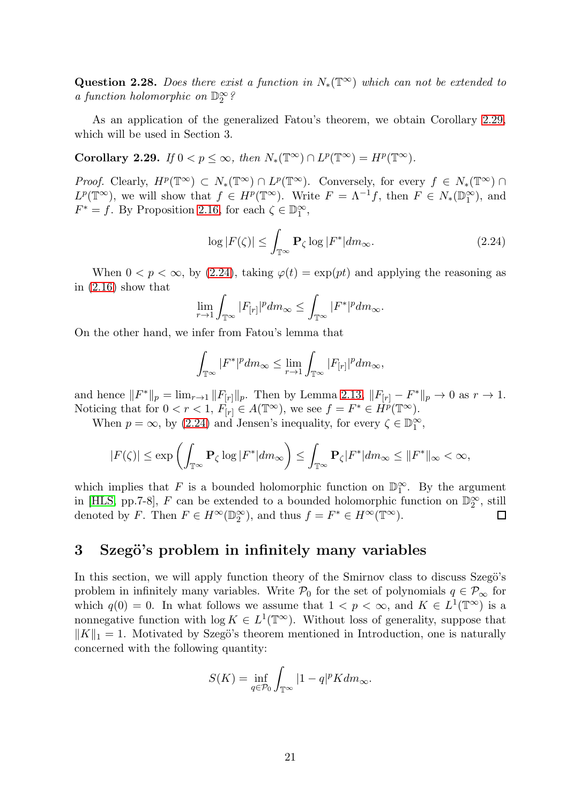Question 2.28. Does there exist a function in  $N_*(\mathbb{T}^\infty)$  which can not be extended to a function holomorphic on  $\mathbb{D}_2^{\infty}$ ?

As an application of the generalized Fatou's theorem, we obtain Corollary [2.29,](#page-20-0) which will be used in Section 3.

<span id="page-20-0"></span>Corollary 2.29. If  $0 < p \le \infty$ , then  $N_*(\mathbb{T}^\infty) \cap L^p(\mathbb{T}^\infty) = H^p(\mathbb{T}^\infty)$ .

Proof. Clearly,  $H^p(\mathbb{T}^\infty) \subset N_*(\mathbb{T}^\infty) \cap L^p(\mathbb{T}^\infty)$ . Conversely, for every  $f \in N_*(\mathbb{T}^\infty) \cap L^p(\mathbb{T}^\infty)$  $L^p(\mathbb{T}^\infty)$ , we will show that  $f \in H^p(\mathbb{T}^\infty)$ . Write  $F = \Lambda^{-1}f$ , then  $F \in N_*(\mathbb{D}_1^\infty)$ , and  $F^* = f$ . By Proposition [2.16,](#page-14-5) for each  $\zeta \in \mathbb{D}_1^{\infty}$ ,

<span id="page-20-1"></span>
$$
\log|F(\zeta)| \le \int_{\mathbb{T}^{\infty}} \mathbf{P}_{\zeta} \log|F^*| dm_{\infty}.
$$
 (2.24)

When  $0 < p < \infty$ , by [\(2.24\)](#page-20-1), taking  $\varphi(t) = \exp(pt)$  and applying the reasoning as in [\(2.16\)](#page-14-4) show that

$$
\lim_{r \to 1} \int_{\mathbb{T}^{\infty}} |F_{[r]}|^{p} dm_{\infty} \leq \int_{\mathbb{T}^{\infty}} |F^{*}|^{p} dm_{\infty}.
$$

On the other hand, we infer from Fatou's lemma that

$$
\int_{\mathbb{T}^{\infty}}|F^*|^{p}dm_{\infty}\leq \lim_{r\to 1}\int_{\mathbb{T}^{\infty}}|F_{[r]}|^{p}dm_{\infty},
$$

and hence  $||F^*||_p = \lim_{r \to 1} ||F_{[r]}||_p$ . Then by Lemma [2.13,](#page-12-0)  $||F_{[r]} - F^*||_p \to 0$  as  $r \to 1$ . Noticing that for  $0 < r < 1$ ,  $F_{[r]} \in A(\mathbb{T}^{\infty})$ , we see  $f = F^* \in \dot{H}^p(\mathbb{T}^{\infty})$ .

When  $p = \infty$ , by [\(2.24\)](#page-20-1) and Jensen's inequality, for every  $\zeta \in \mathbb{D}_1^{\infty}$ ,

$$
|F(\zeta)| \le \exp\left(\int_{\mathbb{T}^\infty} \mathbf{P}_\zeta \log |F^*| dm_\infty\right) \le \int_{\mathbb{T}^\infty} \mathbf{P}_\zeta |F^*| dm_\infty \le ||F^*||_\infty < \infty,
$$

which implies that F is a bounded holomorphic function on  $\mathbb{D}_1^{\infty}$ . By the argument in [\[HLS,](#page-34-5) pp.7-8],  $F$  can be extended to a bounded holomorphic function on  $\mathbb{D}_2^{\infty}$ , still denoted by F. Then  $F \in H^{\infty}(\mathbb{D}_2^{\infty})$ , and thus  $f = F^* \in H^{\infty}(\mathbb{T}^{\infty})$ .  $\Box$ 

### 3 Szegö's problem in infinitely many variables

In this section, we will apply function theory of the Smirnov class to discuss Szegö's problem in infinitely many variables. Write  $P_0$  for the set of polynomials  $q \in P_{\infty}$  for which  $q(0) = 0$ . In what follows we assume that  $1 < p < \infty$ , and  $K \in L^1(\mathbb{T}^\infty)$  is a nonnegative function with  $\log K \in L^1(\mathbb{T}^\infty)$ . Without loss of generality, suppose that  $||K||_1 = 1$ . Motivated by Szegö's theorem mentioned in Introduction, one is naturally concerned with the following quantity:

$$
S(K) = \inf_{q \in \mathcal{P}_0} \int_{\mathbb{T}^{\infty}} |1 - q|^p K dm_{\infty}.
$$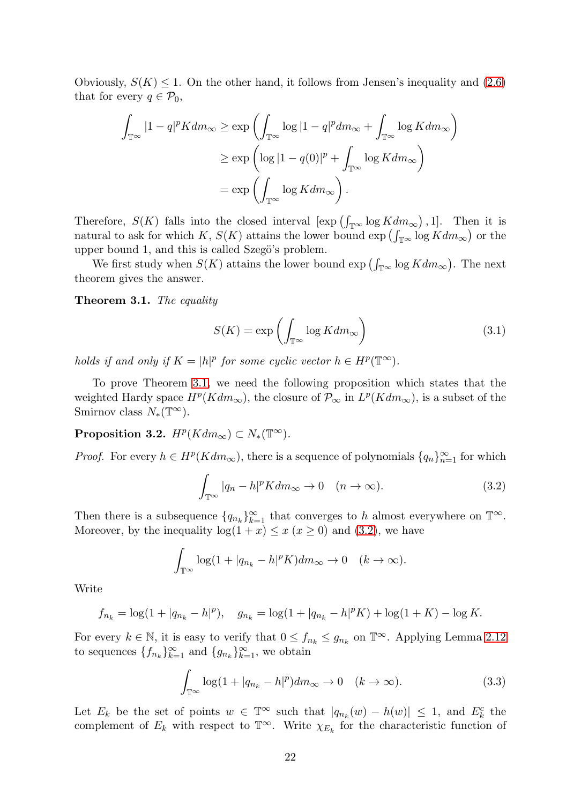Obviously,  $S(K) \leq 1$ . On the other hand, it follows from Jensen's inequality and [\(2.6\)](#page-8-1) that for every  $q \in \mathcal{P}_0$ ,

$$
\int_{\mathbb{T}^{\infty}} |1 - q|^p K dm_{\infty} \ge \exp\left(\int_{\mathbb{T}^{\infty}} \log |1 - q|^p dm_{\infty} + \int_{\mathbb{T}^{\infty}} \log K dm_{\infty}\right)
$$

$$
\ge \exp\left(\log |1 - q(0)|^p + \int_{\mathbb{T}^{\infty}} \log K dm_{\infty}\right)
$$

$$
= \exp\left(\int_{\mathbb{T}^{\infty}} \log K dm_{\infty}\right).
$$

Therefore,  $S(K)$  falls into the closed interval  $[\exp(\int_{\mathbb{T}^{\infty}} \log K dm_{\infty})$ , 1. Then it is natural to ask for which K,  $S(K)$  attains the lower bound  $\exp\left(\int_{\mathbb{T}^{\infty}} \log K dm_{\infty}\right)$  or the upper bound 1, and this is called Szegö's problem.

We first study when  $S(K)$  attains the lower bound  $\exp\left(\int_{\mathbb{T}^{\infty}} \log K dm_{\infty}\right)$ . The next theorem gives the answer.

#### <span id="page-21-0"></span>Theorem 3.1. The equality

<span id="page-21-3"></span>
$$
S(K) = \exp\left(\int_{\mathbb{T}^{\infty}} \log K dm_{\infty}\right)
$$
 (3.1)

holds if and only if  $K = |h|^p$  for some cyclic vector  $h \in H^p(\mathbb{T}^\infty)$ .

To prove Theorem [3.1,](#page-21-0) we need the following proposition which states that the weighted Hardy space  $H^p(Kdm_\infty)$ , the closure of  $\mathcal{P}_\infty$  in  $L^p(Kdm_\infty)$ , is a subset of the Smirnov class  $N_*(\mathbb{T}^\infty)$ .

<span id="page-21-4"></span>**Proposition 3.2.**  $H^p(Kdm_\infty) \subset N_*(\mathbb{T}^\infty)$ .

*Proof.* For every  $h \in H^p(Kdm_\infty)$ , there is a sequence of polynomials  $\{q_n\}_{n=1}^\infty$  for which

<span id="page-21-1"></span>
$$
\int_{\mathbb{T}^{\infty}} |q_n - h|^p K dm_{\infty} \to 0 \quad (n \to \infty).
$$
 (3.2)

Then there is a subsequence  $\{q_{n_k}\}_{k=1}^{\infty}$  that converges to h almost everywhere on  $\mathbb{T}^{\infty}$ . Moreover, by the inequality  $log(1 + x) \leq x$  ( $x \geq 0$ ) and [\(3.2\)](#page-21-1), we have

$$
\int_{\mathbb{T}^{\infty}} \log(1 + |q_{n_k} - h|^p K) dm_{\infty} \to 0 \quad (k \to \infty).
$$

Write

$$
f_{n_k} = \log(1 + |q_{n_k} - h|^p), \quad g_{n_k} = \log(1 + |q_{n_k} - h|^p K) + \log(1 + K) - \log K.
$$

For every  $k \in \mathbb{N}$ , it is easy to verify that  $0 \le f_{n_k} \le g_{n_k}$  on  $\mathbb{T}^\infty$ . Applying Lemma [2.12](#page-11-2) to sequences  $\{f_{n_k}\}_{k=1}^{\infty}$  and  $\{g_{n_k}\}_{k=1}^{\infty}$ , we obtain

<span id="page-21-2"></span>
$$
\int_{\mathbb{T}^{\infty}} \log(1 + |q_{n_k} - h|^p) dm_{\infty} \to 0 \quad (k \to \infty).
$$
 (3.3)

Let  $E_k$  be the set of points  $w \in \mathbb{T}^\infty$  such that  $|q_{n_k}(w) - h(w)| \leq 1$ , and  $E_k^c$  the complement of  $E_k$  with respect to  $\mathbb{T}^\infty$ . Write  $\chi_{E_k}$  for the characteristic function of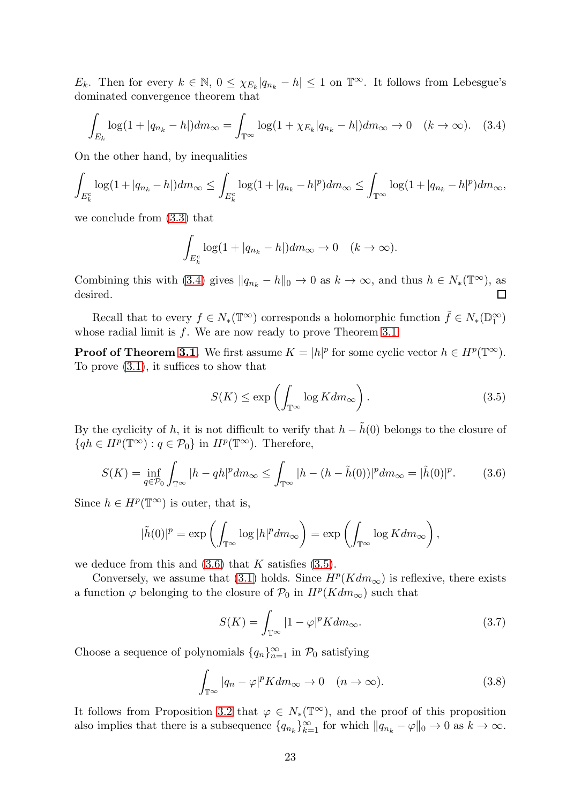$E_k$ . Then for every  $k \in \mathbb{N}$ ,  $0 \leq \chi_{E_k} |q_{n_k} - h| \leq 1$  on  $\mathbb{T}^{\infty}$ . It follows from Lebesgue's dominated convergence theorem that

<span id="page-22-0"></span>
$$
\int_{E_k} \log(1 + |q_{n_k} - h|) dm_{\infty} = \int_{\mathbb{T}^{\infty}} \log(1 + \chi_{E_k} |q_{n_k} - h|) dm_{\infty} \to 0 \quad (k \to \infty).
$$
 (3.4)

On the other hand, by inequalities

$$
\int_{E_k^c} \log(1+|q_{n_k}-h|) dm_{\infty} \le \int_{E_k^c} \log(1+|q_{n_k}-h|^p) dm_{\infty} \le \int_{\mathbb{T}^{\infty}} \log(1+|q_{n_k}-h|^p) dm_{\infty},
$$

we conclude from [\(3.3\)](#page-21-2) that

$$
\int_{E_k^c} \log(1+|q_{n_k}-h|) dm_\infty \to 0 \quad (k \to \infty).
$$

Combining this with [\(3.4\)](#page-22-0) gives  $||q_{n_k} - h||_0 \to 0$  as  $k \to \infty$ , and thus  $h \in N_*(\mathbb{T}^\infty)$ , as desired.

Recall that to every  $f \in N_*(\mathbb{T}^\infty)$  corresponds a holomorphic function  $\tilde{f} \in N_*(\mathbb{D}_1^\infty)$ whose radial limit is  $f$ . We are now ready to prove Theorem [3.1.](#page-21-0)

**Proof of Theorem [3.1.](#page-21-0)** We first assume  $K = |h|^p$  for some cyclic vector  $h \in H^p(\mathbb{T}^\infty)$ . To prove [\(3.1\)](#page-21-3), it suffices to show that

<span id="page-22-2"></span>
$$
S(K) \le \exp\left(\int_{\mathbb{T}^{\infty}} \log K dm_{\infty}\right). \tag{3.5}
$$

By the cyclicity of h, it is not difficult to verify that  $h - \tilde{h}(0)$  belongs to the closure of  $\{qh \in H^p(\mathbb{T}^\infty) : q \in \mathcal{P}_0\}$  in  $H^p(\mathbb{T}^\infty)$ . Therefore,

<span id="page-22-1"></span>
$$
S(K) = \inf_{q \in \mathcal{P}_0} \int_{\mathbb{T}^\infty} |h - qh|^p dm_\infty \le \int_{\mathbb{T}^\infty} |h - (h - \tilde{h}(0))|^p dm_\infty = |\tilde{h}(0)|^p. \tag{3.6}
$$

Since  $h \in H^p(\mathbb{T}^\infty)$  is outer, that is,

$$
|\tilde{h}(0)|^p = \exp\left(\int_{\mathbb{T}^{\infty}} \log |h|^p dm_{\infty}\right) = \exp\left(\int_{\mathbb{T}^{\infty}} \log K dm_{\infty}\right),\,
$$

we deduce from this and  $(3.6)$  that K satisfies  $(3.5)$ .

Conversely, we assume that [\(3.1\)](#page-21-3) holds. Since  $H^p(Kdm_{\infty})$  is reflexive, there exists a function  $\varphi$  belonging to the closure of  $\mathcal{P}_0$  in  $H^p(Kdm_\infty)$  such that

<span id="page-22-3"></span>
$$
S(K) = \int_{\mathbb{T}^{\infty}} |1 - \varphi|^p K dm_{\infty}.
$$
 (3.7)

Choose a sequence of polynomials  $\{q_n\}_{n=1}^{\infty}$  in  $\mathcal{P}_0$  satisfying

<span id="page-22-4"></span>
$$
\int_{\mathbb{T}^{\infty}} |q_n - \varphi|^p K dm_{\infty} \to 0 \quad (n \to \infty).
$$
 (3.8)

It follows from Proposition [3.2](#page-21-4) that  $\varphi \in N_*(\mathbb{T}^\infty)$ , and the proof of this proposition also implies that there is a subsequence  $\{q_{n_k}\}_{k=1}^{\infty}$  for which  $||q_{n_k} - \varphi||_0 \to 0$  as  $k \to \infty$ .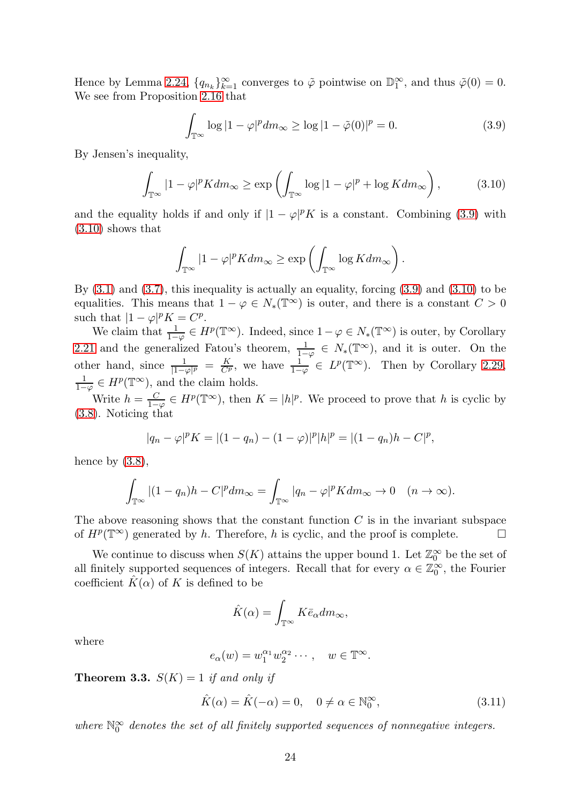Hence by Lemma [2.24,](#page-18-2)  $\{q_{n_k}\}_{k=1}^{\infty}$  converges to  $\tilde{\varphi}$  pointwise on  $\mathbb{D}_1^{\infty}$ , and thus  $\tilde{\varphi}(0) = 0$ . We see from Proposition [2.16](#page-14-5) that

<span id="page-23-1"></span>
$$
\int_{\mathbb{T}^{\infty}} \log |1 - \varphi|^p dm_{\infty} \ge \log |1 - \tilde{\varphi}(0)|^p = 0.
$$
 (3.9)

By Jensen's inequality,

<span id="page-23-2"></span>
$$
\int_{\mathbb{T}^{\infty}} |1 - \varphi|^p K dm_{\infty} \ge \exp\left(\int_{\mathbb{T}^{\infty}} \log |1 - \varphi|^p + \log K dm_{\infty}\right),\tag{3.10}
$$

and the equality holds if and only if  $|1 - \varphi|^p K$  is a constant. Combining [\(3.9\)](#page-23-1) with [\(3.10\)](#page-23-2) shows that

$$
\int_{\mathbb{T}^{\infty}} |1 - \varphi|^p K dm_{\infty} \ge \exp\left(\int_{\mathbb{T}^{\infty}} \log K dm_{\infty}\right).
$$

By  $(3.1)$  and  $(3.7)$ , this inequality is actually an equality, forcing  $(3.9)$  and  $(3.10)$  to be equalities. This means that  $1 - \varphi \in N_*(\mathbb{T}^\infty)$  is outer, and there is a constant  $C > 0$ such that  $|1-\varphi|^p K = C^p$ .

We claim that  $\frac{1}{1-\varphi} \in H^p(\mathbb{T}^\infty)$ . Indeed, since  $1-\varphi \in N_*(\mathbb{T}^\infty)$  is outer, by Corollary [2.21](#page-16-1) and the generalized Fatou's theorem,  $\frac{1}{1-\varphi} \in N_*(\mathbb{T}^\infty)$ , and it is outer. On the other hand, since  $\frac{1}{|1-\varphi|^p} = \frac{K}{C^p}$ , we have  $\frac{1}{1-\varphi} \in L^p(\mathbb{T}^\infty)$ . Then by Corollary [2.29,](#page-20-0)  $\frac{1}{1-\varphi} \in H^p(\mathbb{T}^\infty)$ , and the claim holds.

Write  $h=\frac{C}{1-\frac{C}{C}}$  $\frac{C}{1-\varphi} \in H^p(\mathbb{T}^\infty)$ , then  $K = |h|^p$ . We proceed to prove that h is cyclic by [\(3.8\)](#page-22-4). Noticing that

$$
|q_n - \varphi|^p K = |(1 - q_n) - (1 - \varphi)|^p |h|^p = |(1 - q_n)h - C|^p,
$$

hence by  $(3.8)$ ,

$$
\int_{\mathbb{T}^{\infty}} |(1-q_n)h - C|^p dm_{\infty} = \int_{\mathbb{T}^{\infty}} |q_n - \varphi|^p K dm_{\infty} \to 0 \quad (n \to \infty).
$$

The above reasoning shows that the constant function  $C$  is in the invariant subspace of  $H^p(\mathbb{T}^\infty)$  generated by h. Therefore, h is cyclic, and the proof is complete.  $\Box$ 

We continue to discuss when  $S(K)$  attains the upper bound 1. Let  $\mathbb{Z}_0^{\infty}$  be the set of all finitely supported sequences of integers. Recall that for every  $\alpha \in \mathbb{Z}_0^{\infty}$ , the Fourier coefficient  $K(\alpha)$  of K is defined to be

$$
\hat{K}(\alpha) = \int_{\mathbb{T}^{\infty}} K \bar{e}_{\alpha} dm_{\infty},
$$

where

$$
e_{\alpha}(w) = w_1^{\alpha_1} w_2^{\alpha_2} \cdots, \quad w \in \mathbb{T}^{\infty}.
$$

<span id="page-23-0"></span>**Theorem 3.3.**  $S(K) = 1$  if and only if

<span id="page-23-3"></span>
$$
\hat{K}(\alpha) = \hat{K}(-\alpha) = 0, \quad 0 \neq \alpha \in \mathbb{N}_0^{\infty}, \tag{3.11}
$$

where  $\mathbb{N}_0^{\infty}$  denotes the set of all finitely supported sequences of nonnegative integers.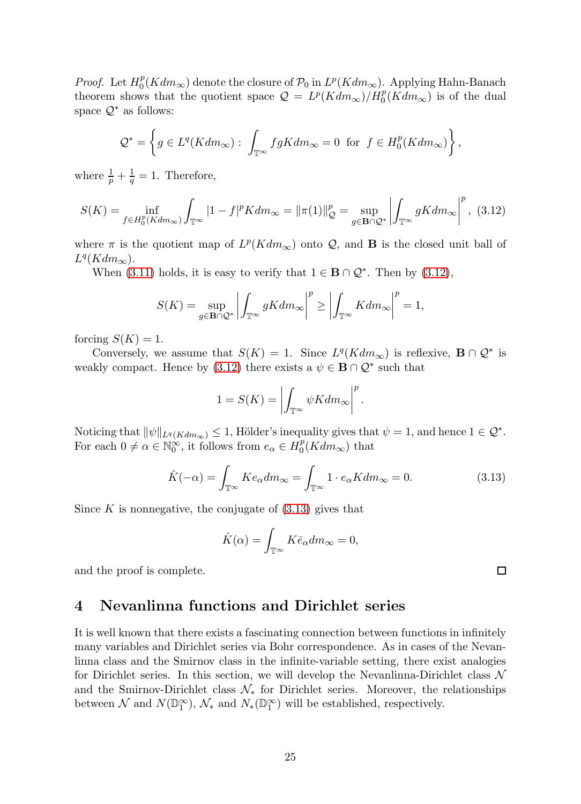*Proof.* Let  $H_0^p$  $\mathcal{P}_0(Kdm_{\infty})$  denote the closure of  $\mathcal{P}_0$  in  $L^p(Kdm_{\infty})$ . Applying Hahn-Banach theorem shows that the quotient space  $Q = L^p(K dm_\infty)/H_0^p(K dm_\infty)$  is of the dual space  $\mathcal{Q}^*$  as follows:

$$
\mathcal{Q}^* = \left\{ g \in L^q(Kdm_\infty): \int_{\mathbb{T}^\infty} fgK dm_\infty = 0 \text{ for } f \in H_0^p(Kdm_\infty) \right\},\,
$$

where  $\frac{1}{p} + \frac{1}{q} = 1$ . Therefore,

<span id="page-24-0"></span>
$$
S(K) = \inf_{f \in H_0^p(Kdm_\infty)} \int_{\mathbb{T}^\infty} |1 - f|^p K dm_\infty = ||\pi(1)||_{\mathcal{Q}}^p = \sup_{g \in \mathbf{B} \cap \mathcal{Q}^*} \left| \int_{\mathbb{T}^\infty} gK dm_\infty \right|^p, (3.12)
$$

where  $\pi$  is the quotient map of  $L^p(Kdm_\infty)$  onto  $\mathcal Q$ , and **B** is the closed unit ball of  $L^q(Kdm_\infty)$ .

When [\(3.11\)](#page-23-3) holds, it is easy to verify that  $1 \in \mathbf{B} \cap \mathcal{Q}^*$ . Then by [\(3.12\)](#page-24-0),

$$
S(K) = \sup_{g \in \mathbf{B} \cap \mathcal{Q}^*} \left| \int_{\mathbb{T}^{\infty}} gK dm_{\infty} \right|^{p} \ge \left| \int_{\mathbb{T}^{\infty}} K dm_{\infty} \right|^{p} = 1,
$$

forcing  $S(K) = 1$ .

Conversely, we assume that  $S(K) = 1$ . Since  $L^q(K dm_\infty)$  is reflexive,  $\mathbf{B} \cap \mathcal{Q}^*$  is weakly compact. Hence by [\(3.12\)](#page-24-0) there exists a  $\psi \in \mathbf{B} \cap \mathcal{Q}^*$  such that

$$
1 = S(K) = \left| \int_{\mathbb{T}^{\infty}} \psi K dm_{\infty} \right|^{p}.
$$

Noticing that  $\|\psi\|_{L^q(Kdm_\infty)} \leq 1$ , Hölder's inequality gives that  $\psi = 1$ , and hence  $1 \in \mathcal{Q}^*$ . For each  $0 \neq \alpha \in \mathbb{N}_0^{\infty}$ , it follows from  $e_{\alpha} \in H_0^p$  $0<sup>p</sup>(Kdm_{\infty})$  that

<span id="page-24-1"></span>
$$
\hat{K}(-\alpha) = \int_{\mathbb{T}^{\infty}} K e_{\alpha} dm_{\infty} = \int_{\mathbb{T}^{\infty}} 1 \cdot e_{\alpha} K dm_{\infty} = 0.
$$
\n(3.13)

Since  $K$  is nonnegative, the conjugate of  $(3.13)$  gives that

$$
\hat{K}(\alpha) = \int_{\mathbb{T}^{\infty}} K \bar{e}_{\alpha} dm_{\infty} = 0,
$$

and the proof is complete.

## 4 Nevanlinna functions and Dirichlet series

It is well known that there exists a fascinating connection between functions in infinitely many variables and Dirichlet series via Bohr correspondence. As in cases of the Nevanlinna class and the Smirnov class in the infinite-variable setting, there exist analogies for Dirichlet series. In this section, we will develop the Nevanlinna-Dirichlet class  $\mathcal N$ and the Smirnov-Dirichlet class  $\mathcal{N}_*$  for Dirichlet series. Moreover, the relationships between  $\mathcal N$  and  $N(\mathbb{D}_1^{\infty})$ ,  $\mathcal N_*$  and  $N_*(\mathbb{D}_1^{\infty})$  will be established, respectively.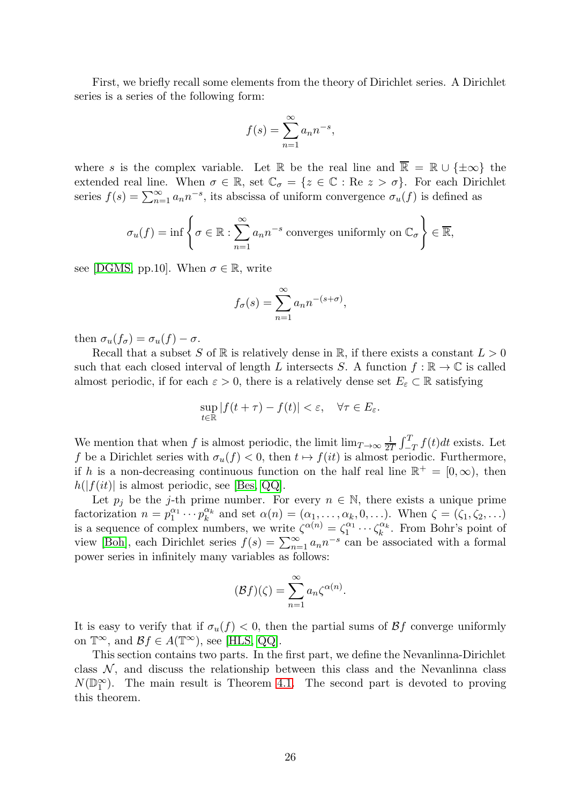First, we briefly recall some elements from the theory of Dirichlet series. A Dirichlet series is a series of the following form:

$$
f(s) = \sum_{n=1}^{\infty} a_n n^{-s},
$$

where s is the complex variable. Let R be the real line and  $\overline{\mathbb{R}} = \mathbb{R} \cup {\pm \infty}$  the extended real line. When  $\sigma \in \mathbb{R}$ , set  $\mathbb{C}_{\sigma} = \{z \in \mathbb{C} : \text{Re } z > \sigma\}$ . For each Dirichlet series  $f(s) = \sum_{n=1}^{\infty} a_n n^{-s}$ , its abscissa of uniform convergence  $\sigma_u(f)$  is defined as

$$
\sigma_u(f) = \inf \left\{ \sigma \in \mathbb{R} : \sum_{n=1}^{\infty} a_n n^{-s} \text{ converges uniformly on } \mathbb{C}_\sigma \right\} \in \overline{\mathbb{R}},
$$

see [\[DGMS,](#page-34-18) pp.10]. When  $\sigma \in \mathbb{R}$ , write

$$
f_{\sigma}(s) = \sum_{n=1}^{\infty} a_n n^{-(s+\sigma)},
$$

then  $\sigma_u(f_\sigma) = \sigma_u(f) - \sigma$ .

Recall that a subset S of  $\mathbb R$  is relatively dense in  $\mathbb R$ , if there exists a constant  $L > 0$ such that each closed interval of length L intersects S. A function  $f : \mathbb{R} \to \mathbb{C}$  is called almost periodic, if for each  $\varepsilon > 0$ , there is a relatively dense set  $E_{\varepsilon} \subset \mathbb{R}$  satisfying

$$
\sup_{t\in\mathbb{R}}|f(t+\tau)-f(t)|<\varepsilon,\quad\forall\tau\in E_{\varepsilon}.
$$

We mention that when f is almost periodic, the limit  $\lim_{T\to\infty}\frac{1}{2T}\int_{-T}^{T}f(t)dt$  exists. Let f be a Dirichlet series with  $\sigma_u(f) < 0$ , then  $t \mapsto f(it)$  is almost periodic. Furthermore, if h is a non-decreasing continuous function on the half real line  $\mathbb{R}^+ = [0, \infty)$ , then  $h(|f(it)|$  is almost periodic, see [\[Bes,](#page-33-2) [QQ\]](#page-35-2).

Let  $p_j$  be the j-th prime number. For every  $n \in \mathbb{N}$ , there exists a unique prime factorization  $n = p_1^{\alpha_1} \cdots p_k^{\alpha_k}$  and set  $\alpha(n) = (\alpha_1, \ldots, \alpha_k, 0, \ldots)$ . When  $\zeta = (\zeta_1, \zeta_2, \ldots)$ is a sequence of complex numbers, we write  $\zeta^{\alpha(n)} = \zeta_1^{\alpha_1} \cdots \zeta_k^{\alpha_k}$ . From Bohr's point of view [\[Boh\]](#page-34-3), each Dirichlet series  $f(s) = \sum_{n=1}^{\infty} a_n n^{-s}$  can be associated with a formal power series in infinitely many variables as follows:

$$
(\mathcal{B}f)(\zeta) = \sum_{n=1}^{\infty} a_n \zeta^{\alpha(n)}.
$$

It is easy to verify that if  $\sigma_u(f) < 0$ , then the partial sums of  $\mathcal{B}f$  converge uniformly on  $\mathbb{T}^{\infty}$ , and  $\mathcal{B}f \in A(\mathbb{T}^{\infty})$ , see [\[HLS,](#page-34-5) [QQ\]](#page-35-2).

This section contains two parts. In the first part, we define the Nevanlinna-Dirichlet class  $\mathcal{N}$ , and discuss the relationship between this class and the Nevanlinna class  $N(\mathbb{D}_1^{\infty})$ . The main result is Theorem [4.1.](#page-27-0) The second part is devoted to proving this theorem.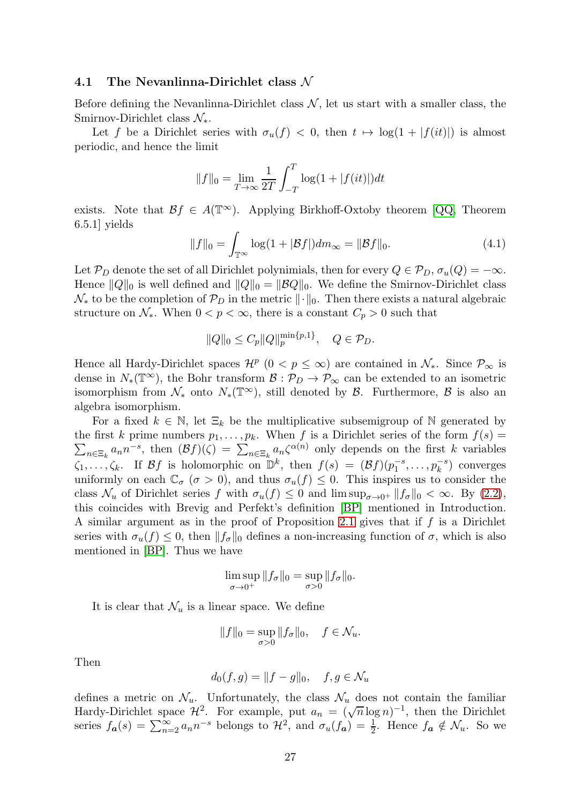#### 4.1 The Nevanlinna-Dirichlet class  $\mathcal N$

Before defining the Nevanlinna-Dirichlet class  $N$ , let us start with a smaller class, the Smirnov-Dirichlet class  $\mathcal{N}_{*}$ .

Let f be a Dirichlet series with  $\sigma_u(f) < 0$ , then  $t \mapsto \log(1 + |f(it)|)$  is almost periodic, and hence the limit

$$
||f||_0 = \lim_{T \to \infty} \frac{1}{2T} \int_{-T}^{T} \log(1 + |f(it)|) dt
$$

exists. Note that  $\mathcal{B}f \in A(\mathbb{T}^{\infty})$ . Applying Birkhoff-Oxtoby theorem [\[QQ,](#page-35-2) Theorem 6.5.1] yields

<span id="page-26-0"></span>
$$
||f||_0 = \int_{\mathbb{T}^{\infty}} \log(1 + |\mathcal{B}f|) dm_{\infty} = ||\mathcal{B}f||_0.
$$
 (4.1)

Let  $\mathcal{P}_D$  denote the set of all Dirichlet polynimials, then for every  $Q \in \mathcal{P}_D$ ,  $\sigma_u(Q) = -\infty$ . Hence  $||Q||_0$  is well defined and  $||Q||_0 = ||\mathcal{B}Q||_0$ . We define the Smirnov-Dirichlet class  $\mathcal{N}_*$  to be the completion of  $\mathcal{P}_D$  in the metric  $\|\cdot\|_0$ . Then there exists a natural algebraic structure on  $\mathcal{N}_*$ . When  $0 < p < \infty$ , there is a constant  $C_p > 0$  such that

$$
||Q||_0 \leq C_p ||Q||_p^{\min\{p,1\}}, \quad Q \in \mathcal{P}_D.
$$

Hence all Hardy-Dirichlet spaces  $\mathcal{H}^p$   $(0 < p \leq \infty)$  are contained in  $\mathcal{N}_*$ . Since  $\mathcal{P}_{\infty}$  is dense in  $N_*(\mathbb{T}^\infty)$ , the Bohr transform  $\mathcal{B}: \mathcal{P}_D \to \mathcal{P}_\infty$  can be extended to an isometric isomorphism from  $\mathcal{N}_*$  onto  $N_*(\mathbb{T}^\infty)$ , still denoted by  $\mathcal{B}$ . Furthermore,  $\mathcal{B}$  is also an algebra isomorphism.

For a fixed  $k \in \mathbb{N}$ , let  $\Xi_k$  be the multiplicative subsemigroup of N generated by the first k prime numbers  $p_1, \ldots, p_k$ . When f is a Dirichlet series of the form  $f(s) =$  $\sum_{n\in\Xi_k} a_n n^{-s}$ , then  $(\mathcal{B}f)(\zeta) = \sum_{n\in\Xi_k} a_n \zeta^{\alpha(n)}$  only depends on the first k variables  $\zeta_1,\ldots,\zeta_k$ . If Bf is holomorphic on  $\mathbb{D}^k$ , then  $f(s) = (\mathcal{B}f)(p_1^{-s},\ldots,p_k^{-s})$  converges uniformly on each  $\mathbb{C}_{\sigma}$  ( $\sigma > 0$ ), and thus  $\sigma_u(f) \leq 0$ . This inspires us to consider the class  $\mathcal{N}_u$  of Dirichlet series f with  $\sigma_u(f) \leq 0$  and  $\limsup_{\sigma \to 0^+} ||f_{\sigma}||_0 < \infty$ . By  $(2.2)$ , this coincides with Brevig and Perfekt's definition [\[BP\]](#page-34-2) mentioned in Introduction. A similar argument as in the proof of Proposition [2.1](#page-4-0) gives that if  $f$  is a Dirichlet series with  $\sigma_u(f) \leq 0$ , then  $||f_{\sigma}||_0$  defines a non-increasing function of  $\sigma$ , which is also mentioned in [\[BP\]](#page-34-2). Thus we have

$$
\limsup_{\sigma \to 0^+} \|f_\sigma\|_0 = \sup_{\sigma > 0} \|f_\sigma\|_0.
$$

It is clear that  $\mathcal{N}_u$  is a linear space. We define

$$
||f||_0 = \sup_{\sigma > 0} ||f_\sigma||_0, \quad f \in \mathcal{N}_u.
$$

Then

$$
d_0(f,g) = ||f - g||_0, \quad f, g \in \mathcal{N}_u
$$

defines a metric on  $\mathcal{N}_u$ . Unfortunately, the class  $\mathcal{N}_u$  does not contain the familiar Hardy-Dirichlet space  $\mathcal{H}^2$ . For example, put  $a_n = (\sqrt{n} \log n)^{-1}$ , then the Dirichlet series  $f_{\boldsymbol{a}}(s) = \sum_{n=2}^{\infty} a_n n^{-s}$  belongs to  $\mathcal{H}^2$ , and  $\sigma_u(f_{\boldsymbol{a}}) = \frac{1}{2}$ . Hence  $f_{\boldsymbol{a}} \notin \mathcal{N}_u$ . So we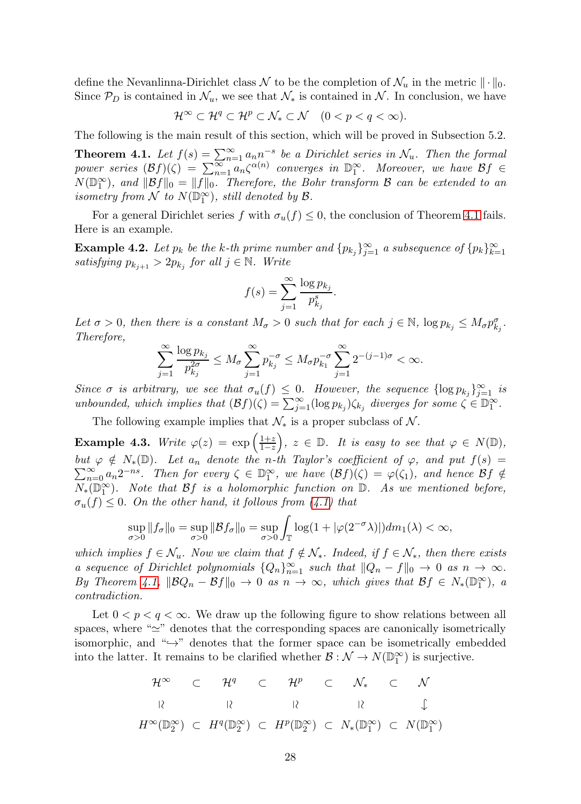define the Nevanlinna-Dirichlet class  $\mathcal N$  to be the completion of  $\mathcal N_u$  in the metric  $\|\cdot\|_0$ . Since  $\mathcal{P}_D$  is contained in  $\mathcal{N}_u$ , we see that  $\mathcal{N}_*$  is contained in  $\mathcal{N}_s$ . In conclusion, we have

$$
\mathcal{H}^{\infty} \subset \mathcal{H}^{q} \subset \mathcal{H}^{p} \subset \mathcal{N}_{*} \subset \mathcal{N} \quad (0 < p < q < \infty).
$$

The following is the main result of this section, which will be proved in Subsection 5.2.

<span id="page-27-0"></span>**Theorem 4.1.** Let  $f(s) = \sum_{n=1}^{\infty} a_n n^{-s}$  be a Dirichlet series in  $\mathcal{N}_u$ . Then the formal power series  $(\mathcal{B}f)(\zeta) = \sum_{n=1}^{\infty} a_n \zeta^{\alpha(n)}$  converges in  $\mathbb{D}_1^{\infty}$ . Moreover, we have  $\mathcal{B}f \in$  $N(\mathbb{D}_1^{\infty})$ , and  $\|\mathcal{B}f\|_0 = \|f\|_0$ . Therefore, the Bohr transform  $\mathcal B$  can be extended to an isometry from  $\mathcal N$  to  $N(\mathbb{D}_1^{\infty})$ , still denoted by  $\mathcal B$ .

For a general Dirichlet series f with  $\sigma_u(f) \leq 0$ , the conclusion of Theorem [4.1](#page-27-0) fails. Here is an example.

<span id="page-27-1"></span>**Example 4.2.** Let  $p_k$  be the k-th prime number and  $\{p_{k_j}\}_{j=1}^{\infty}$  a subsequence of  $\{p_k\}_{k=1}^{\infty}$ satisfying  $p_{k_{j+1}} > 2p_{k_j}$  for all  $j \in \mathbb{N}$ . Write

$$
f(s) = \sum_{j=1}^{\infty} \frac{\log p_{k_j}}{p_{k_j}^s}.
$$

Let  $\sigma > 0$ , then there is a constant  $M_{\sigma} > 0$  such that for each  $j \in \mathbb{N}$ ,  $\log p_{k_j} \leq M_{\sigma} p_{k_j}^{\sigma}$ . Therefore,

$$
\sum_{j=1}^{\infty} \frac{\log p_{k_j}}{p_{k_j}^{2\sigma}} \le M_{\sigma} \sum_{j=1}^{\infty} p_{k_j}^{-\sigma} \le M_{\sigma} p_{k_1}^{-\sigma} \sum_{j=1}^{\infty} 2^{-(j-1)\sigma} < \infty.
$$

Since  $\sigma$  is arbitrary, we see that  $\sigma_u(f) \leq 0$ . However, the sequence  $\{\log p_{k_j}\}_{j=1}^\infty$  is unbounded, which implies that  $(\mathcal{B}f)(\zeta) = \sum_{j=1}^{\infty} (\log p_{k_j}) \zeta_{k_j}$  diverges for some  $\zeta \in \mathbb{D}_1^{\infty}$ .

The following example implies that  $\mathcal{N}_*$  is a proper subclass of  $\mathcal{N}$ .

**Example 4.3.** Write  $\varphi(z) = \exp\left(\frac{1+z}{1-z}\right)$  $\frac{1+z}{1-z}$ ,  $z \in \mathbb{D}$ . It is easy to see that  $\varphi \in N(\mathbb{D})$ ,  $\sum_{n=0}^{\infty} a_n 2^{-ns}$ . Then for every  $\zeta \in \mathbb{D}_1^{\infty}$ , we have  $(\mathcal{B}f)(\zeta) = \varphi(\zeta_1)$ , and hence  $\mathcal{B}f \notin$ but  $\varphi \notin N_*(\mathbb{D})$ . Let  $a_n$  denote the n-th Taylor's coefficient of  $\varphi$ , and put  $f(s)$  =  $N_*(\mathbb{D}_1^{\infty})$ . Note that Bf is a holomorphic function on  $\mathbb{D}$ . As we mentioned before,  $\sigma_u(f) \leq 0$ . On the other hand, it follows from [\(4.1\)](#page-26-0) that

$$
\sup_{\sigma>0}||f_{\sigma}||_0 = \sup_{\sigma>0}||\mathcal{B}f_{\sigma}||_0 = \sup_{\sigma>0} \int_{\mathbb{T}} \log(1 + |\varphi(2^{-\sigma}\lambda)|) dm_1(\lambda) < \infty,
$$

which implies  $f \in \mathcal{N}_u$ . Now we claim that  $f \notin \mathcal{N}_*$ . Indeed, if  $f \in \mathcal{N}_*$ , then there exists a sequence of Dirichlet polynomials  $\{Q_n\}_{n=1}^{\infty}$  such that  $||Q_n - f||_0 \to 0$  as  $n \to \infty$ . By Theorem [4.1,](#page-27-0)  $||BQ_n - \mathcal{B}f||_0 \to 0$  as  $n \to \infty$ , which gives that  $\mathcal{B}f \in N_*(\mathbb{D}_1^{\infty})$ , a contradiction.

Let  $0 < p < q < \infty$ . We draw up the following figure to show relations between all spaces, where "≃" denotes that the corresponding spaces are canonically isometrically isomorphic, and " $\hookrightarrow$ " denotes that the former space can be isometrically embedded into the latter. It remains to be clarified whether  $\mathcal{B}: \mathcal{N} \to N(\mathbb{D}_1^{\infty})$  is surjective.

$$
\mathcal{H}^{\infty} \subset \mathcal{H}^{q} \subset \mathcal{H}^{p} \subset \mathcal{N}_{*} \subset \mathcal{N}
$$
  

$$
\mathcal{R} \subset \mathcal{R}^{q} \subset \mathcal{H}^{q} \subset \mathcal{H}^{p} \subset \mathcal{N}_{*} \subset \mathcal{N}
$$
  

$$
\mathcal{H}^{\infty}(\mathbb{D}_{2}^{\infty}) \subset H^{q}(\mathbb{D}_{2}^{\infty}) \subset H^{p}(\mathbb{D}_{2}^{\infty}) \subset N_{*}(\mathbb{D}_{1}^{\infty}) \subset N(\mathbb{D}_{1}^{\infty})
$$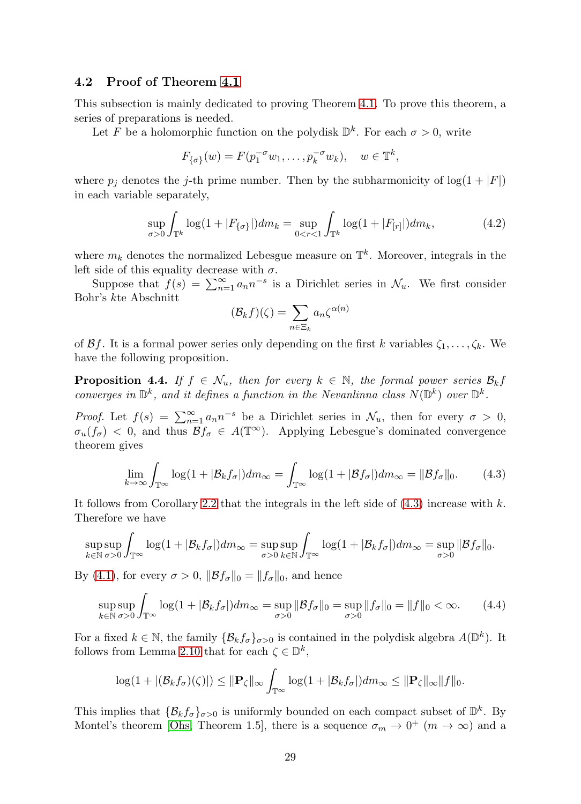### 4.2 Proof of Theorem [4.1](#page-27-0)

This subsection is mainly dedicated to proving Theorem [4.1.](#page-27-0) To prove this theorem, a series of preparations is needed.

Let F be a holomorphic function on the polydisk  $\mathbb{D}^k$ . For each  $\sigma > 0$ , write

$$
F_{\{\sigma\}}(w) = F(p_1^{-\sigma}w_1, \dots, p_k^{-\sigma}w_k), \quad w \in \mathbb{T}^k,
$$

where  $p_j$  denotes the j-th prime number. Then by the subharmonicity of  $log(1+|F|)$ in each variable separately,

<span id="page-28-1"></span>
$$
\sup_{\sigma>0} \int_{\mathbb{T}^k} \log(1+|F_{\{\sigma\}}|) dm_k = \sup_{0 < r < 1} \int_{\mathbb{T}^k} \log(1+|F_{[r]}|) dm_k,\tag{4.2}
$$

where  $m_k$  denotes the normalized Lebesgue measure on  $\mathbb{T}^k$ . Moreover, integrals in the left side of this equality decrease with  $\sigma$ .

Suppose that  $f(s) = \sum_{n=1}^{\infty} a_n n^{-s}$  is a Dirichlet series in  $\mathcal{N}_u$ . We first consider Bohr's kte Abschnitt

$$
(\mathcal{B}_k f)(\zeta) = \sum_{n \in \Xi_k} a_n \zeta^{\alpha(n)}
$$

of  $\mathcal{B}f$ . It is a formal power series only depending on the first k variables  $\zeta_1, \ldots, \zeta_k$ . We have the following proposition.

<span id="page-28-3"></span>**Proposition 4.4.** If  $f \in \mathcal{N}_u$ , then for every  $k \in \mathbb{N}$ , the formal power series  $\mathcal{B}_k f$ converges in  $\mathbb{D}^k$ , and it defines a function in the Nevanlinna class  $N(\mathbb{D}^k)$  over  $\mathbb{D}^k$ .

*Proof.* Let  $f(s) = \sum_{n=1}^{\infty} a_n n^{-s}$  be a Dirichlet series in  $\mathcal{N}_u$ , then for every  $\sigma > 0$ ,  $\sigma_u(f_\sigma) < 0$ , and thus  $\mathcal{B}f_\sigma \in A(\mathbb{T}^\infty)$ . Applying Lebesgue's dominated convergence theorem gives

<span id="page-28-0"></span>
$$
\lim_{k \to \infty} \int_{\mathbb{T}^{\infty}} \log(1 + |\mathcal{B}_k f_{\sigma}|) dm_{\infty} = \int_{\mathbb{T}^{\infty}} \log(1 + |\mathcal{B} f_{\sigma}|) dm_{\infty} = ||\mathcal{B} f_{\sigma}||_0.
$$
 (4.3)

It follows from Corollary [2.2](#page-4-2) that the integrals in the left side of  $(4.3)$  increase with k. Therefore we have

$$
\sup_{k \in \mathbb{N}} \sup_{\sigma > 0} \int_{\mathbb{T}^{\infty}} \log(1 + |\mathcal{B}_k f_{\sigma}|) dm_{\infty} = \sup_{\sigma > 0} \sup_{k \in \mathbb{N}} \int_{\mathbb{T}^{\infty}} \log(1 + |\mathcal{B}_k f_{\sigma}|) dm_{\infty} = \sup_{\sigma > 0} ||\mathcal{B} f_{\sigma}||_0.
$$

By [\(4.1\)](#page-26-0), for every  $\sigma > 0$ ,  $\|\mathcal{B}f_{\sigma}\|_{0} = \|f_{\sigma}\|_{0}$ , and hence

<span id="page-28-2"></span>
$$
\sup_{k \in \mathbb{N}} \sup_{\sigma > 0} \int_{\mathbb{T}^{\infty}} \log(1 + |\mathcal{B}_k f_{\sigma}|) dm_{\infty} = \sup_{\sigma > 0} \|\mathcal{B} f_{\sigma}\|_0 = \sup_{\sigma > 0} \|f_{\sigma}\|_0 = \|f\|_0 < \infty. \tag{4.4}
$$

For a fixed  $k \in \mathbb{N}$ , the family  $\{\mathcal{B}_k f_\sigma\}_{\sigma>0}$  is contained in the polydisk algebra  $A(\mathbb{D}^k)$ . It follows from Lemma [2.10](#page-10-1) that for each  $\zeta \in \mathbb{D}^k$ ,

$$
\log(1+|(\mathcal{B}_k f_{\sigma})(\zeta)|) \leq \|\mathbf{P}_{\zeta}\|_{\infty} \int_{\mathbb{T}^{\infty}} \log(1+|\mathcal{B}_k f_{\sigma}|) dm_{\infty} \leq \|\mathbf{P}_{\zeta}\|_{\infty} \|f\|_{0}.
$$

This implies that  $\{\mathcal{B}_k f_\sigma\}_{\sigma>0}$  is uniformly bounded on each compact subset of  $\mathbb{D}^k$ . By Montel's theorem [\[Ohs,](#page-35-11) Theorem 1.5], there is a sequence  $\sigma_m \to 0^+$   $(m \to \infty)$  and a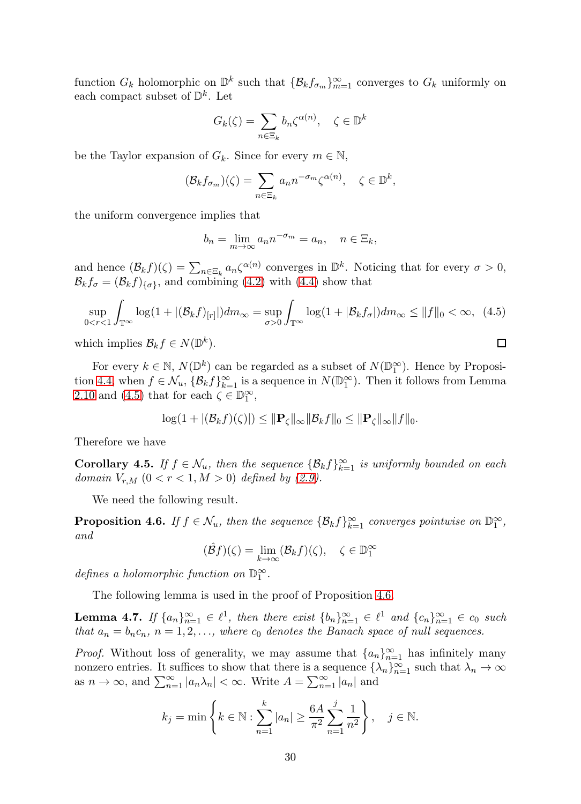function  $G_k$  holomorphic on  $\mathbb{D}^k$  such that  $\{\mathcal{B}_k f_{\sigma_m}\}_{m=1}^{\infty}$  converges to  $G_k$  uniformly on each compact subset of  $\mathbb{D}^k$ . Let

$$
G_k(\zeta) = \sum_{n \in \Xi_k} b_n \zeta^{\alpha(n)}, \quad \zeta \in \mathbb{D}^k
$$

be the Taylor expansion of  $G_k$ . Since for every  $m \in \mathbb{N}$ ,

$$
(\mathcal{B}_k f_{\sigma_m})(\zeta) = \sum_{n \in \Xi_k} a_n n^{-\sigma_m} \zeta^{\alpha(n)}, \quad \zeta \in \mathbb{D}^k,
$$

the uniform convergence implies that

$$
b_n = \lim_{m \to \infty} a_n n^{-\sigma_m} = a_n, \quad n \in \Xi_k,
$$

and hence  $(\mathcal{B}_k f)(\zeta) = \sum_{n \in \Xi_k} a_n \zeta^{\alpha(n)}$  converges in  $\mathbb{D}^k$ . Noticing that for every  $\sigma > 0$ ,  $\mathcal{B}_k f_{\sigma} = (\mathcal{B}_k f)_{\{\sigma\}}$ , and combining [\(4.2\)](#page-28-1) with [\(4.4\)](#page-28-2) show that

<span id="page-29-0"></span>
$$
\sup_{0 < r < 1} \int_{\mathbb{T}^{\infty}} \log(1 + |(\mathcal{B}_k f)_{[r]}|) dm_{\infty} = \sup_{\sigma > 0} \int_{\mathbb{T}^{\infty}} \log(1 + |\mathcal{B}_k f_{\sigma}|) dm_{\infty} \le \|f\|_0 < \infty, \tag{4.5}
$$

which implies  $\mathcal{B}_k f \in N(\mathbb{D}^k)$ .

For every  $k \in \mathbb{N}$ ,  $N(\mathbb{D}^k)$  can be regarded as a subset of  $N(\mathbb{D}_1^{\infty})$ . Hence by Proposi-tion [4.4,](#page-28-3) when  $f \in \mathcal{N}_u$ ,  $\{B_k f\}_{k=1}^{\infty}$  is a sequence in  $N(\mathbb{D}_1^{\infty})$ . Then it follows from Lemma [2.10](#page-10-1) and [\(4.5\)](#page-29-0) that for each  $\zeta \in \mathbb{D}_1^{\infty}$ ,

$$
\log(1+|(\mathcal{B}_k f)(\zeta)|) \leq \|\mathbf{P}_{\zeta}\|_{\infty} \|\mathcal{B}_k f\|_0 \leq \|\mathbf{P}_{\zeta}\|_{\infty} \|f\|_0.
$$

Therefore we have

<span id="page-29-3"></span>**Corollary 4.5.** If  $f \in \mathcal{N}_u$ , then the sequence  $\{\mathcal{B}_k f\}_{k=1}^{\infty}$  is uniformly bounded on each domain  $V_{r,M}$   $(0 < r < 1, M > 0)$  defined by  $(2.9)$ .

We need the following result.

<span id="page-29-1"></span>**Proposition 4.6.** If  $f \in \mathcal{N}_u$ , then the sequence  $\{\mathcal{B}_k f\}_{k=1}^{\infty}$  converges pointwise on  $\mathbb{D}_1^{\infty}$ , and

$$
(\hat{\mathcal{B}}f)(\zeta) = \lim_{k \to \infty} (\mathcal{B}_k f)(\zeta), \quad \zeta \in \mathbb{D}_1^{\infty}
$$

defines a holomorphic function on  $\mathbb{D}_1^{\infty}$ .

The following lemma is used in the proof of Proposition [4.6.](#page-29-1)

<span id="page-29-2"></span>**Lemma 4.7.** If  $\{a_n\}_{n=1}^{\infty} \in \ell^1$ , then there exist  $\{b_n\}_{n=1}^{\infty} \in \ell^1$  and  $\{c_n\}_{n=1}^{\infty} \in c_0$  such that  $a_n = b_n c_n$ ,  $n = 1, 2, \ldots$ , where  $c_0$  denotes the Banach space of null sequences.

*Proof.* Without loss of generality, we may assume that  $\{a_n\}_{n=1}^{\infty}$  has infinitely many nonzero entries. It suffices to show that there is a sequence  $\{\lambda_n\}_{n=1}^{\infty}$  such that  $\lambda_n \to \infty$ as  $n \to \infty$ , and  $\sum_{n=1}^{\infty} |a_n \lambda_n| < \infty$ . Write  $A = \sum_{n=1}^{\infty} |a_n|$  and

$$
k_j = \min \left\{ k \in \mathbb{N} : \sum_{n=1}^k |a_n| \ge \frac{6A}{\pi^2} \sum_{n=1}^j \frac{1}{n^2} \right\}, \quad j \in \mathbb{N}.
$$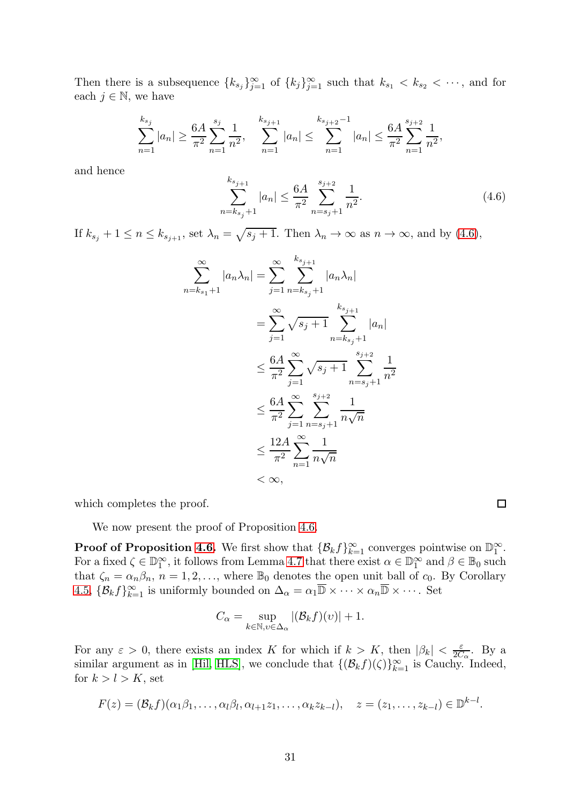Then there is a subsequence  $\{k_{s_j}\}_{j=1}^{\infty}$  of  $\{k_j\}_{j=1}^{\infty}$  such that  $k_{s_1} < k_{s_2} < \cdots$ , and for each  $j \in \mathbb{N}$ , we have

$$
\sum_{n=1}^{k_{s_j}} |a_n| \ge \frac{6A}{\pi^2} \sum_{n=1}^{s_j} \frac{1}{n^2}, \quad \sum_{n=1}^{k_{s_{j+1}}} |a_n| \le \sum_{n=1}^{k_{s_{j+2}}-1} |a_n| \le \frac{6A}{\pi^2} \sum_{n=1}^{s_{j+2}} \frac{1}{n^2},
$$

and hence

<span id="page-30-0"></span>
$$
\sum_{n=k_{s_j}+1}^{k_{s_{j+1}}} |a_n| \le \frac{6A}{\pi^2} \sum_{n=s_j+1}^{s_{j+2}} \frac{1}{n^2}.
$$
\n(4.6)

If  $k_{s_j} + 1 \le n \le k_{s_{j+1}}$ , set  $\lambda_n = \sqrt{s_j + 1}$ . Then  $\lambda_n \to \infty$  as  $n \to \infty$ , and by [\(4.6\)](#page-30-0),

$$
\sum_{n=k_{s_1}+1}^{\infty} |a_n \lambda_n| = \sum_{j=1}^{\infty} \sum_{n=k_{s_j}+1}^{k_{s_{j+1}}} |a_n \lambda_n|
$$
  
= 
$$
\sum_{j=1}^{\infty} \sqrt{s_j+1} \sum_{n=k_{s_j}+1}^{k_{s_{j+1}}} |a_n|
$$
  

$$
\leq \frac{6A}{\pi^2} \sum_{j=1}^{\infty} \sqrt{s_j+1} \sum_{n=s_j+1}^{s_{j+2}} \frac{1}{n^2}
$$
  

$$
\leq \frac{6A}{\pi^2} \sum_{j=1}^{\infty} \sum_{n=s_j+1}^{s_{j+2}} \frac{1}{n\sqrt{n}}
$$
  

$$
\leq \frac{12A}{\pi^2} \sum_{n=1}^{\infty} \frac{1}{n\sqrt{n}}
$$
  

$$
< \infty,
$$

which completes the proof.

We now present the proof of Proposition [4.6.](#page-29-1)

**Proof of Proposition [4.6.](#page-29-1)** We first show that  $\{\mathcal{B}_k f\}_{k=1}^\infty$  converges pointwise on  $\mathbb{D}_1^\infty$ . For a fixed  $\zeta \in \mathbb{D}_1^{\infty}$ , it follows from Lemma [4.7](#page-29-2) that there exist  $\alpha \in \mathbb{D}_1^{\infty}$  and  $\beta \in \mathbb{B}_0$  such that  $\zeta_n = \alpha_n \beta_n$ ,  $n = 1, 2, \ldots$ , where  $\mathbb{B}_0$  denotes the open unit ball of  $c_0$ . By Corollary [4.5,](#page-29-3)  $\{\mathcal{B}_k f\}_{k=1}^{\infty}$  is uniformly bounded on  $\Delta_{\alpha} = \alpha_1 \overline{\mathbb{D}} \times \cdots \times \alpha_n \overline{\mathbb{D}} \times \cdots$ . Set

$$
C_{\alpha} = \sup_{k \in \mathbb{N}, v \in \Delta_{\alpha}} |(\mathcal{B}_k f)(v)| + 1.
$$

For any  $\varepsilon > 0$ , there exists an index K for which if  $k > K$ , then  $|\beta_k| < \frac{\varepsilon}{2C}$  $\frac{\varepsilon}{2C_{\alpha}}$ . By a similar argument as in [\[Hil,](#page-34-4) [HLS\]](#page-34-5), we conclude that  $\{(\mathcal{B}_k f)(\zeta)\}_{k=1}^{\infty}$  is Cauchy. Indeed, for  $k > l > K$ , set

$$
F(z) = (\mathcal{B}_k f)(\alpha_1 \beta_1, \ldots, \alpha_l \beta_l, \alpha_{l+1} z_1, \ldots, \alpha_k z_{k-l}), \quad z = (z_1, \ldots, z_{k-l}) \in \mathbb{D}^{k-l}.
$$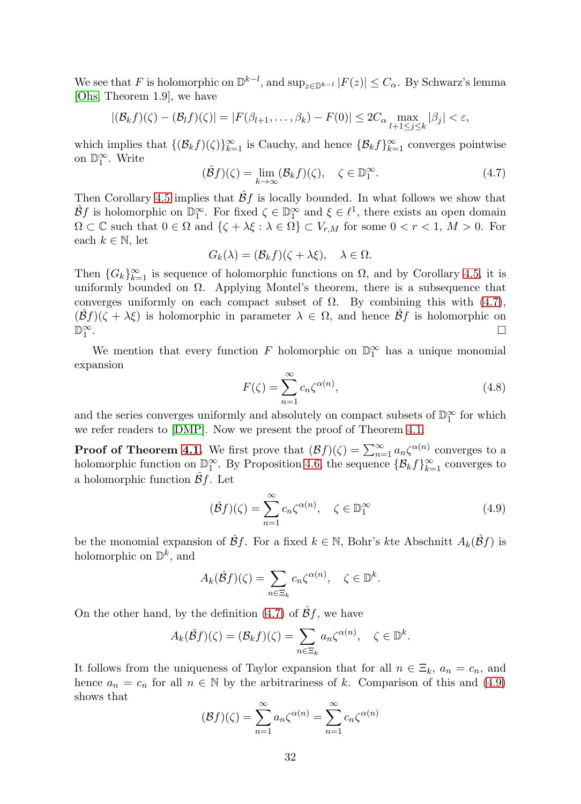We see that F is holomorphic on  $\mathbb{D}^{k-l}$ , and  $\sup_{z\in\mathbb{D}^{k-l}} |F(z)| \leq C_{\alpha}$ . By Schwarz's lemma [\[Ohs,](#page-35-11) Theorem 1.9], we have

$$
|(\mathcal{B}_k f)(\zeta) - (\mathcal{B}_l f)(\zeta)| = |F(\beta_{l+1}, \dots, \beta_k) - F(0)| \le 2C_\alpha \max_{l+1 \le j \le k} |\beta_j| < \varepsilon,
$$

which implies that  $\{(\mathcal{B}_k f)(\zeta)\}_{k=1}^{\infty}$  is Cauchy, and hence  $\{\mathcal{B}_k f\}_{k=1}^{\infty}$  converges pointwise on  $\mathbb{D}_1^{\infty}$ . Write

<span id="page-31-0"></span>
$$
(\hat{\mathcal{B}}f)(\zeta) = \lim_{k \to \infty} (\mathcal{B}_k f)(\zeta), \quad \zeta \in \mathbb{D}_1^{\infty}.
$$
 (4.7)

Then Corollary [4.5](#page-29-3) implies that  $\hat{\beta}f$  is locally bounded. In what follows we show that  $\hat{\mathcal{B}}f$  is holomorphic on  $\mathbb{D}_1^{\infty}$ . For fixed  $\zeta \in \mathbb{D}_1^{\infty}$  and  $\xi \in \ell^1$ , there exists an open domain  $\Omega \subset \mathbb{C}$  such that  $0 \in \Omega$  and  $\{\zeta + \lambda \xi : \lambda \in \Omega\} \subset V_{r,M}$  for some  $0 < r < 1, M > 0$ . For each  $k \in \mathbb{N}$ , let

$$
G_k(\lambda) = (\mathcal{B}_k f)(\zeta + \lambda \xi), \quad \lambda \in \Omega.
$$

Then  ${G_k}_{k=1}^{\infty}$  is sequence of holomorphic functions on  $\Omega$ , and by Corollary [4.5,](#page-29-3) it is uniformly bounded on  $\Omega$ . Applying Montel's theorem, there is a subsequence that converges uniformly on each compact subset of  $\Omega$ . By combining this with [\(4.7\)](#page-31-0),  $(\hat{\mathcal{B}}f)(\zeta + \lambda \xi)$  is holomorphic in parameter  $\lambda \in \Omega$ , and hence  $\hat{\mathcal{B}}f$  is holomorphic on  $\Box$  $\mathbb{D}_1^\infty$ . In the contract of the contract of the contract of the contract of the contract of the contract of the contract of

We mention that every function  $F$  holomorphic on  $\mathbb{D}_1^{\infty}$  has a unique monomial expansion

$$
F(\zeta) = \sum_{n=1}^{\infty} c_n \zeta^{\alpha(n)},
$$
\n(4.8)

and the series converges uniformly and absolutely on compact subsets of  $\mathbb{D}_1^\infty$  for which we refer readers to [\[DMP\]](#page-34-19). Now we present the proof of Theorem [4.1.](#page-27-0)

**Proof of Theorem [4.1.](#page-27-0)** We first prove that  $(\mathcal{B}f)(\zeta) = \sum_{n=1}^{\infty} a_n \zeta^{\alpha(n)}$  converges to a holomorphic function on  $\mathbb{D}_1^{\infty}$ . By Proposition [4.6,](#page-29-1) the sequence  $\{\mathcal{B}_k f\}_{k=1}^{\infty}$  converges to a holomorphic function  $\mathcal{B}f$ . Let

<span id="page-31-1"></span>
$$
(\hat{\mathcal{B}}f)(\zeta) = \sum_{n=1}^{\infty} c_n \zeta^{\alpha(n)}, \quad \zeta \in \mathbb{D}_1^{\infty}
$$
 (4.9)

be the monomial expansion of  $\hat{\mathcal{B}}f$ . For a fixed  $k \in \mathbb{N}$ , Bohr's kte Abschnitt  $A_k(\hat{\mathcal{B}}f)$  is holomorphic on  $\mathbb{D}^k$ , and

$$
A_k(\hat{\mathcal{B}}f)(\zeta) = \sum_{n \in \Xi_k} c_n \zeta^{\alpha(n)}, \quad \zeta \in \mathbb{D}^k.
$$

On the other hand, by the definition [\(4.7\)](#page-31-0) of  $\hat{\mathcal{B}}f$ , we have

$$
A_k(\hat{\mathcal{B}}f)(\zeta) = (\mathcal{B}_k f)(\zeta) = \sum_{n \in \Xi_k} a_n \zeta^{\alpha(n)}, \quad \zeta \in \mathbb{D}^k.
$$

It follows from the uniqueness of Taylor expansion that for all  $n \in \Xi_k$ ,  $a_n = c_n$ , and hence  $a_n = c_n$  for all  $n \in \mathbb{N}$  by the arbitrariness of k. Comparison of this and [\(4.9\)](#page-31-1) shows that

$$
(\mathcal{B}f)(\zeta) = \sum_{n=1}^{\infty} a_n \zeta^{\alpha(n)} = \sum_{n=1}^{\infty} c_n \zeta^{\alpha(n)}
$$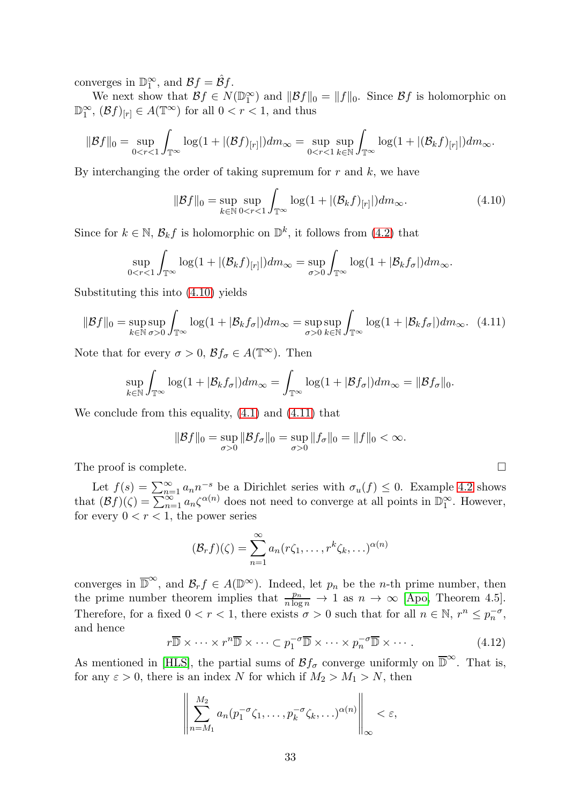converges in  $\mathbb{D}_1^{\infty}$ , and  $\mathcal{B}_f = \hat{\mathcal{B}}_f$ .

We next show that  $\mathcal{B}f \in N(\mathbb{D}_1^{\infty})$  and  $||\mathcal{B}f||_0 = ||f||_0$ . Since  $\mathcal{B}f$  is holomorphic on  $\mathbb{D}_1^{\infty}$ ,  $(\mathcal{B}f)_{[r]} \in A(\mathbb{T}^{\infty})$  for all  $0 < r < 1$ , and thus

$$
\|\mathcal{B}f\|_0 = \sup_{0 < r < 1} \int_{\mathbb{T}^\infty} \log(1 + |(\mathcal{B}f)_{[r]}|) dm_\infty = \sup_{0 < r < 1} \sup_{k \in \mathbb{N}} \int_{\mathbb{T}^\infty} \log(1 + |(\mathcal{B}_k f)_{[r]}|) dm_\infty.
$$

By interchanging the order of taking supremum for  $r$  and  $k$ , we have

<span id="page-32-0"></span>
$$
\|\mathcal{B}f\|_{0} = \sup_{k \in \mathbb{N}} \sup_{0 < r < 1} \int_{\mathbb{T}^{\infty}} \log(1 + |(\mathcal{B}_{k}f)_{[r]}|) dm_{\infty}.\tag{4.10}
$$

Since for  $k \in \mathbb{N}$ ,  $\mathcal{B}_k f$  is holomorphic on  $\mathbb{D}^k$ , it follows from [\(4.2\)](#page-28-1) that

$$
\sup_{0 < r < 1} \int_{\mathbb{T}^{\infty}} \log(1 + |(\mathcal{B}_k f)_{[r]}|) dm_{\infty} = \sup_{\sigma > 0} \int_{\mathbb{T}^{\infty}} \log(1 + |\mathcal{B}_k f_{\sigma}|) dm_{\infty}.
$$

Substituting this into [\(4.10\)](#page-32-0) yields

<span id="page-32-1"></span>
$$
\|\mathcal{B}f\|_{0} = \sup_{k \in \mathbb{N}} \sup_{\sigma > 0} \int_{\mathbb{T}^{\infty}} \log(1 + |\mathcal{B}_{k}f_{\sigma}|) dm_{\infty} = \sup_{\sigma > 0} \sup_{k \in \mathbb{N}} \int_{\mathbb{T}^{\infty}} \log(1 + |\mathcal{B}_{k}f_{\sigma}|) dm_{\infty}.\tag{4.11}
$$

Note that for every  $\sigma > 0$ ,  $\mathcal{B}f_{\sigma} \in A(\mathbb{T}^{\infty})$ . Then

$$
\sup_{k \in \mathbb{N}} \int_{\mathbb{T}^{\infty}} \log(1 + |\mathcal{B}_k f_{\sigma}|) dm_{\infty} = \int_{\mathbb{T}^{\infty}} \log(1 + |\mathcal{B} f_{\sigma}|) dm_{\infty} = ||\mathcal{B} f_{\sigma}||_0.
$$

We conclude from this equality, [\(4.1\)](#page-26-0) and [\(4.11\)](#page-32-1) that

$$
\|\mathcal{B}f\|_{0} = \sup_{\sigma > 0} \|\mathcal{B}f_{\sigma}\|_{0} = \sup_{\sigma > 0} \|f_{\sigma}\|_{0} = \|f\|_{0} < \infty.
$$

The proof is complete.  $\Box$ 

Let  $f(s) = \sum_{n=1}^{\infty} a_n n^{-s}$  be a Dirichlet series with  $\sigma_u(f) \leq 0$ . Example [4.2](#page-27-1) shows that  $(\mathcal{B}f)(\zeta) = \sum_{n=1}^{\infty} a_n \zeta^{\alpha(n)}$  does not need to converge at all points in  $\mathbb{D}_1^{\infty}$ . However, for every  $0 < r < 1$ , the power series

$$
(\mathcal{B}_r f)(\zeta) = \sum_{n=1}^{\infty} a_n (r\zeta_1, \dots, r^k \zeta_k, \dots)^{\alpha(n)}
$$

converges in  $\overline{\mathbb{D}}^{\infty}$ , and  $\mathcal{B}_r f \in A(\mathbb{D}^{\infty})$ . Indeed, let  $p_n$  be the *n*-th prime number, then the prime number theorem implies that  $\frac{p_n}{n \log n} \to 1$  as  $n \to \infty$  [\[Apo,](#page-33-10) Theorem 4.5]. Therefore, for a fixed  $0 < r < 1$ , there exists  $\sigma > 0$  such that for all  $n \in \mathbb{N}$ ,  $r^n \leq p_n^{-\sigma}$ , and hence

<span id="page-32-2"></span>
$$
r\overline{\mathbb{D}} \times \cdots \times r^n \overline{\mathbb{D}} \times \cdots \subset p_1^{-\sigma} \overline{\mathbb{D}} \times \cdots \times p_n^{-\sigma} \overline{\mathbb{D}} \times \cdots
$$
 (4.12)

As mentioned in [\[HLS\]](#page-34-5), the partial sums of  $\mathcal{B}f_{\sigma}$  converge uniformly on  $\overline{\mathbb{D}}^{\infty}$ . That is, for any  $\varepsilon > 0$ , there is an index N for which if  $M_2 > M_1 > N$ , then

$$
\left\|\sum_{n=M_1}^{M_2} a_n (p_1^{-\sigma}\zeta_1,\ldots,p_k^{-\sigma}\zeta_k,\ldots)^{\alpha(n)}\right\|_{\infty} < \varepsilon,
$$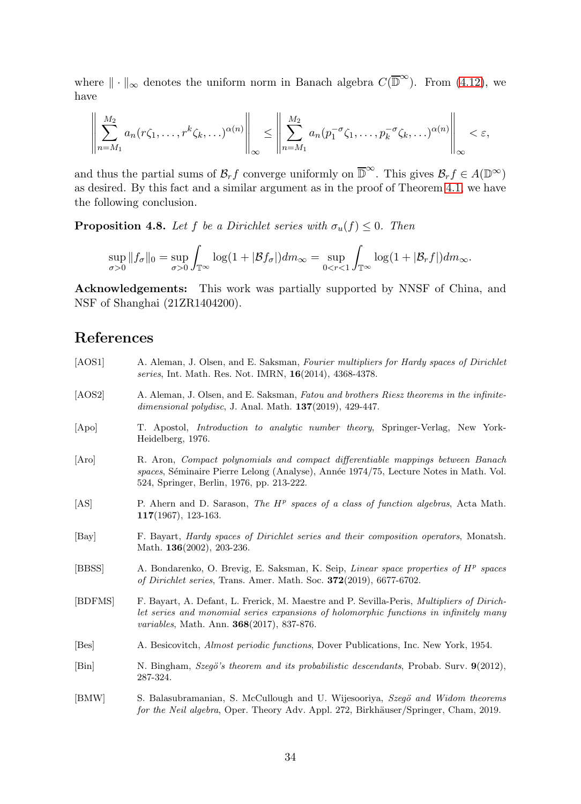where  $\|\cdot\|_{\infty}$  denotes the uniform norm in Banach algebra  $C(\overline{\mathbb{D}}^{\infty})$ . From [\(4.12\)](#page-32-2), we have

$$
\left\|\sum_{n=M_1}^{M_2} a_n(r\zeta_1,\ldots,r^k\zeta_k,\ldots)^{\alpha(n)}\right\|_{\infty} \leq \left\|\sum_{n=M_1}^{M_2} a_n(p_1^{-\sigma}\zeta_1,\ldots,p_k^{-\sigma}\zeta_k,\ldots)^{\alpha(n)}\right\|_{\infty} < \varepsilon,
$$

and thus the partial sums of  $\mathcal{B}_r f$  converge uniformly on  $\overline{\mathbb{D}}^{\infty}$ . This gives  $\mathcal{B}_r f \in A(\mathbb{D}^{\infty})$ as desired. By this fact and a similar argument as in the proof of Theorem [4.1,](#page-27-0) we have the following conclusion.

**Proposition 4.8.** Let f be a Dirichlet series with  $\sigma_u(f) \leq 0$ . Then

$$
\sup_{\sigma>0}||f_{\sigma}||_0 = \sup_{\sigma>0} \int_{\mathbb{T}^{\infty}} \log(1 + |\mathcal{B}f_{\sigma}|) dm_{\infty} = \sup_{0 < r < 1} \int_{\mathbb{T}^{\infty}} \log(1 + |\mathcal{B}_r f|) dm_{\infty}.
$$

Acknowledgements: This work was partially supported by NNSF of China, and NSF of Shanghai (21ZR1404200).

### References

<span id="page-33-10"></span><span id="page-33-9"></span><span id="page-33-8"></span><span id="page-33-7"></span><span id="page-33-6"></span><span id="page-33-5"></span><span id="page-33-4"></span><span id="page-33-3"></span><span id="page-33-2"></span><span id="page-33-1"></span><span id="page-33-0"></span>[AOS1] A. Aleman, J. Olsen, and E. Saksman, Fourier multipliers for Hardy spaces of Dirichlet series, Int. Math. Res. Not. IMRN, 16(2014), 4368-4378. [AOS2] A. Aleman, J. Olsen, and E. Saksman, Fatou and brothers Riesz theorems in the infinitedimensional polydisc, J. Anal. Math. **137**(2019), 429-447. [Apo] T. Apostol, Introduction to analytic number theory, Springer-Verlag, New York-Heidelberg, 1976. [Aro] R. Aron, Compact polynomials and compact differentiable mappings between Banach spaces, Séminaire Pierre Lelong (Analyse), Année 1974/75, Lecture Notes in Math. Vol. 524, Springer, Berlin, 1976, pp. 213-222. [AS] P. Ahern and D. Sarason, *The H<sup>p</sup> spaces of a class of function algebras*, Acta Math. 117(1967), 123-163. [Bay] F. Bayart, Hardy spaces of Dirichlet series and their composition operators, Monatsh. Math. **136**(2002), 203-236. [BBSS] A. Bondarenko, O. Brevig, E. Saksman, K. Seip, Linear space properties of  $H^p$  spaces of Dirichlet series, Trans. Amer. Math. Soc. 372(2019), 6677-6702. [BDFMS] F. Bayart, A. Defant, L. Frerick, M. Maestre and P. Sevilla-Peris, Multipliers of Dirichlet series and monomial series expansions of holomorphic functions in infinitely many variables, Math. Ann. 368(2017), 837-876. [Bes] A. Besicovitch, Almost periodic functions, Dover Publications, Inc. New York, 1954. [Bin] N. Bingham, Szegö's theorem and its probabilistic descendants, Probab. Surv. 9(2012), 287-324. [BMW] S. Balasubramanian, S. McCullough and U. Wijesooriya, Szegö and Widom theorems for the Neil algebra, Oper. Theory Adv. Appl. 272, Birkhäuser/Springer, Cham, 2019.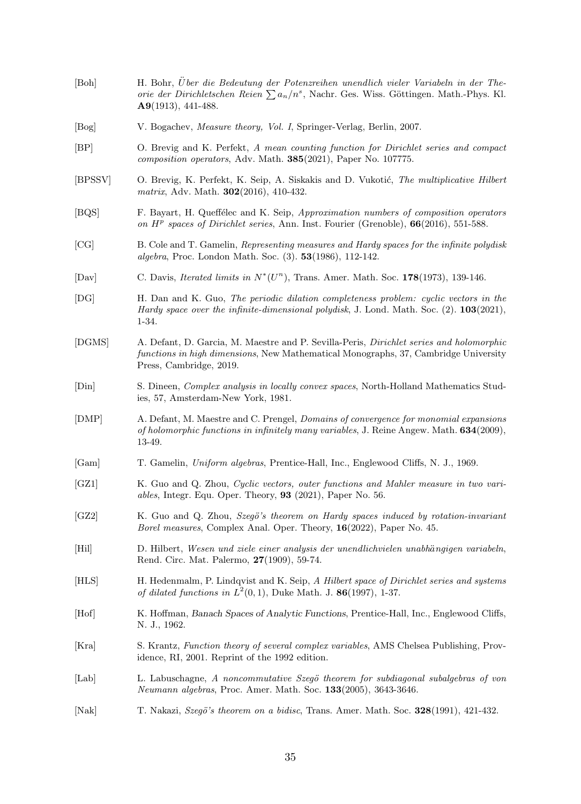- <span id="page-34-16"></span><span id="page-34-15"></span><span id="page-34-7"></span><span id="page-34-6"></span><span id="page-34-3"></span><span id="page-34-2"></span><span id="page-34-1"></span><span id="page-34-0"></span>[Boh] H. Bohr, U¨ber die Bedeutung der Potenzreihen unendlich vieler Variabeln in der Theorie der Dirichletschen Reien  $\sum a_n/n^s$ , Nachr. Ges. Wiss. Göttingen. Math.-Phys. Kl. A9(1913), 441-488. [Bog] V. Bogachev, Measure theory, Vol. I, Springer-Verlag, Berlin, 2007. [BP] O. Brevig and K. Perfekt, A mean counting function for Dirichlet series and compact composition operators, Adv. Math. 385(2021), Paper No. 107775. [BPSSV] O. Brevig, K. Perfekt, K. Seip, A. Siskakis and D. Vukotić, The multiplicative Hilbert matrix, Adv. Math. **302**(2016), 410-432. [BQS] F. Bayart, H. Queffélec and K. Seip, Approximation numbers of composition operators on  $H^p$  spaces of Dirichlet series, Ann. Inst. Fourier (Grenoble),  $66(2016)$ , 551-588. [CG] B. Cole and T. Gamelin, Representing measures and Hardy spaces for the infinite polydisk algebra, Proc. London Math. Soc. (3). 53(1986), 112-142. [Dav] C. Davis, *Iterated limits in*  $N^*(U^n)$ , Trans. Amer. Math. Soc. 178(1973), 139-146. [DG] H. Dan and K. Guo, The periodic dilation completeness problem: cyclic vectors in the Hardy space over the infinite-dimensional polydisk, J. Lond. Math. Soc.  $(2)$ . 103 $(2021)$ , 1-34. [DGMS] A. Defant, D. Garcia, M. Maestre and P. Sevilla-Peris, Dirichlet series and holomorphic functions in high dimensions, New Mathematical Monographs, 37, Cambridge University Press, Cambridge, 2019. [Din] S. Dineen, Complex analysis in locally convex spaces, North-Holland Mathematics Studies, 57, Amsterdam-New York, 1981. [DMP] A. Defant, M. Maestre and C. Prengel, Domains of convergence for monomial expansions of holomorphic functions in infinitely many variables, J. Reine Angew. Math. 634(2009), 13-49. [Gam] T. Gamelin, Uniform algebras, Prentice-Hall, Inc., Englewood Cliffs, N. J., 1969. [GZ1] K. Guo and Q. Zhou, Cyclic vectors, outer functions and Mahler measure in two variables, Integr. Equ. Oper. Theory, 93 (2021), Paper No. 56. [GZ2] K. Guo and Q. Zhou, Szegö's theorem on Hardy spaces induced by rotation-invariant
- <span id="page-34-19"></span><span id="page-34-18"></span><span id="page-34-14"></span><span id="page-34-11"></span><span id="page-34-10"></span><span id="page-34-8"></span>Borel measures, Complex Anal. Oper. Theory, 16(2022), Paper No. 45.
- <span id="page-34-4"></span>[Hil] D. Hilbert, Wesen und ziele einer analysis der unendlichvielen unabhängigen variabeln, Rend. Circ. Mat. Palermo, 27(1909), 59-74.
- <span id="page-34-5"></span>[HLS] H. Hedenmalm, P. Lindqvist and K. Seip, A Hilbert space of Dirichlet series and systems of dilated functions in  $L^2(0,1)$ , Duke Math. J. 86(1997), 1-37.
- <span id="page-34-9"></span>[Hof] K. Hoffman, Banach Spaces of Analytic Functions, Prentice-Hall, Inc., Englewood Cliffs, N. J., 1962.
- <span id="page-34-17"></span>[Kra] S. Krantz, Function theory of several complex variables, AMS Chelsea Publishing, Providence, RI, 2001. Reprint of the 1992 edition.
- <span id="page-34-12"></span>[Lab] L. Labuschagne, A noncommutative Szegö theorem for subdiagonal subalgebras of von Neumann algebras, Proc. Amer. Math. Soc. 133(2005), 3643-3646.
- <span id="page-34-13"></span>[Nak] T. Nakazi, Szegö's theorem on a bidisc, Trans. Amer. Math. Soc. 328(1991), 421-432.